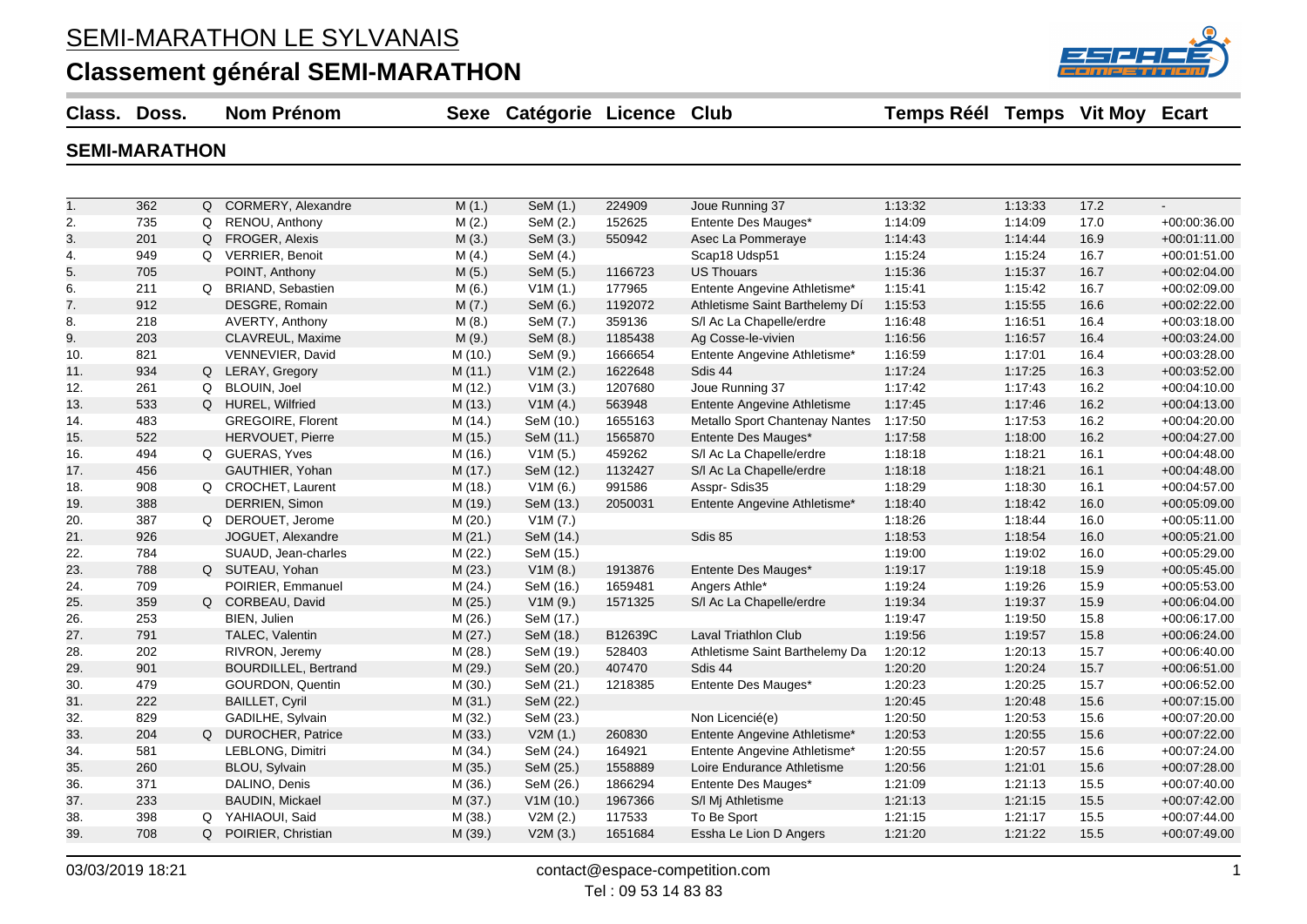#### SEMI-MARATHON LE SYLVANAIS

#### **Classement général SEMI-MARATHON**



**Class. Doss. Nom Prénom Sexe Catégorie Licence Club Temps Réél Temps Vit Moy Ecart**

#### **SEMI-MARATHON**

| 1.  | 362 |          | Q CORMERY, Alexandre        | M(1.)   | SeM (1.)  | 224909  | Joue Running 37                    | 1:13:32 | 1:13:33 | 17.2 | $\mathbf{r}$   |
|-----|-----|----------|-----------------------------|---------|-----------|---------|------------------------------------|---------|---------|------|----------------|
| 2.  | 735 | Q        | RENOU, Anthony              | M(2.)   | SeM (2.)  | 152625  | Entente Des Mauges*                | 1:14:09 | 1:14:09 | 17.0 | $+00:00:36.00$ |
| 3.  | 201 | Q        | <b>FROGER, Alexis</b>       | M(3.)   | SeM (3.)  | 550942  | Asec La Pommeraye                  | 1:14:43 | 1:14:44 | 16.9 | $+00:01:11.00$ |
| 4.  | 949 |          | Q VERRIER, Benoit           | M(4.)   | SeM (4.)  |         | Scap18 Udsp51                      | 1:15:24 | 1:15:24 | 16.7 | +00:01:51.00   |
| 5.  | 705 |          | POINT, Anthony              | M(5.)   | SeM (5.)  | 1166723 | <b>US Thouars</b>                  | 1:15:36 | 1:15:37 | 16.7 | $+00:02:04.00$ |
| 6.  | 211 |          | Q BRIAND, Sebastien         | M(6.)   | V1M(1.)   | 177965  | Entente Angevine Athletisme*       | 1:15:41 | 1:15:42 | 16.7 | +00:02:09.00   |
| 7.  | 912 |          | DESGRE, Romain              | M(7.)   | SeM (6.)  | 1192072 | Athletisme Saint Barthelemy Dí     | 1:15:53 | 1:15:55 | 16.6 | +00:02:22.00   |
| 8.  | 218 |          | AVERTY, Anthony             | M(8.)   | SeM (7.)  | 359136  | S/I Ac La Chapelle/erdre           | 1:16:48 | 1:16:51 | 16.4 | +00:03:18.00   |
| 9.  | 203 |          | CLAVREUL, Maxime            | M(9.)   | SeM (8.)  | 1185438 | Ag Cosse-le-vivien                 | 1:16:56 | 1:16:57 | 16.4 | +00:03:24.00   |
| 10. | 821 |          | VENNEVIER, David            | M (10.) | SeM (9.)  | 1666654 | Entente Angevine Athletisme*       | 1:16:59 | 1.17:01 | 16.4 | +00:03:28.00   |
| 11. | 934 |          | Q LERAY, Gregory            | M(11.)  | V1M(2.)   | 1622648 | Sdis 44                            | 1:17:24 | 1:17:25 | 16.3 | $+00.03:52.00$ |
| 12. | 261 | Q        | BLOUIN, Joel                | M (12.) | V1M(3.)   | 1207680 | Joue Running 37                    | 1:17:42 | 1:17:43 | 16.2 | $+00:04:10.00$ |
| 13. | 533 |          | Q HUREL, Wilfried           | M (13.) | V1M(4.)   | 563948  | <b>Entente Angevine Athletisme</b> | 1:17:45 | 1:17:46 | 16.2 | $+00:04:13.00$ |
| 14. | 483 |          | GREGOIRE, Florent           | M (14.) | SeM (10.) | 1655163 | Metallo Sport Chantenay Nantes     | 1:17:50 | 1:17:53 | 16.2 | +00:04:20.00   |
| 15. | 522 |          | HERVOUET, Pierre            | M (15.) | SeM (11.) | 1565870 | Entente Des Mauges*                | 1:17:58 | 1:18:00 | 16.2 | +00:04:27.00   |
| 16. | 494 |          | Q GUERAS, Yves              | M (16.) | V1M(5.)   | 459262  | S/I Ac La Chapelle/erdre           | 1:18:18 | 1:18:21 | 16.1 | +00:04:48.00   |
| 17. | 456 |          | GAUTHIER, Yohan             | M(17.)  | SeM (12.) | 1132427 | S/I Ac La Chapelle/erdre           | 1:18:18 | 1:18:21 | 16.1 | +00:04:48.00   |
| 18. | 908 |          | Q CROCHET, Laurent          | M (18.) | V1M(6.)   | 991586  | Asspr-Sdis35                       | 1:18:29 | 1:18:30 | 16.1 | +00:04:57.00   |
| 19. | 388 |          | DERRIEN, Simon              | M (19.) | SeM (13.) | 2050031 | Entente Angevine Athletisme*       | 1:18:40 | 1:18:42 | 16.0 | $+00.05.09.00$ |
| 20. | 387 |          | Q DEROUET, Jerome           | M(20.)  | V1M (7.)  |         |                                    | 1:18:26 | 1:18:44 | 16.0 | $+00:05:11.00$ |
| 21. | 926 |          | JOGUET, Alexandre           | M(21.)  | SeM (14.) |         | Sdis 85                            | 1:18:53 | 1:18:54 | 16.0 | $+00:05:21.00$ |
| 22. | 784 |          | SUAUD, Jean-charles         | M(22.)  | SeM (15.) |         |                                    | 1:19:00 | 1:19:02 | 16.0 | $+00:05:29.00$ |
| 23. | 788 |          | Q SUTEAU, Yohan             | M(23.)  | V1M(8.)   | 1913876 | Entente Des Mauges*                | 1:19:17 | 1:19:18 | 15.9 | $+00:05:45.00$ |
| 24. | 709 |          | POIRIER, Emmanuel           | M (24.) | SeM (16.) | 1659481 | Angers Athle*                      | 1:19:24 | 1:19:26 | 15.9 | $+00:05:53.00$ |
| 25. | 359 |          | Q CORBEAU, David            | M (25.) | V1M(9.)   | 1571325 | S/I Ac La Chapelle/erdre           | 1:19:34 | 1:19:37 | 15.9 | +00:06:04.00   |
| 26. | 253 |          | BIEN, Julien                | M(26.)  | SeM (17.) |         |                                    | 1:19:47 | 1:19:50 | 15.8 | +00:06:17.00   |
| 27. | 791 |          | TALEC, Valentin             | M (27.) | SeM (18.) | B12639C | <b>Laval Triathlon Club</b>        | 1:19:56 | 1:19:57 | 15.8 | +00:06:24.00   |
| 28. | 202 |          | RIVRON, Jeremy              | M (28.) | SeM (19.) | 528403  | Athletisme Saint Barthelemy Da     | 1:20:12 | 1:20:13 | 15.7 | +00:06:40.00   |
| 29. | 901 |          | <b>BOURDILLEL, Bertrand</b> | M (29.) | SeM (20.) | 407470  | Sdis 44                            | 1:20:20 | 1:20:24 | 15.7 | $+00:06:51.00$ |
| 30. | 479 |          | <b>GOURDON, Quentin</b>     | M(30.)  | SeM (21.) | 1218385 | Entente Des Mauges*                | 1:20:23 | 1:20:25 | 15.7 | +00:06:52.00   |
| 31. | 222 |          | <b>BAILLET, Cyril</b>       | M(31.)  | SeM (22.) |         |                                    | 1:20:45 | 1:20:48 | 15.6 | $+00:07:15.00$ |
| 32. | 829 |          | GADILHE, Sylvain            | M (32.) | SeM (23.) |         | Non Licencié(e)                    | 1:20:50 | 1:20:53 | 15.6 | +00:07:20.00   |
| 33. | 204 |          | Q DUROCHER, Patrice         | M (33.) | V2M(1.)   | 260830  | Entente Angevine Athletisme*       | 1:20:53 | 1:20:55 | 15.6 | +00:07:22.00   |
| 34. | 581 |          | LEBLONG, Dimitri            | M (34.) | SeM (24.) | 164921  | Entente Angevine Athletisme*       | 1:20:55 | 1:20:57 | 15.6 | +00:07:24.00   |
| 35. | 260 |          | BLOU, Sylvain               | M (35.) | SeM (25.) | 1558889 | Loire Endurance Athletisme         | 1:20:56 | 1:21:01 | 15.6 | +00:07:28.00   |
| 36. | 371 |          | DALINO, Denis               | M (36.) | SeM (26.) | 1866294 | Entente Des Mauges*                | 1:21:09 | 1:21:13 | 15.5 | +00:07:40.00   |
| 37. | 233 |          | <b>BAUDIN, Mickael</b>      | M (37.) | V1M(10.)  | 1967366 | S/I Mj Athletisme                  | 1:21:13 | 1:21:15 | 15.5 | +00:07:42.00   |
| 38. | 398 | $\Omega$ | YAHIAOUI, Said              | M (38.) | V2M(2.)   | 117533  | To Be Sport                        | 1:21:15 | 1:21:17 | 15.5 | +00:07:44.00   |
| 39. | 708 |          | Q POIRIER, Christian        | M (39.) | V2M(3.)   | 1651684 | Essha Le Lion D Angers             | 1:21:20 | 1:21:22 | 15.5 | +00:07:49.00   |
|     |     |          |                             |         |           |         |                                    |         |         |      |                |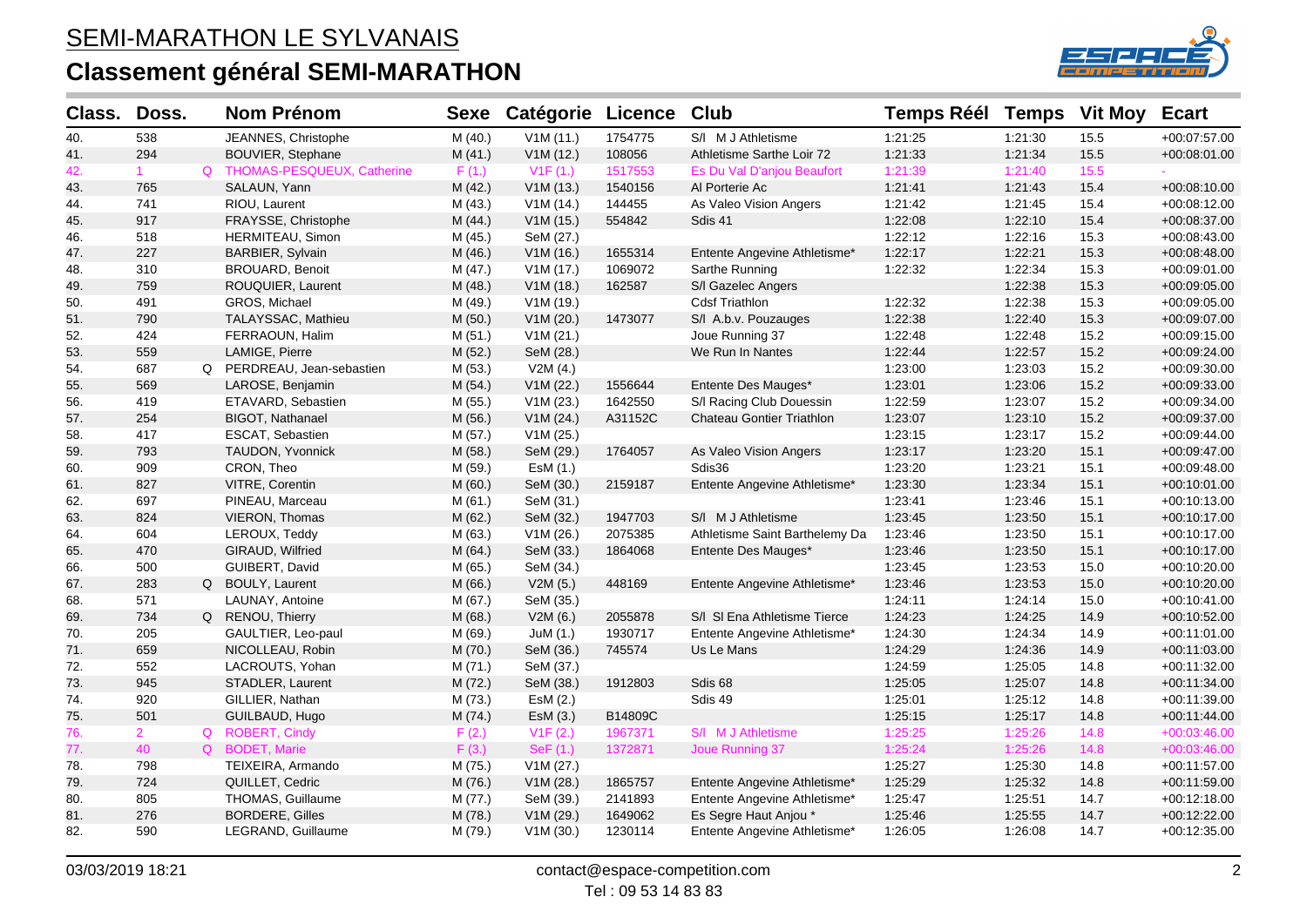

| Class. | Doss.       | <b>Nom Prénom</b>            | <b>Sexe</b> | <b>Catégorie Licence</b> |         | <b>Club</b>                    | <b>Temps Réél Temps</b> |         | <b>Vit Moy</b> | <b>Ecart</b>   |
|--------|-------------|------------------------------|-------------|--------------------------|---------|--------------------------------|-------------------------|---------|----------------|----------------|
| 40.    | 538         | JEANNES, Christophe          | M(40.)      | V1M(11.)                 | 1754775 | S/I M J Athletisme             | 1:21:25                 | 1:21:30 | 15.5           | +00:07:57.00   |
| 41.    | 294         | <b>BOUVIER, Stephane</b>     | M(41.)      | V1M(12.)                 | 108056  | Athletisme Sarthe Loir 72      | 1:21:33                 | 1:21:34 | 15.5           | $+00:08:01.00$ |
| 42.    | 1           | Q THOMAS-PESQUEUX, Catherine | F(1.)       | V1F(1.)                  | 1517553 | Es Du Val D'anjou Beaufort     | 1:21:39                 | 1:21:40 | 15.5           |                |
| 43.    | 765         | SALAUN, Yann                 | M (42.)     | V1M(13.)                 | 1540156 | Al Porterie Ac                 | 1:21:41                 | 1:21:43 | 15.4           | $+00:08:10.00$ |
| 44.    | 741         | RIOU, Laurent                | M (43.)     | V1M(14.)                 | 144455  | As Valeo Vision Angers         | 1:21:42                 | 1:21:45 | 15.4           | +00:08:12.00   |
| 45.    | 917         | FRAYSSE, Christophe          | M(44.)      | V1M(15.)                 | 554842  | Sdis 41                        | 1:22:08                 | 1:22:10 | 15.4           | +00:08:37.00   |
| 46.    | 518         | HERMITEAU, Simon             | M (45.)     | SeM (27.)                |         |                                | 1:22:12                 | 1:22:16 | 15.3           | +00:08:43.00   |
| 47.    | 227         | BARBIER, Sylvain             | M (46.)     | V1M(16.)                 | 1655314 | Entente Angevine Athletisme*   | 1:22:17                 | 1:22:21 | 15.3           | $+00:08:48.00$ |
| 48.    | 310         | <b>BROUARD, Benoit</b>       | M(47.)      | V1M(17.)                 | 1069072 | Sarthe Running                 | 1:22:32                 | 1:22:34 | 15.3           | $+00:09:01.00$ |
| 49.    | 759         | ROUQUIER, Laurent            | M(48.)      | V1M(18.)                 | 162587  | S/I Gazelec Angers             |                         | 1:22:38 | 15.3           | +00:09:05.00   |
| 50.    | 491         | GROS, Michael                | M (49.)     | V1M(19.)                 |         | <b>Cdsf Triathlon</b>          | 1:22:32                 | 1:22:38 | 15.3           | +00:09:05.00   |
| 51.    | 790         | TALAYSSAC, Mathieu           | M(50.)      | V1M (20.)                | 1473077 | S/I A.b.v. Pouzauges           | 1:22:38                 | 1:22:40 | 15.3           | +00:09:07.00   |
| 52.    | 424         | FERRAOUN, Halim              | M(51.)      | V1M(21.)                 |         | Joue Running 37                | 1:22:48                 | 1:22:48 | 15.2           | +00:09:15.00   |
| 53.    | 559         | LAMIGE, Pierre               | M (52.)     | SeM (28.)                |         | We Run In Nantes               | 1:22:44                 | 1:22:57 | 15.2           | $+00:09:24.00$ |
| 54.    | 687         | Q PERDREAU, Jean-sebastien   | M (53.)     | V2M(4.)                  |         |                                | 1:23:00                 | 1:23:03 | 15.2           | +00:09:30.00   |
| 55.    | 569         | LAROSE, Benjamin             | M (54.)     | V1M (22.)                | 1556644 | Entente Des Mauges*            | 1:23:01                 | 1:23:06 | 15.2           | +00:09:33.00   |
| 56.    | 419         | ETAVARD, Sebastien           | M (55.)     | V1M(23.)                 | 1642550 | S/I Racing Club Douessin       | 1:22:59                 | 1:23:07 | 15.2           | +00:09:34.00   |
| 57.    | 254         | BIGOT, Nathanael             | M (56.)     | V1M (24.)                | A31152C | Chateau Gontier Triathlon      | 1:23:07                 | 1:23:10 | 15.2           | +00:09:37.00   |
| 58.    | 417         | <b>ESCAT, Sebastien</b>      | M (57.)     | V1M(25.)                 |         |                                | 1:23:15                 | 1:23:17 | 15.2           | +00:09:44.00   |
| 59.    | 793         | TAUDON, Yvonnick             | M (58.)     | SeM (29.)                | 1764057 | As Valeo Vision Angers         | 1:23:17                 | 1:23:20 | 15.1           | +00:09:47.00   |
| 60.    | 909         | CRON, Theo                   | M (59.)     | EsM (1.)                 |         | Sdis36                         | 1:23:20                 | 1:23:21 | 15.1           | $+00:09:48.00$ |
| 61.    | 827         | VITRE, Corentin              | M (60.)     | SeM (30.)                | 2159187 | Entente Angevine Athletisme*   | 1:23:30                 | 1:23:34 | 15.1           | $+00:10:01.00$ |
| 62.    | 697         | PINEAU, Marceau              | M(61.)      | SeM (31.)                |         |                                | 1:23:41                 | 1:23:46 | 15.1           | +00:10:13.00   |
| 63.    | 824         | VIERON, Thomas               | M(62.)      | SeM (32.)                | 1947703 | S/I M J Athletisme             | 1:23:45                 | 1:23:50 | 15.1           | +00:10:17.00   |
| 64.    | 604         | LEROUX, Teddy                | M (63.)     | V1M(26.)                 | 2075385 | Athletisme Saint Barthelemy Da | 1:23:46                 | 1:23:50 | 15.1           | +00:10:17.00   |
| 65.    | 470         | GIRAUD, Wilfried             | M (64.)     | SeM (33.)                | 1864068 | Entente Des Mauges*            | 1:23:46                 | 1:23:50 | 15.1           | +00:10:17.00   |
| 66.    | 500         | GUIBERT, David               | M(65.)      | SeM (34.)                |         |                                | 1:23:45                 | 1:23:53 | 15.0           | +00:10:20.00   |
| 67.    | 283         | Q BOULY, Laurent             | M(66.)      | V2M(5.)                  | 448169  | Entente Angevine Athletisme*   | 1:23:46                 | 1:23:53 | 15.0           | $+00:10:20.00$ |
| 68.    | 571         | LAUNAY, Antoine              | M (67.)     | SeM (35.)                |         |                                | 1:24:11                 | 1:24:14 | 15.0           | +00:10:41.00   |
| 69.    | 734         | Q RENOU, Thierry             | M(68.)      | V2M(6.)                  | 2055878 | S/I SI Ena Athletisme Tierce   | 1:24:23                 | 1:24:25 | 14.9           | +00:10:52.00   |
| 70.    | 205         | GAULTIER, Leo-paul           | M (69.)     | JuM (1.)                 | 1930717 | Entente Angevine Athletisme*   | 1:24:30                 | 1:24:34 | 14.9           | +00:11:01.00   |
| 71.    | 659         | NICOLLEAU, Robin             | M(70.)      | SeM (36.)                | 745574  | Us Le Mans                     | 1:24:29                 | 1:24:36 | 14.9           | $+00:11:03.00$ |
| 72.    | 552         | LACROUTS, Yohan              | M(71.)      | SeM (37.)                |         |                                | 1:24:59                 | 1:25:05 | 14.8           | $+00:11:32.00$ |
| 73.    | 945         | STADLER, Laurent             | M (72.)     | SeM (38.)                | 1912803 | Sdis 68                        | 1:25:05                 | 1:25:07 | 14.8           | +00:11:34.00   |
| 74.    | 920         | GILLIER, Nathan              | M (73.)     | EsM (2.)                 |         | Sdis 49                        | 1:25:01                 | 1:25:12 | 14.8           | +00:11:39.00   |
| 75.    | 501         | GUILBAUD, Hugo               | M (74.)     | ESM(3.)                  | B14809C |                                | 1:25:15                 | 1:25:17 | 14.8           | +00:11:44.00   |
| 76.    | $2^{\circ}$ | Q ROBERT, Cindy              | F(2.)       | V1F(2.)                  | 1967371 | S/I M J Athletisme             | 1:25:25                 | 1:25:26 | 14.8           | $+00:03:46.00$ |
| 77.    | 40          | Q BODET, Marie               | F(3.)       | SeF(1.)                  | 1372871 | Joue Running 37                | 1:25:24                 | 1:25:26 | 14.8           | $+00:03:46.00$ |
| 78.    | 798         | TEIXEIRA, Armando            | M (75.)     | V1M (27.)                |         |                                | 1:25:27                 | 1:25:30 | 14.8           | +00:11:57.00   |
| 79.    | 724         | QUILLET, Cedric              | M (76.)     | V1M (28.)                | 1865757 | Entente Angevine Athletisme*   | 1:25:29                 | 1:25:32 | 14.8           | $+00:11:59.00$ |
| 80.    | 805         | THOMAS, Guillaume            | M (77.)     | SeM (39.)                | 2141893 | Entente Angevine Athletisme*   | 1:25:47                 | 1:25:51 | 14.7           | $+00:12:18.00$ |
| 81.    | 276         | <b>BORDERE, Gilles</b>       | M (78.)     | V1M (29.)                | 1649062 | Es Segre Haut Anjou *          | 1:25:46                 | 1:25:55 | 14.7           | $+00:12:22.00$ |
| 82.    | 590         | LEGRAND, Guillaume           | M (79.)     | V1M(30.)                 | 1230114 | Entente Angevine Athletisme*   | 1:26:05                 | 1:26:08 | 14.7           | $+00:12:35.00$ |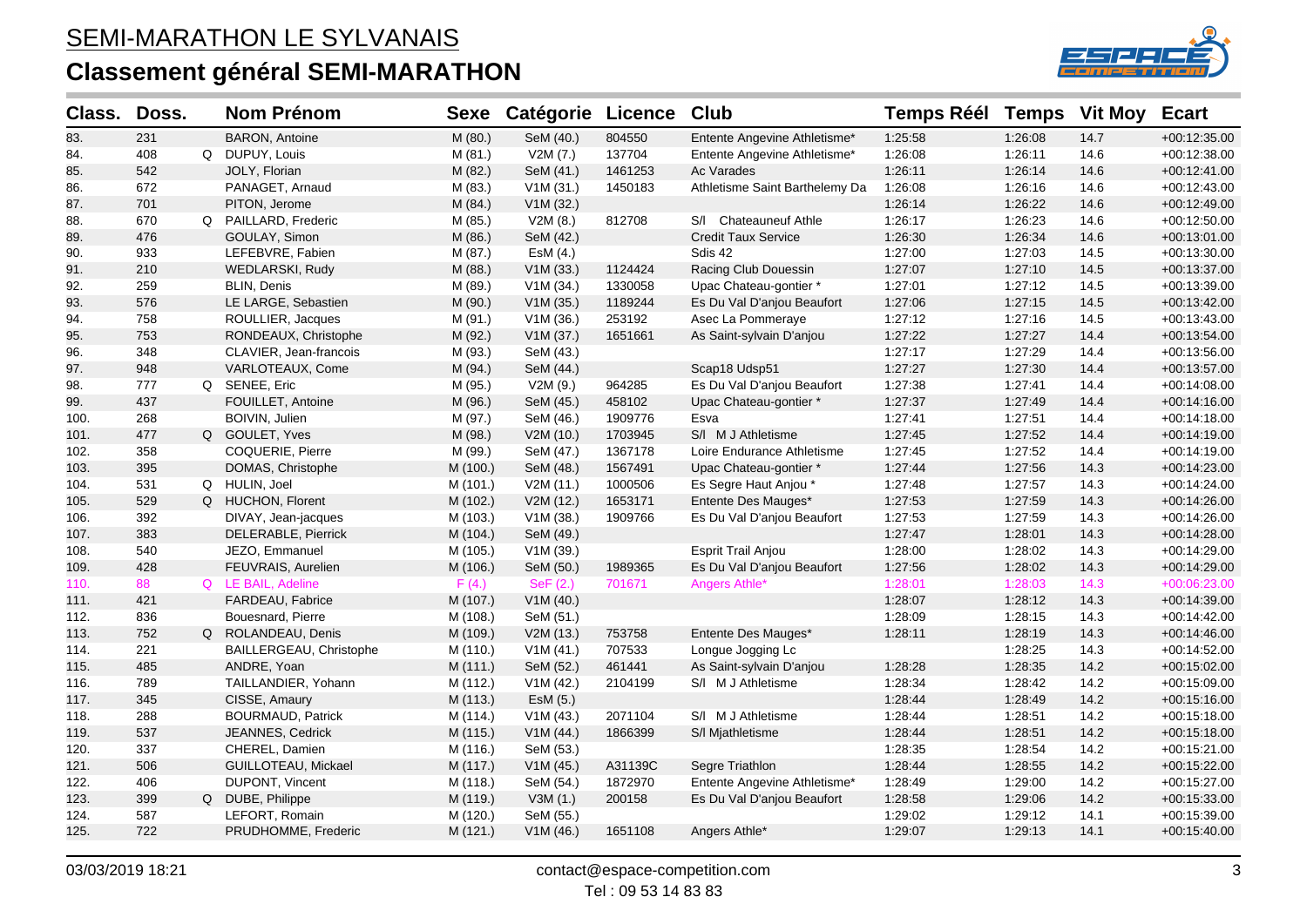

| Class. | Doss. | <b>Nom Prénom</b>        | <b>Sexe</b> | <b>Catégorie Licence</b> |         | Club                           | <b>Temps Réél</b> | <b>Temps</b> | <b>Vit Moy</b> | <b>Ecart</b>   |
|--------|-------|--------------------------|-------------|--------------------------|---------|--------------------------------|-------------------|--------------|----------------|----------------|
| 83.    | 231   | <b>BARON, Antoine</b>    | M(80.)      | SeM (40.)                | 804550  | Entente Angevine Athletisme*   | 1:25:58           | 1:26:08      | 14.7           | $+00:12:35.00$ |
| 84.    | 408   | Q DUPUY, Louis           | M(81.)      | V2M(7.)                  | 137704  | Entente Angevine Athletisme*   | 1:26:08           | 1:26:11      | 14.6           | $+00:12:38.00$ |
| 85.    | 542   | JOLY, Florian            | M(82.)      | SeM (41.)                | 1461253 | Ac Varades                     | 1:26:11           | 1:26:14      | 14.6           | $+00:12:41.00$ |
| 86.    | 672   | PANAGET, Arnaud          | M (83.)     | V1M(31.)                 | 1450183 | Athletisme Saint Barthelemy Da | 1:26:08           | 1:26:16      | 14.6           | +00:12:43.00   |
| 87.    | 701   | PITON, Jerome            | M(84)       | V1M (32.)                |         |                                | 1:26:14           | 1:26:22      | 14.6           | $+00:12:49.00$ |
| 88.    | 670   | Q PAILLARD, Frederic     | M (85.)     | V2M(8.)                  | 812708  | S/I Chateauneuf Athle          | 1:26:17           | 1:26:23      | 14.6           | $+00:12:50.00$ |
| 89.    | 476   | GOULAY, Simon            | M(86.)      | SeM (42.)                |         | <b>Credit Taux Service</b>     | 1:26:30           | 1:26:34      | 14.6           | $+00:13:01.00$ |
| 90.    | 933   | LEFEBVRE, Fabien         | M (87.)     | EsM (4.)                 |         | Sdis 42                        | 1:27:00           | 1:27:03      | 14.5           | +00:13:30.00   |
| 91.    | 210   | WEDLARSKI, Rudy          | M (88.)     | V1M(33.)                 | 1124424 | Racing Club Douessin           | 1:27:07           | 1:27:10      | 14.5           | +00:13:37.00   |
| 92.    | 259   | <b>BLIN, Denis</b>       | M (89.)     | V1M (34.)                | 1330058 | Upac Chateau-gontier *         | 1:27:01           | 1:27:12      | 14.5           | +00:13:39.00   |
| 93.    | 576   | LE LARGE, Sebastien      | M (90.)     | V1M(35.)                 | 1189244 | Es Du Val D'anjou Beaufort     | 1:27:06           | 1:27:15      | 14.5           | $+00:13:42.00$ |
| 94.    | 758   | ROULLIER, Jacques        | M (91.)     | V1M (36.)                | 253192  | Asec La Pommeraye              | 1:27:12           | 1:27:16      | 14.5           | $+00:13:43.00$ |
| 95.    | 753   | RONDEAUX, Christophe     | M (92.)     | V1M(37.)                 | 1651661 | As Saint-sylvain D'anjou       | 1:27:22           | 1:27:27      | 14.4           | $+00:13:54.00$ |
| 96.    | 348   | CLAVIER, Jean-francois   | M (93.)     | SeM (43.)                |         |                                | 1:27:17           | 1:27:29      | 14.4           | +00:13:56.00   |
| 97.    | 948   | VARLOTEAUX, Come         | M (94.)     | SeM (44.)                |         | Scap18 Udsp51                  | 1:27:27           | 1:27:30      | 14.4           | +00:13:57.00   |
| 98.    | 777   | Q SENEE, Eric            | M (95.)     | V2M (9.)                 | 964285  | Es Du Val D'anjou Beaufort     | 1:27:38           | 1:27:41      | 14.4           | +00:14:08.00   |
| 99.    | 437   | FOUILLET, Antoine        | M (96.)     | SeM (45.)                | 458102  | Upac Chateau-gontier *         | 1:27:37           | 1:27:49      | 14.4           | $+00:14:16.00$ |
| 100.   | 268   | BOIVIN, Julien           | M (97.)     | SeM (46.)                | 1909776 | Esva                           | 1:27:41           | 1:27:51      | 14.4           | $+00:14:18.00$ |
| 101.   | 477   | Q GOULET, Yves           | M (98.)     | V2M(10.)                 | 1703945 | S/I M J Athletisme             | 1:27:45           | 1:27:52      | 14.4           | $+00:14:19.00$ |
| 102.   | 358   | COQUERIE, Pierre         | M (99.)     | SeM (47.)                | 1367178 | Loire Endurance Athletisme     | 1:27:45           | 1:27:52      | 14.4           | +00:14:19.00   |
| 103.   | 395   | DOMAS, Christophe        | M (100.)    | SeM (48.)                | 1567491 | Upac Chateau-gontier *         | 1:27:44           | 1:27:56      | 14.3           | +00:14:23.00   |
| 104.   | 531   | Q HULIN, Joel            | M (101.)    | V2M (11.)                | 1000506 | Es Segre Haut Anjou *          | 1:27:48           | 1:27:57      | 14.3           | +00:14:24.00   |
| 105.   | 529   | Q HUCHON, Florent        | M (102.)    | V2M (12.)                | 1653171 | Entente Des Mauges*            | 1:27:53           | 1:27:59      | 14.3           | $+00:14:26.00$ |
| 106.   | 392   | DIVAY, Jean-jacques      | M (103.)    | V1M (38.)                | 1909766 | Es Du Val D'anjou Beaufort     | 1:27:53           | 1:27:59      | 14.3           | $+00:14:26.00$ |
| 107.   | 383   | DELERABLE, Pierrick      | M (104.)    | SeM (49.)                |         |                                | 1:27:47           | 1:28:01      | 14.3           | $+00:14:28.00$ |
| 108.   | 540   | JEZO, Emmanuel           | M (105.)    | V1M (39.)                |         | <b>Esprit Trail Anjou</b>      | 1:28:00           | 1:28:02      | 14.3           | +00:14:29.00   |
| 109.   | 428   | FEUVRAIS, Aurelien       | M (106.)    | SeM (50.)                | 1989365 | Es Du Val D'anjou Beaufort     | 1:27:56           | 1:28:02      | 14.3           | $+00:14:29.00$ |
| 110.   | 88    | Q LE BAIL, Adeline       | F(4.)       | SeF(2.)                  | 701671  | Angers Athle*                  | 1:28:01           | 1:28:03      | 14.3           | +00:06:23.00   |
| 111.   | 421   | FARDEAU, Fabrice         | M (107.)    | V1M(40.)                 |         |                                | 1:28:07           | 1:28:12      | 14.3           | +00:14:39.00   |
| 112.   | 836   | Bouesnard, Pierre        | M (108.)    | SeM (51.)                |         |                                | 1:28:09           | 1:28:15      | 14.3           | $+00:14:42.00$ |
| 113.   | 752   | Q ROLANDEAU, Denis       | M (109.)    | V2M(13.)                 | 753758  | Entente Des Mauges*            | 1:28:11           | 1:28:19      | 14.3           | $+00:14:46.00$ |
| 114.   | 221   | BAILLERGEAU, Christophe  | M (110.)    | V1M(41.)                 | 707533  | Longue Jogging Lc              |                   | 1:28:25      | 14.3           | +00:14:52.00   |
| 115.   | 485   | ANDRE, Yoan              | M(111.)     | SeM (52.)                | 461441  | As Saint-sylvain D'anjou       | 1:28:28           | 1:28:35      | 14.2           | $+00:15:02.00$ |
| 116.   | 789   | TAILLANDIER, Yohann      | M (112.)    | V1M(42.)                 | 2104199 | S/I M J Athletisme             | 1:28:34           | 1:28:42      | 14.2           | $+00:15:09.00$ |
| 117.   | 345   | CISSE, Amaury            | M (113.)    | ESM(5.)                  |         |                                | 1:28:44           | 1:28:49      | 14.2           | $+00:15:16.00$ |
| 118.   | 288   | <b>BOURMAUD, Patrick</b> | M (114.)    | V1M(43.)                 | 2071104 | S/I M J Athletisme             | 1:28:44           | 1:28:51      | 14.2           | $+00:15:18.00$ |
| 119.   | 537   | JEANNES, Cedrick         | M (115.)    | V1M (44.)                | 1866399 | S/I Mjathletisme               | 1:28:44           | 1:28:51      | 14.2           | $+00:15:18.00$ |
| 120.   | 337   | CHEREL, Damien           | M (116.)    | SeM (53.)                |         |                                | 1:28:35           | 1:28:54      | 14.2           | +00:15:21.00   |
| 121.   | 506   | GUILLOTEAU, Mickael      | M (117.)    | V1M(45.)                 | A31139C | Segre Triathlon                | 1:28:44           | 1:28:55      | 14.2           | $+00:15:22.00$ |
| 122.   | 406   | DUPONT, Vincent          | M (118.)    | SeM (54.)                | 1872970 | Entente Angevine Athletisme*   | 1:28:49           | 1:29:00      | 14.2           | +00:15:27.00   |
| 123.   | 399   | Q DUBE, Philippe         | M (119.)    | V3M(1.)                  | 200158  | Es Du Val D'anjou Beaufort     | 1:28:58           | 1:29:06      | 14.2           | $+00:15:33.00$ |
| 124.   | 587   | LEFORT, Romain           | M (120.)    | SeM (55.)                |         |                                | 1:29:02           | 1:29:12      | 14.1           | $+00:15:39.00$ |
| 125.   | 722   | PRUDHOMME, Frederic      | M (121.)    | V1M(46.)                 | 1651108 | Angers Athle*                  | 1:29:07           | 1:29:13      | 14.1           | $+00:15:40.00$ |
|        |       |                          |             |                          |         |                                |                   |              |                |                |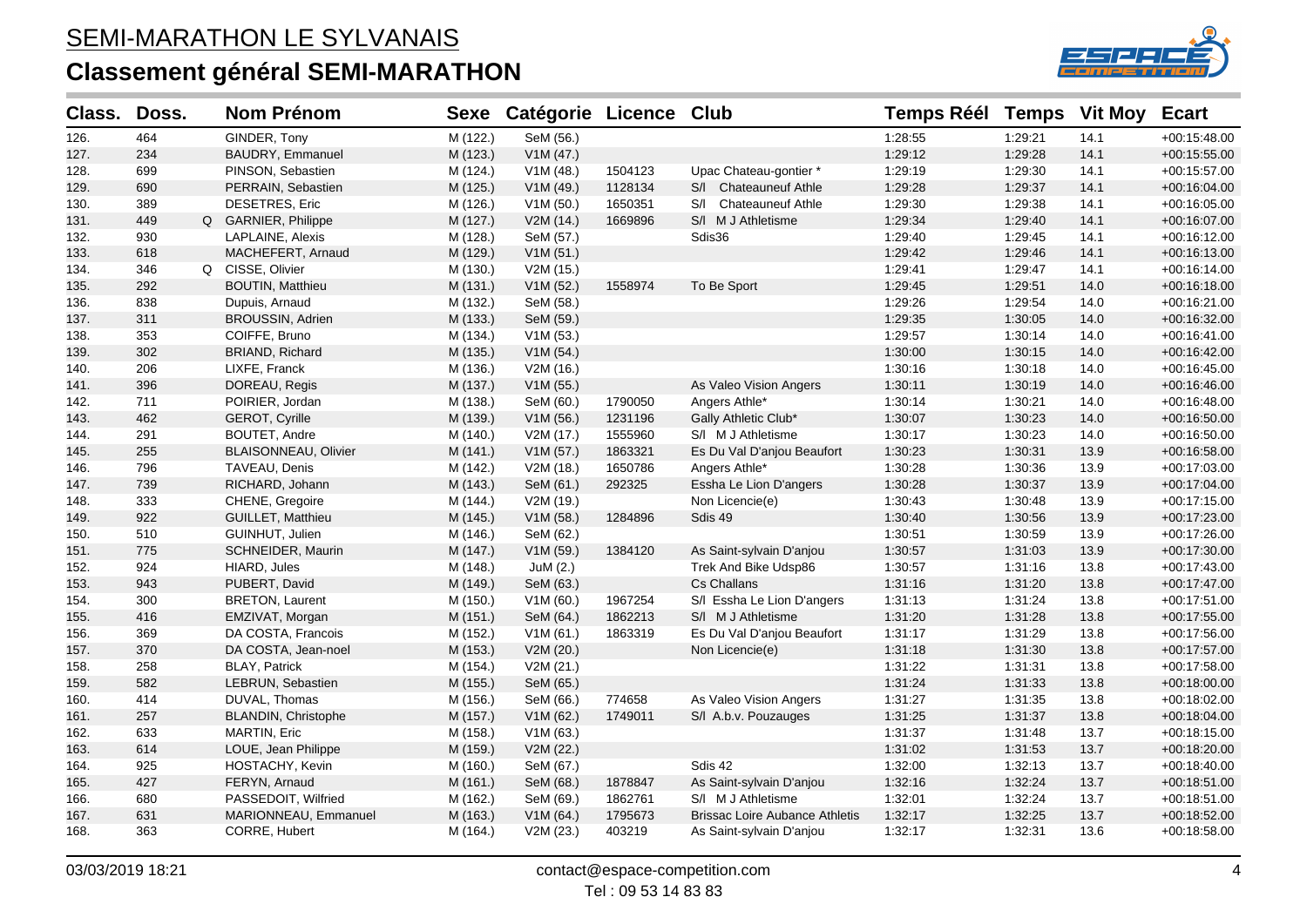

| Class. | Doss. | <b>Nom Prénom</b>          |          | Sexe Catégorie Licence Club |         |                                       | <b>Temps Réél Temps</b> |         | <b>Vit Moy</b> | <b>Ecart</b>   |
|--------|-------|----------------------------|----------|-----------------------------|---------|---------------------------------------|-------------------------|---------|----------------|----------------|
| 126.   | 464   | GINDER, Tony               | M (122.) | SeM (56.)                   |         |                                       | 1:28:55                 | 1:29:21 | 14.1           | $+00:15:48.00$ |
| 127.   | 234   | BAUDRY, Emmanuel           | M (123.) | V1M(47.)                    |         |                                       | 1:29:12                 | 1:29:28 | 14.1           | $+00:15:55.00$ |
| 128.   | 699   | PINSON, Sebastien          | M (124.) | V1M(48.)                    | 1504123 | Upac Chateau-gontier *                | 1:29:19                 | 1:29:30 | 14.1           | $+00:15:57.00$ |
| 129.   | 690   | PERRAIN, Sebastien         | M (125.) | V1M(49.)                    | 1128134 | S/I Chateauneuf Athle                 | 1:29:28                 | 1:29:37 | 14.1           | $+00:16:04.00$ |
| 130.   | 389   | <b>DESETRES, Eric</b>      | M (126.) | V1M(50.)                    | 1650351 | S/I Chateauneuf Athle                 | 1:29:30                 | 1:29:38 | 14.1           | +00:16:05.00   |
| 131.   | 449   | Q GARNIER, Philippe        | M (127.) | V2M (14.)                   | 1669896 | S/I M J Athletisme                    | 1:29:34                 | 1:29:40 | 14.1           | +00:16:07.00   |
| 132.   | 930   | LAPLAINE, Alexis           | M (128.) | SeM (57.)                   |         | Sdis36                                | 1:29:40                 | 1:29:45 | 14.1           | $+00:16:12.00$ |
| 133.   | 618   | MACHEFERT, Arnaud          | M (129.) | V1M(51.)                    |         |                                       | 1:29:42                 | 1:29:46 | 14.1           | $+00:16:13.00$ |
| 134.   | 346   | Q CISSE, Olivier           | M (130.) | V2M (15.)                   |         |                                       | 1:29:41                 | 1:29:47 | 14.1           | $+00:16:14.00$ |
| 135.   | 292   | <b>BOUTIN, Matthieu</b>    | M (131.) | V1M(52.)                    | 1558974 | To Be Sport                           | 1:29:45                 | 1:29:51 | 14.0           | $+00:16:18.00$ |
| 136.   | 838   | Dupuis, Arnaud             | M (132.) | SeM (58.)                   |         |                                       | 1:29:26                 | 1:29:54 | 14.0           | +00:16:21.00   |
| 137.   | 311   | BROUSSIN, Adrien           | M (133.) | SeM (59.)                   |         |                                       | 1:29:35                 | 1:30:05 | 14.0           | $+00:16:32.00$ |
| 138.   | 353   | COIFFE, Bruno              | M (134.) | V1M(53.)                    |         |                                       | 1:29:57                 | 1:30:14 | 14.0           | +00:16:41.00   |
| 139.   | 302   | <b>BRIAND, Richard</b>     | M (135.) | V1M(54.)                    |         |                                       | 1:30:00                 | 1:30:15 | 14.0           | $+00:16:42.00$ |
| 140.   | 206   | LIXFE, Franck              | M (136.) | V2M (16.)                   |         |                                       | 1:30:16                 | 1:30:18 | 14.0           | $+00:16:45.00$ |
| 141.   | 396   | DOREAU, Regis              | M (137.) | V1M(55.)                    |         | As Valeo Vision Angers                | 1:30:11                 | 1:30:19 | 14.0           | $+00:16:46.00$ |
| 142.   | 711   | POIRIER, Jordan            | M (138.) | SeM (60.)                   | 1790050 | Angers Athle*                         | 1:30:14                 | 1:30:21 | 14.0           | +00:16:48.00   |
| 143.   | 462   | GEROT, Cyrille             | M (139.) | V1M(56.)                    | 1231196 | Gally Athletic Club*                  | 1:30:07                 | 1:30:23 | 14.0           | $+00:16:50.00$ |
| 144.   | 291   | <b>BOUTET, Andre</b>       | M (140.) | V2M (17.)                   | 1555960 | S/I M J Athletisme                    | 1:30:17                 | 1:30:23 | 14.0           | +00:16:50.00   |
| 145.   | 255   | BLAISONNEAU, Olivier       | M (141.) | V1M (57.)                   | 1863321 | Es Du Val D'anjou Beaufort            | 1:30:23                 | 1:30:31 | 13.9           | +00:16:58.00   |
| 146.   | 796   | TAVEAU, Denis              | M (142.) | V2M (18.)                   | 1650786 | Angers Athle*                         | 1:30:28                 | 1:30:36 | 13.9           | +00:17:03.00   |
| 147.   | 739   | RICHARD, Johann            | M (143.) | SeM (61.)                   | 292325  | Essha Le Lion D'angers                | 1:30:28                 | 1:30:37 | 13.9           | +00:17:04.00   |
| 148.   | 333   | CHENE, Gregoire            | M (144.) | V2M (19.)                   |         | Non Licencie(e)                       | 1:30:43                 | 1:30:48 | 13.9           | $+00:17:15.00$ |
| 149.   | 922   | GUILLET, Matthieu          | M (145.) | V1M(58.)                    | 1284896 | Sdis 49                               | 1:30:40                 | 1:30:56 | 13.9           | $+00:17:23.00$ |
| 150.   | 510   | GUINHUT, Julien            | M (146.) | SeM (62.)                   |         |                                       | 1:30:51                 | 1:30:59 | 13.9           | $+00:17:26.00$ |
| 151.   | 775   | SCHNEIDER, Maurin          | M (147.) | V1M (59.)                   | 1384120 | As Saint-sylvain D'anjou              | 1:30:57                 | 1:31:03 | 13.9           | +00:17:30.00   |
| 152.   | 924   | HIARD, Jules               | M (148.) | JuM (2.)                    |         | Trek And Bike Udsp86                  | 1:30:57                 | 1:31:16 | 13.8           | $+00:17:43.00$ |
| 153.   | 943   | PUBERT, David              | M (149.) | SeM (63.)                   |         | Cs Challans                           | 1:31:16                 | 1:31:20 | 13.8           | +00:17:47.00   |
| 154.   | 300   | <b>BRETON, Laurent</b>     | M (150.) | V1M (60.)                   | 1967254 | S/I Essha Le Lion D'angers            | 1:31:13                 | 1:31:24 | 13.8           | $+00:17:51.00$ |
| 155.   | 416   | EMZIVAT, Morgan            | M (151.) | SeM (64.)                   | 1862213 | S/I M J Athletisme                    | 1:31:20                 | 1:31:28 | 13.8           | $+00:17:55.00$ |
| 156.   | 369   | DA COSTA, Francois         | M (152.) | V1M(61.)                    | 1863319 | Es Du Val D'anjou Beaufort            | 1:31:17                 | 1:31:29 | 13.8           | +00:17:56.00   |
| 157.   | 370   | DA COSTA, Jean-noel        | M (153.) | V2M (20.)                   |         | Non Licencie(e)                       | 1:31:18                 | 1:31:30 | 13.8           | +00:17:57.00   |
| 158.   | 258   | <b>BLAY, Patrick</b>       | M (154.) | V2M (21.)                   |         |                                       | 1:31:22                 | 1:31:31 | 13.8           | $+00:17:58.00$ |
| 159.   | 582   | LEBRUN, Sebastien          | M (155.) | SeM (65.)                   |         |                                       | 1:31:24                 | 1:31:33 | 13.8           | +00:18:00.00   |
| 160.   | 414   | DUVAL, Thomas              | M (156.) | SeM (66.)                   | 774658  | As Valeo Vision Angers                | 1:31:27                 | 1:31:35 | 13.8           | +00:18:02.00   |
| 161.   | 257   | <b>BLANDIN, Christophe</b> | M (157.) | V1M(62.)                    | 1749011 | S/I A.b.v. Pouzauges                  | 1:31:25                 | 1:31:37 | 13.8           | $+00:18:04.00$ |
| 162.   | 633   | <b>MARTIN, Eric</b>        | M (158.) | V1M (63.)                   |         |                                       | 1:31:37                 | 1:31:48 | 13.7           | $+00:18:15.00$ |
| 163.   | 614   | LOUE, Jean Philippe        | M (159.) | V2M (22.)                   |         |                                       | 1:31:02                 | 1:31:53 | 13.7           | $+00:18:20.00$ |
| 164.   | 925   | HOSTACHY, Kevin            | M (160.) | SeM (67.)                   |         | Sdis 42                               | 1:32:00                 | 1:32:13 | 13.7           | $+00:18:40.00$ |
| 165.   | 427   | FERYN, Arnaud              | M (161.) | SeM (68.)                   | 1878847 | As Saint-sylvain D'anjou              | 1:32:16                 | 1:32:24 | 13.7           | $+00:18:51.00$ |
| 166.   | 680   | PASSEDOIT, Wilfried        | M (162.) | SeM (69.)                   | 1862761 | S/I M J Athletisme                    | 1:32:01                 | 1:32:24 | 13.7           | +00:18:51.00   |
| 167.   | 631   | MARIONNEAU, Emmanuel       | M (163.) | V1M(64.)                    | 1795673 | <b>Brissac Loire Aubance Athletis</b> | 1:32:17                 | 1:32:25 | 13.7           | $+00:18:52.00$ |
| 168.   | 363   | CORRE, Hubert              | M (164.) | V2M (23.)                   | 403219  | As Saint-sylvain D'anjou              | 1:32:17                 | 1:32:31 | 13.6           | $+00:18:58.00$ |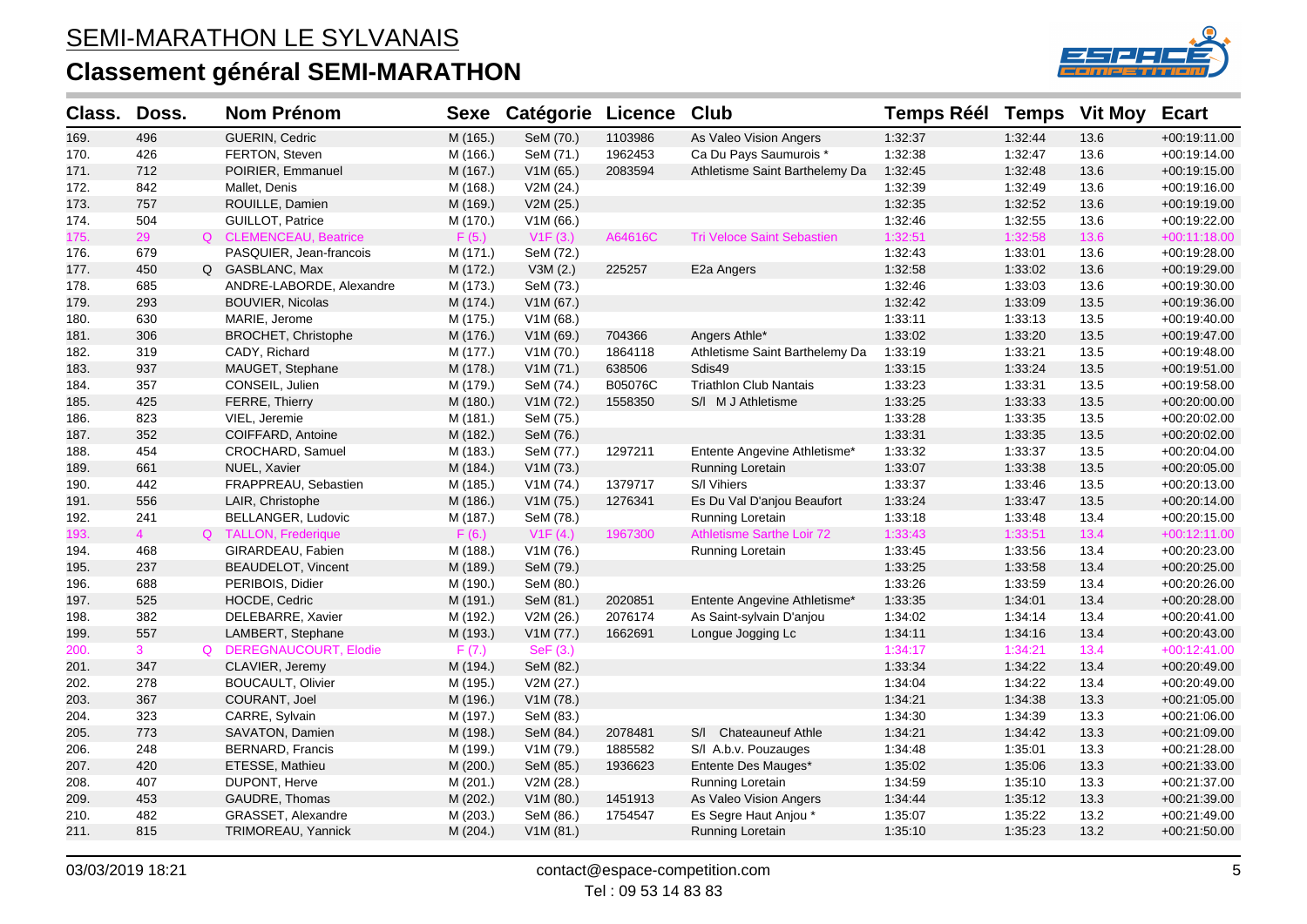

| Class. | Doss.          | <b>Nom Prénom</b>         | <b>Sexe</b> | <b>Catégorie Licence</b> |         | <b>Club</b>                       | <b>Temps Réél</b> | <b>Temps</b> | <b>Vit Moy</b> | <b>Ecart</b>   |
|--------|----------------|---------------------------|-------------|--------------------------|---------|-----------------------------------|-------------------|--------------|----------------|----------------|
| 169.   | 496            | GUERIN, Cedric            | M (165.)    | SeM (70.)                | 1103986 | As Valeo Vision Angers            | 1:32:37           | 1:32:44      | 13.6           | $+00:19:11.00$ |
| 170.   | 426            | FERTON, Steven            | M (166.)    | SeM (71.)                | 1962453 | Ca Du Pays Saumurois *            | 1:32:38           | 1:32:47      | 13.6           | $+00:19:14.00$ |
| 171.   | 712            | POIRIER, Emmanuel         | M (167.)    | V1M(65.)                 | 2083594 | Athletisme Saint Barthelemy Da    | 1:32:45           | 1:32:48      | 13.6           | $+00:19:15.00$ |
| 172.   | 842            | Mallet, Denis             | M (168.)    | V2M (24.)                |         |                                   | 1:32:39           | 1:32:49      | 13.6           | $+00:19:16.00$ |
| 173.   | 757            | ROUILLE, Damien           | M (169.)    | V2M (25.)                |         |                                   | 1:32:35           | 1:32:52      | 13.6           | $+00:19:19.00$ |
| 174.   | 504            | GUILLOT, Patrice          | M (170.)    | V1M (66.)                |         |                                   | 1:32:46           | 1:32:55      | 13.6           | +00:19:22.00   |
| 175.   | 29             | Q CLEMENCEAU, Beatrice    | F(5.)       | V1F(3.)                  | A64616C | <b>Tri Veloce Saint Sebastien</b> | 1:32:51           | 1:32:58      | 13.6           | $+00:11:18.00$ |
| 176.   | 679            | PASQUIER, Jean-francois   | M (171.)    | SeM (72.)                |         |                                   | 1:32:43           | 1:33:01      | 13.6           | +00:19:28.00   |
| 177.   | 450            | Q GASBLANC, Max           | M (172.)    | V3M(2.)                  | 225257  | E2a Angers                        | 1:32:58           | 1:33:02      | 13.6           | +00:19:29.00   |
| 178.   | 685            | ANDRE-LABORDE, Alexandre  | M (173.)    | SeM (73.)                |         |                                   | 1:32:46           | 1:33:03      | 13.6           | $+00:19:30.00$ |
| 179.   | 293            | <b>BOUVIER, Nicolas</b>   | M (174.)    | V1M (67.)                |         |                                   | 1:32:42           | 1:33:09      | 13.5           | +00:19:36.00   |
| 180.   | 630            | MARIE, Jerome             | M (175.)    | V1M (68.)                |         |                                   | 1:33:11           | 1:33:13      | 13.5           | $+00:19:40.00$ |
| 181.   | 306            | BROCHET, Christophe       | M (176.)    | V1M (69.)                | 704366  | Angers Athle*                     | 1:33:02           | 1:33:20      | 13.5           | +00:19:47.00   |
| 182.   | 319            | CADY, Richard             | M (177.)    | V1M (70.)                | 1864118 | Athletisme Saint Barthelemy Da    | 1:33:19           | 1:33:21      | 13.5           | $+00:19:48.00$ |
| 183.   | 937            | MAUGET, Stephane          | M (178.)    | V1M (71.)                | 638506  | Sdis49                            | 1:33:15           | 1:33:24      | 13.5           | +00:19:51.00   |
| 184.   | 357            | CONSEIL, Julien           | M (179.)    | SeM (74.)                | B05076C | <b>Triathlon Club Nantais</b>     | 1:33:23           | 1:33:31      | 13.5           | +00:19:58.00   |
| 185.   | 425            | <b>FERRE, Thierry</b>     | M (180.)    | V1M (72.)                | 1558350 | S/I M J Athletisme                | 1:33:25           | 1:33:33      | 13.5           | $+00:20:00.00$ |
| 186.   | 823            | VIEL, Jeremie             | M (181.)    | SeM (75.)                |         |                                   | 1:33:28           | 1:33:35      | 13.5           | $+00:20:02.00$ |
| 187.   | 352            | COIFFARD, Antoine         | M (182.)    | SeM (76.)                |         |                                   | 1:33:31           | 1:33:35      | 13.5           | +00:20:02.00   |
| 188.   | 454            | CROCHARD, Samuel          | M (183.)    | SeM (77.)                | 1297211 | Entente Angevine Athletisme*      | 1:33:32           | 1:33:37      | 13.5           | +00:20:04.00   |
| 189.   | 661            | NUEL, Xavier              | M (184.)    | V1M (73.)                |         | Running Loretain                  | 1:33:07           | 1:33:38      | 13.5           | $+00:20:05.00$ |
| 190.   | 442            | FRAPPREAU, Sebastien      | M (185.)    | V1M (74.)                | 1379717 | S/I Vihiers                       | 1:33:37           | 1:33:46      | 13.5           | $+00:20:13.00$ |
| 191.   | 556            | LAIR, Christophe          | M (186.)    | V1M (75.)                | 1276341 | Es Du Val D'anjou Beaufort        | 1:33:24           | 1:33:47      | 13.5           | $+00:20:14.00$ |
| 192.   | 241            | BELLANGER, Ludovic        | M (187.)    | SeM (78.)                |         | Running Loretain                  | 1:33:18           | 1:33:48      | 13.4           | $+00:20:15.00$ |
| 193.   | $\overline{4}$ | Q TALLON, Frederique      | F(6.)       | V1F(4.)                  | 1967300 | <b>Athletisme Sarthe Loir 72</b>  | 1:33:43           | 1:33:51      | 13.4           | $+00:12:11.00$ |
| 194.   | 468            | GIRARDEAU, Fabien         | M (188.)    | V1M (76.)                |         | Running Loretain                  | 1:33:45           | 1:33:56      | 13.4           | +00:20:23.00   |
| 195.   | 237            | <b>BEAUDELOT, Vincent</b> | M (189.)    | SeM (79.)                |         |                                   | 1:33:25           | 1:33:58      | 13.4           | $+00:20:25.00$ |
| 196.   | 688            | PERIBOIS, Didier          | M (190.)    | SeM (80.)                |         |                                   | 1:33:26           | 1:33:59      | 13.4           | +00:20:26.00   |
| 197.   | 525            | HOCDE, Cedric             | M (191.)    | SeM (81.)                | 2020851 | Entente Angevine Athletisme*      | 1:33:35           | 1:34:01      | 13.4           | $+00:20:28.00$ |
| 198.   | 382            | DELEBARRE, Xavier         | M (192.)    | V2M (26.)                | 2076174 | As Saint-sylvain D'anjou          | 1:34:02           | 1:34:14      | 13.4           | $+00:20:41.00$ |
| 199.   | 557            | LAMBERT, Stephane         | M (193.)    | V1M (77.)                | 1662691 | Longue Jogging Lc                 | 1:34:11           | 1:34:16      | 13.4           | +00:20:43.00   |
| 200.   | 3 <sup>7</sup> | Q DEREGNAUCOURT, Elodie   | F(7.)       | SeF(3.)                  |         |                                   | 1:34:17           | 1:34:21      | 13.4           | $+00:12:41.00$ |
| 201.   | 347            | CLAVIER, Jeremy           | M (194.)    | SeM (82.)                |         |                                   | 1:33:34           | 1:34:22      | 13.4           | +00:20:49.00   |
| 202.   | 278            | <b>BOUCAULT, Olivier</b>  | M (195.)    | V2M (27.)                |         |                                   | 1:34:04           | 1:34:22      | 13.4           | +00:20:49.00   |
| 203.   | 367            | COURANT, Joel             | M (196.)    | V1M (78.)                |         |                                   | 1:34:21           | 1:34:38      | 13.3           | $+00:21:05.00$ |
| 204.   | 323            | CARRE, Sylvain            | M (197.)    | SeM (83.)                |         |                                   | 1:34:30           | 1:34:39      | 13.3           | $+00:21:06.00$ |
| 205.   | 773            | SAVATON, Damien           | M (198.)    | SeM (84.)                | 2078481 | S/I Chateauneuf Athle             | 1:34:21           | 1:34:42      | 13.3           | +00:21:09.00   |
| 206.   | 248            | <b>BERNARD, Francis</b>   | M (199.)    | V1M (79.)                | 1885582 | S/I A.b.v. Pouzauges              | 1:34:48           | 1:35:01      | 13.3           | +00:21:28.00   |
| 207.   | 420            | ETESSE, Mathieu           | M(200.)     | SeM (85.)                | 1936623 | Entente Des Mauges*               | 1:35:02           | 1:35:06      | 13.3           | +00:21:33.00   |
| 208.   | 407            | DUPONT, Herve             | M (201.)    | V2M (28.)                |         | Running Loretain                  | 1:34:59           | 1:35:10      | 13.3           | +00:21:37.00   |
| 209.   | 453            | GAUDRE, Thomas            | M (202.)    | V1M(80.)                 | 1451913 | As Valeo Vision Angers            | 1:34:44           | 1:35:12      | 13.3           | +00:21:39.00   |
| 210.   | 482            | GRASSET, Alexandre        | M (203.)    | SeM (86.)                | 1754547 | Es Segre Haut Anjou *             | 1:35:07           | 1:35:22      | 13.2           | $+00:21:49.00$ |
| 211.   | 815            | TRIMOREAU, Yannick        | M (204.)    | V1M(81.)                 |         | Running Loretain                  | 1:35:10           | 1:35:23      | 13.2           | $+00:21:50.00$ |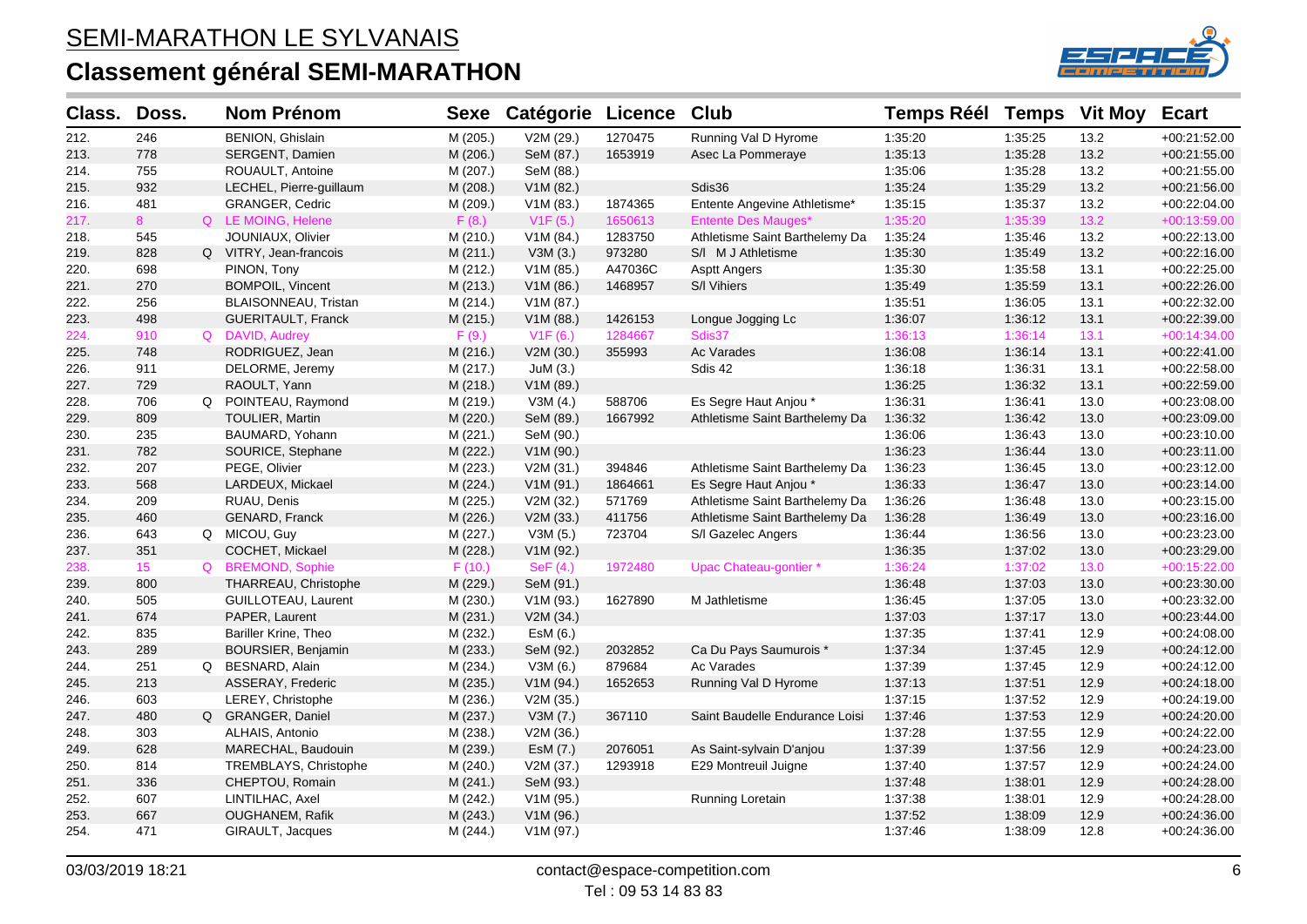

| Class. | Doss.           | <b>Nom Prénom</b>         | <b>Sexe</b> | <b>Catégorie Licence</b> |         | Club                           | <b>Temps Réél</b> | <b>Temps</b> | <b>Vit Moy</b> | <b>Ecart</b>   |
|--------|-----------------|---------------------------|-------------|--------------------------|---------|--------------------------------|-------------------|--------------|----------------|----------------|
| 212.   | 246             | BENION, Ghislain          | M (205.)    | V2M (29.)                | 1270475 | Running Val D Hyrome           | 1:35:20           | 1:35:25      | 13.2           | +00:21:52.00   |
| 213.   | 778             | SERGENT, Damien           | M (206.)    | SeM (87.)                | 1653919 | Asec La Pommeraye              | 1:35:13           | 1:35:28      | 13.2           | $+00:21:55.00$ |
| 214.   | 755             | ROUAULT, Antoine          | M (207.)    | SeM (88.)                |         |                                | 1:35:06           | 1:35:28      | 13.2           | $+00:21:55.00$ |
| 215.   | 932             | LECHEL, Pierre-guillaum   | M (208.)    | V1M (82.)                |         | Sdis36                         | 1:35:24           | 1:35:29      | 13.2           | +00:21:56.00   |
| 216.   | 481             | <b>GRANGER, Cedric</b>    | M (209.)    | V1M(83.)                 | 1874365 | Entente Angevine Athletisme*   | 1:35:15           | 1:35:37      | 13.2           | +00:22:04.00   |
| 217.   | 8               | Q LE MOING, Helene        | F(8.)       | V1F(5.)                  | 1650613 | <b>Entente Des Mauges*</b>     | 1:35:20           | 1:35:39      | 13.2           | $+00:13:59.00$ |
| 218.   | 545             | JOUNIAUX, Olivier         | M (210.)    | V1M (84.)                | 1283750 | Athletisme Saint Barthelemy Da | 1:35:24           | 1:35:46      | 13.2           | +00:22:13.00   |
| 219.   | 828             | Q VITRY, Jean-francois    | M (211.)    | V3M(3.)                  | 973280  | S/I M J Athletisme             | 1:35:30           | 1:35:49      | 13.2           | $+00:22:16.00$ |
| 220.   | 698             | PINON, Tony               | M (212.)    | V1M (85.)                | A47036C | <b>Asptt Angers</b>            | 1:35:30           | 1:35:58      | 13.1           | +00:22:25.00   |
| 221.   | 270             | BOMPOIL, Vincent          | M (213.)    | V1M(86.)                 | 1468957 | S/I Vihiers                    | 1:35:49           | 1:35:59      | 13.1           | +00:22:26.00   |
| 222.   | 256             | BLAISONNEAU, Tristan      | M (214.)    | V1M (87.)                |         |                                | 1:35:51           | 1:36:05      | 13.1           | +00:22:32.00   |
| 223.   | 498             | <b>GUERITAULT, Franck</b> | M (215.)    | V1M (88.)                | 1426153 | Longue Jogging Lc              | 1:36:07           | 1:36:12      | 13.1           | +00:22:39.00   |
| 224.   | 910             | Q DAVID, Audrey           | F(9.)       | V1F(6.)                  | 1284667 | Sdis37                         | 1:36:13           | 1:36:14      | 13.1           | $+00:14:34.00$ |
| 225.   | 748             | RODRIGUEZ, Jean           | M (216.)    | V2M (30.)                | 355993  | <b>Ac Varades</b>              | 1:36:08           | 1:36:14      | 13.1           | +00:22:41.00   |
| 226.   | 911             | DELORME, Jeremy           | M (217.)    | JuM(3.)                  |         | Sdis 42                        | 1:36:18           | 1:36:31      | 13.1           | +00:22:58.00   |
| 227.   | 729             | RAOULT, Yann              | M (218.)    | V1M (89.)                |         |                                | 1:36:25           | 1:36:32      | 13.1           | +00:22:59.00   |
| 228.   | 706             | Q POINTEAU, Raymond       | M (219.)    | V3M (4.)                 | 588706  | Es Segre Haut Anjou *          | 1:36:31           | 1:36:41      | 13.0           | +00:23:08.00   |
| 229.   | 809             | TOULIER, Martin           | M (220.)    | SeM (89.)                | 1667992 | Athletisme Saint Barthelemy Da | 1:36:32           | 1:36:42      | 13.0           | $+00:23:09.00$ |
| 230.   | 235             | BAUMARD, Yohann           | M(221.)     | SeM (90.)                |         |                                | 1:36:06           | 1:36:43      | 13.0           | +00:23:10.00   |
| 231.   | 782             | SOURICE, Stephane         | M (222.)    | V1M (90.)                |         |                                | 1:36:23           | 1:36:44      | 13.0           | +00:23:11.00   |
| 232.   | 207             | PEGE, Olivier             | M (223.)    | V2M (31.)                | 394846  | Athletisme Saint Barthelemy Da | 1:36:23           | 1:36:45      | 13.0           | +00:23:12.00   |
| 233.   | 568             | LARDEUX, Mickael          | M (224.)    | V1M(91.)                 | 1864661 | Es Segre Haut Anjou *          | 1:36:33           | 1:36:47      | 13.0           | +00:23:14.00   |
| 234.   | 209             | RUAU, Denis               | M (225.)    | V2M (32.)                | 571769  | Athletisme Saint Barthelemy Da | 1:36:26           | 1:36:48      | 13.0           | +00:23:15.00   |
| 235.   | 460             | GENARD, Franck            | M (226.)    | V2M (33.)                | 411756  | Athletisme Saint Barthelemy Da | 1:36:28           | 1:36:49      | 13.0           | +00:23:16.00   |
| 236.   | 643             | Q MICOU, Guy              | M (227.)    | V3M(5.)                  | 723704  | S/I Gazelec Angers             | 1:36:44           | 1:36:56      | 13.0           | +00:23:23.00   |
| 237.   | 351             | COCHET, Mickael           | M (228.)    | V1M (92.)                |         |                                | 1:36:35           | 1:37:02      | 13.0           | $+00.23.29.00$ |
| 238.   | 15 <sub>1</sub> | Q BREMOND, Sophie         | F(10.)      | SeF $(4.)$               | 1972480 | Upac Chateau-gontier *         | 1:36:24           | 1:37:02      | 13.0           | $+00:15:22.00$ |
| 239.   | 800             | THARREAU, Christophe      | M (229.)    | SeM (91.)                |         |                                | 1:36:48           | 1:37:03      | 13.0           | +00:23:30.00   |
| 240.   | 505             | GUILLOTEAU, Laurent       | M (230.)    | V1M(93.)                 | 1627890 | M Jathletisme                  | 1:36:45           | 1:37:05      | 13.0           | +00:23:32.00   |
| 241.   | 674             | PAPER, Laurent            | M (231.)    | V2M (34.)                |         |                                | 1:37:03           | 1:37:17      | 13.0           | +00:23:44.00   |
| 242.   | 835             | Bariller Krine, Theo      | M (232.)    | EsM (6.)                 |         |                                | 1:37:35           | 1:37:41      | 12.9           | +00:24:08.00   |
| 243.   | 289             | BOURSIER, Benjamin        | M (233.)    | SeM (92.)                | 2032852 | Ca Du Pays Saumurois *         | 1:37:34           | 1:37:45      | 12.9           | $+00.24:12.00$ |
| 244.   | 251             | Q BESNARD, Alain          | M (234.)    | V3M (6.)                 | 879684  | Ac Varades                     | 1:37:39           | 1:37:45      | 12.9           | +00:24:12.00   |
| 245.   | 213             | ASSERAY, Frederic         | M (235.)    | V1M (94.)                | 1652653 | Running Val D Hyrome           | 1:37:13           | 1:37:51      | 12.9           | +00:24:18.00   |
| 246.   | 603             | LEREY, Christophe         | M (236.)    | V2M (35.)                |         |                                | 1:37:15           | 1:37:52      | 12.9           | $+00.24:19.00$ |
| 247.   | 480             | Q GRANGER, Daniel         | M (237.)    | V3M(7.)                  | 367110  | Saint Baudelle Endurance Loisi | 1:37:46           | 1:37:53      | 12.9           | +00:24:20.00   |
| 248.   | 303             | ALHAIS, Antonio           | M (238.)    | V2M (36.)                |         |                                | 1:37:28           | 1:37:55      | 12.9           | +00:24:22.00   |
| 249.   | 628             | MARECHAL, Baudouin        | M (239.)    | EsM (7.)                 | 2076051 | As Saint-sylvain D'anjou       | 1:37:39           | 1:37:56      | 12.9           | +00:24:23.00   |
| 250.   | 814             | TREMBLAYS, Christophe     | M (240.)    | V2M (37.)                | 1293918 | E29 Montreuil Juigne           | 1:37:40           | 1:37:57      | 12.9           | $+00:24:24.00$ |
| 251.   | 336             | CHEPTOU, Romain           | M(241.)     | SeM (93.)                |         |                                | 1:37:48           | 1:38:01      | 12.9           | +00:24:28.00   |
| 252.   | 607             | LINTILHAC, Axel           | M (242.)    | V1M (95.)                |         | Running Loretain               | 1:37:38           | 1:38:01      | 12.9           | +00:24:28.00   |
| 253.   | 667             | <b>OUGHANEM, Rafik</b>    | M (243.)    | V1M (96.)                |         |                                | 1:37:52           | 1:38:09      | 12.9           | +00:24:36.00   |
| 254.   | 471             | GIRAULT, Jacques          | M (244.)    | V1M (97.)                |         |                                | 1:37:46           | 1:38:09      | 12.8           | $+00:24:36.00$ |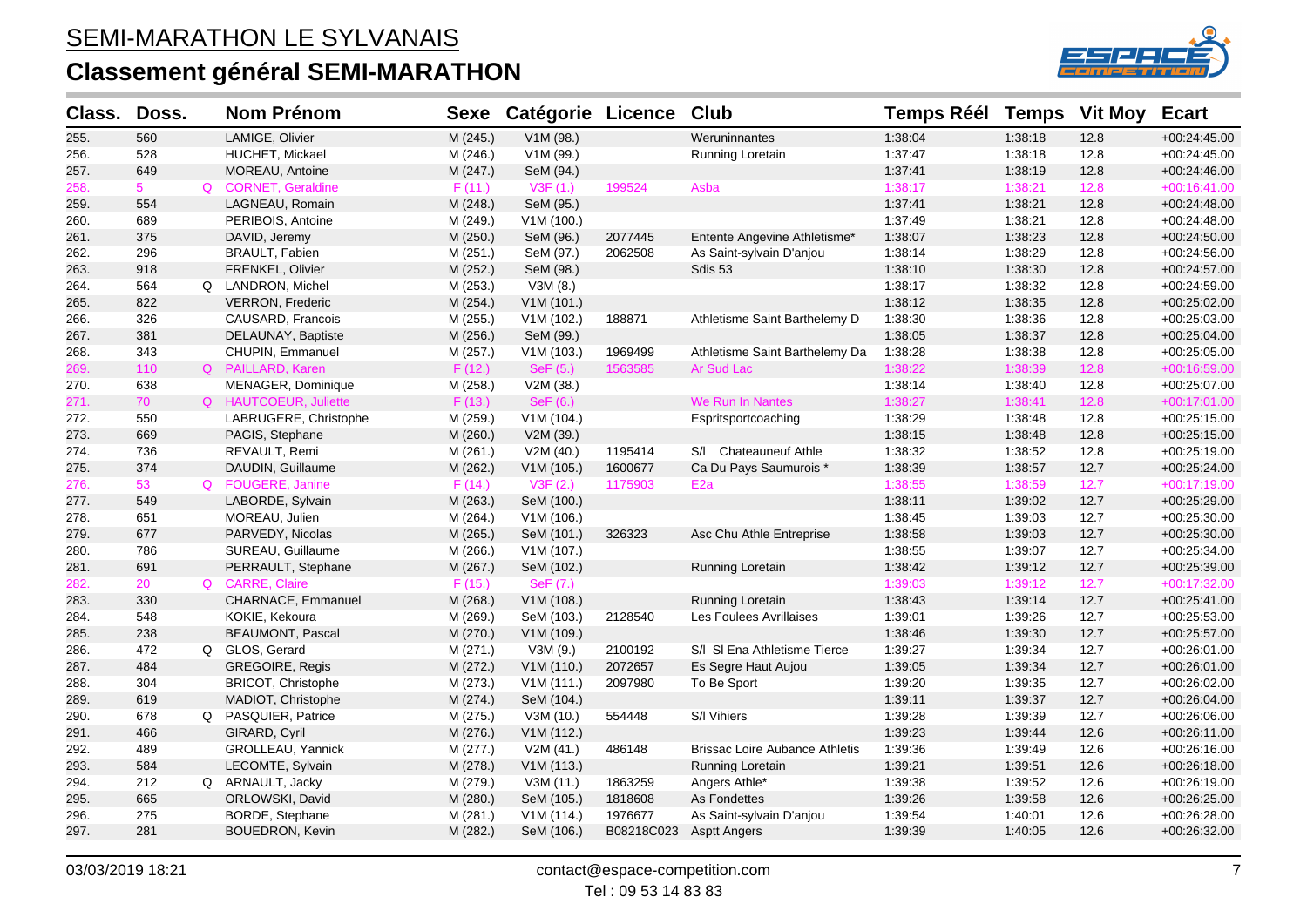

| Class. | Doss.          | <b>Nom Prénom</b>         | <b>Sexe</b> | <b>Catégorie Licence</b> |            | Club                                  | <b>Temps Réél</b> | <b>Temps</b> | <b>Vit Moy</b> | <b>Ecart</b>   |
|--------|----------------|---------------------------|-------------|--------------------------|------------|---------------------------------------|-------------------|--------------|----------------|----------------|
| 255.   | 560            | LAMIGE, Olivier           | M (245.)    | V1M (98.)                |            | Weruninnantes                         | 1:38:04           | 1:38:18      | 12.8           | $+00:24:45.00$ |
| 256.   | 528            | HUCHET, Mickael           | M (246.)    | V1M (99.)                |            | Running Loretain                      | 1:37:47           | 1:38:18      | 12.8           | $+00:24:45.00$ |
| 257.   | 649            | MOREAU, Antoine           | M (247.)    | SeM (94.)                |            |                                       | 1:37:41           | 1:38:19      | 12.8           | +00:24:46.00   |
| 258.   | 5 <sup>1</sup> | Q CORNET, Geraldine       | F(11.)      | V3F(1.)                  | 199524     | Asba                                  | 1:38:17           | 1:38:21      | 12.8           | $+00:16:41.00$ |
| 259.   | 554            | LAGNEAU, Romain           | M (248.)    | SeM (95.)                |            |                                       | 1.37.41           | 1:38:21      | 12.8           | $+00:24:48.00$ |
| 260.   | 689            | PERIBOIS, Antoine         | M (249.)    | V1M (100.)               |            |                                       | 1:37:49           | 1:38:21      | 12.8           | +00:24:48.00   |
| 261.   | 375            | DAVID, Jeremy             | M (250.)    | SeM (96.)                | 2077445    | Entente Angevine Athletisme*          | 1:38:07           | 1:38:23      | 12.8           | +00:24:50.00   |
| 262.   | 296            | <b>BRAULT, Fabien</b>     | M (251.)    | SeM (97.)                | 2062508    | As Saint-sylvain D'anjou              | 1:38:14           | 1:38:29      | 12.8           | +00:24:56.00   |
| 263.   | 918            | FRENKEL, Olivier          | M (252.)    | SeM (98.)                |            | Sdis 53                               | 1:38:10           | 1:38:30      | 12.8           | +00:24:57.00   |
| 264.   | 564            | Q LANDRON, Michel         | M (253.)    | V3M (8.)                 |            |                                       | 1:38:17           | 1:38:32      | 12.8           | +00:24:59.00   |
| 265.   | 822            | <b>VERRON, Frederic</b>   | M (254.)    | V1M (101.)               |            |                                       | 1:38:12           | 1:38:35      | 12.8           | +00:25:02.00   |
| 266.   | 326            | CAUSARD, Francois         | M (255.)    | V1M (102.)               | 188871     | Athletisme Saint Barthelemy D         | 1:38:30           | 1:38:36      | 12.8           | +00:25:03.00   |
| 267.   | 381            | DELAUNAY, Baptiste        | M (256.)    | SeM (99.)                |            |                                       | 1:38:05           | 1:38:37      | 12.8           | $+00:25:04.00$ |
| 268.   | 343            | CHUPIN, Emmanuel          | M (257.)    | V1M (103.)               | 1969499    | Athletisme Saint Barthelemy Da        | 1:38:28           | 1:38:38      | 12.8           | +00:25:05.00   |
| 269.   | 110            | Q PAILLARD, Karen         | F(12.)      | SeF (5.)                 | 1563585    | Ar Sud Lac                            | 1:38:22           | 1:38:39      | 12.8           | +00:16:59.00   |
| 270.   | 638            | MENAGER, Dominique        | M (258.)    | V2M (38.)                |            |                                       | 1:38:14           | 1:38:40      | 12.8           | +00:25:07.00   |
| 271.   | 70             | Q HAUTCOEUR, Juliette     | F(13.)      | SeF (6.)                 |            | We Run In Nantes                      | 1:38:27           | 1:38:41      | 12.8           | +00:17:01.00   |
| 272.   | 550            | LABRUGERE, Christophe     | M (259.)    | V1M (104.)               |            | Espritsportcoaching                   | 1:38:29           | 1:38:48      | 12.8           | +00:25:15.00   |
| 273.   | 669            | PAGIS, Stephane           | M (260.)    | V2M (39.)                |            |                                       | 1:38:15           | 1:38:48      | 12.8           | +00:25:15.00   |
| 274.   | 736            | REVAULT, Remi             | M (261.)    | V2M (40.)                | 1195414    | S/I Chateauneuf Athle                 | 1:38:32           | 1:38:52      | 12.8           | +00:25:19.00   |
| 275.   | 374            | DAUDIN, Guillaume         | M (262.)    | V1M (105.)               | 1600677    | Ca Du Pays Saumurois *                | 1:38:39           | 1:38:57      | 12.7           | $+00:25:24.00$ |
| 276.   | 53             | Q FOUGERE, Janine         | F(14.)      | V3F(2.)                  | 1175903    | E <sub>2a</sub>                       | 1:38:55           | 1:38:59      | 12.7           | +00:17:19.00   |
| 277.   | 549            | LABORDE, Sylvain          | M (263.)    | SeM (100.)               |            |                                       | 1:38:11           | 1:39:02      | 12.7           | +00:25:29.00   |
| 278.   | 651            | MOREAU, Julien            | M (264.)    | V1M(106.)                |            |                                       | 1:38:45           | 1:39:03      | 12.7           | +00:25:30.00   |
| 279.   | 677            | PARVEDY, Nicolas          | M (265.)    | SeM (101.)               | 326323     | Asc Chu Athle Entreprise              | 1:38:58           | 1:39:03      | 12.7           | +00:25:30.00   |
| 280.   | 786            | SUREAU, Guillaume         | M (266.)    | V1M (107.)               |            |                                       | 1:38:55           | 1:39:07      | 12.7           | +00:25:34.00   |
| 281.   | 691            | PERRAULT, Stephane        | M (267.)    | SeM (102.)               |            | <b>Running Loretain</b>               | 1:38:42           | 1:39:12      | 12.7           | +00:25:39.00   |
| 282.   | 20             | Q CARRE, Claire           | F(15.)      | SeF (7.)                 |            |                                       | 1:39:03           | 1:39:12      | 12.7           | +00:17:32.00   |
| 283.   | 330            | CHARNACE, Emmanuel        | M (268.)    | V1M (108.)               |            | <b>Running Loretain</b>               | 1:38:43           | 1:39:14      | 12.7           | $+00:25:41.00$ |
| 284.   | 548            | KOKIE, Kekoura            | M (269.)    | SeM (103.)               | 2128540    | Les Foulees Avrillaises               | 1:39:01           | 1:39:26      | 12.7           | +00:25:53.00   |
| 285.   | 238            | <b>BEAUMONT, Pascal</b>   | M (270.)    | V1M (109.)               |            |                                       | 1:38:46           | 1:39:30      | 12.7           | +00:25:57.00   |
| 286.   | 472            | Q GLOS, Gerard            | M (271.)    | V3M (9.)                 | 2100192    | S/I SI Ena Athletisme Tierce          | 1:39:27           | 1:39:34      | 12.7           | +00:26:01.00   |
| 287.   | 484            | GREGOIRE, Regis           | M (272.)    | V1M (110.)               | 2072657    | Es Segre Haut Aujou                   | 1:39:05           | 1:39:34      | 12.7           | +00:26:01.00   |
| 288.   | 304            | <b>BRICOT, Christophe</b> | M (273.)    | V1M (111.)               | 2097980    | To Be Sport                           | 1:39:20           | 1:39:35      | 12.7           | +00:26:02.00   |
| 289.   | 619            | MADIOT, Christophe        | M (274.)    | SeM (104.)               |            |                                       | 1:39:11           | 1:39:37      | 12.7           | $+00:26:04.00$ |
| 290.   | 678            | Q PASQUIER, Patrice       | M (275.)    | V3M(10.)                 | 554448     | S/I Vihiers                           | 1:39:28           | 1:39:39      | 12.7           | +00:26:06.00   |
| 291.   | 466            | GIRARD, Cyril             | M (276.)    | V1M (112.)               |            |                                       | 1:39:23           | 1:39:44      | 12.6           | +00:26:11.00   |
| 292.   | 489            | GROLLEAU, Yannick         | M (277.)    | V2M (41.)                | 486148     | <b>Brissac Loire Aubance Athletis</b> | 1:39:36           | 1:39:49      | 12.6           | +00:26:16.00   |
| 293.   | 584            | LECOMTE, Sylvain          | M (278.)    | V1M (113.)               |            | Running Loretain                      | 1:39:21           | 1:39:51      | 12.6           | +00:26:18.00   |
| 294.   | 212            | Q ARNAULT, Jacky          | M (279.)    | V3M(11.)                 | 1863259    | Angers Athle*                         | 1:39:38           | 1:39:52      | 12.6           | +00:26:19.00   |
| 295.   | 665            | ORLOWSKI, David           | M (280.)    | SeM (105.)               | 1818608    | As Fondettes                          | 1:39:26           | 1:39:58      | 12.6           | +00:26:25.00   |
| 296.   | 275            | <b>BORDE, Stephane</b>    | M (281.)    | V1M(114.)                | 1976677    | As Saint-sylvain D'anjou              | 1:39:54           | 1:40:01      | 12.6           | +00:26:28.00   |
| 297.   | 281            | BOUEDRON, Kevin           | M (282.)    | SeM (106.)               | B08218C023 | Asptt Angers                          | 1:39:39           | 1:40:05      | 12.6           | +00:26:32.00   |
|        |                |                           |             |                          |            |                                       |                   |              |                |                |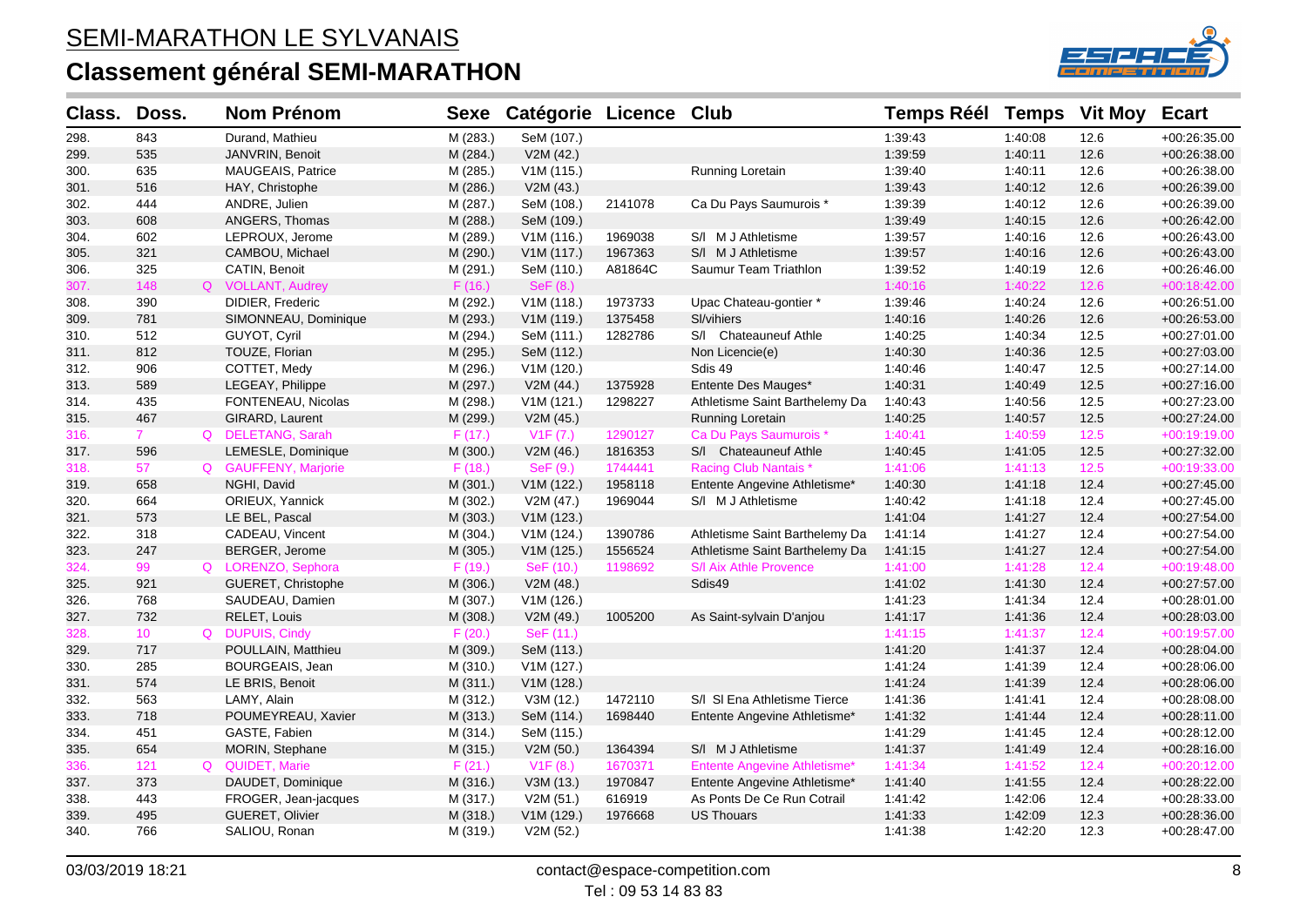

| Class. | Doss.           |          | <b>Nom Prénom</b>        | <b>Sexe</b> | Catégorie Licence Club |         |                                | <b>Temps Réél</b> | <b>Temps</b> | <b>Vit Moy</b> | <b>Ecart</b>   |
|--------|-----------------|----------|--------------------------|-------------|------------------------|---------|--------------------------------|-------------------|--------------|----------------|----------------|
| 298.   | 843             |          | Durand, Mathieu          | M (283.)    | SeM (107.)             |         |                                | 1:39:43           | 1:40:08      | 12.6           | $+00:26:35.00$ |
| 299.   | 535             |          | JANVRIN, Benoit          | M (284.)    | V2M(42.)               |         |                                | 1:39:59           | 1:40:11      | 12.6           | +00:26:38.00   |
| 300.   | 635             |          | <b>MAUGEAIS, Patrice</b> | M (285.)    | V1M (115.)             |         | Running Loretain               | 1:39:40           | 1:40:11      | 12.6           | +00:26:38.00   |
| 301.   | 516             |          | HAY, Christophe          | M (286.)    | V2M (43.)              |         |                                | 1:39:43           | 1:40:12      | 12.6           | +00:26:39.00   |
| 302.   | 444             |          | ANDRE, Julien            | M (287.)    | SeM (108.)             | 2141078 | Ca Du Pays Saumurois *         | 1:39:39           | 1:40:12      | 12.6           | +00:26:39.00   |
| 303.   | 608             |          | ANGERS, Thomas           | M (288.)    | SeM (109.)             |         |                                | 1:39:49           | 1:40:15      | 12.6           | +00:26:42.00   |
| 304.   | 602             |          | LEPROUX, Jerome          | M (289.)    | V1M (116.)             | 1969038 | S/I M J Athletisme             | 1:39:57           | 1:40:16      | 12.6           | +00:26:43.00   |
| 305.   | 321             |          | CAMBOU, Michael          | M (290.)    | V1M (117.)             | 1967363 | S/I M J Athletisme             | 1:39:57           | 1:40:16      | 12.6           | $+00:26:43.00$ |
| 306.   | 325             |          | CATIN, Benoit            | M (291.)    | SeM (110.)             | A81864C | Saumur Team Triathlon          | 1:39:52           | 1:40:19      | 12.6           | +00:26:46.00   |
| 307.   | 148             |          | Q VOLLANT, Audrey        | F(16.)      | SeF (8.)               |         |                                | 1:40:16           | 1:40:22      | 12.6           | +00:18:42.00   |
| 308.   | 390             |          | DIDIER, Frederic         | M (292.)    | V1M(118.)              | 1973733 | Upac Chateau-gontier *         | 1:39:46           | 1:40:24      | 12.6           | +00:26:51.00   |
| 309.   | 781             |          | SIMONNEAU, Dominique     | M (293.)    | V1M (119.)             | 1375458 | SI/vihiers                     | 1:40:16           | 1:40:26      | 12.6           | +00:26:53.00   |
| 310.   | 512             |          | GUYOT, Cyril             | M (294.)    | SeM (111.)             | 1282786 | S/I Chateauneuf Athle          | 1:40:25           | 1:40:34      | 12.5           | +00:27:01.00   |
| 311.   | 812             |          | TOUZE, Florian           | M (295.)    | SeM (112.)             |         | Non Licencie(e)                | 1:40:30           | 1:40:36      | 12.5           | +00:27:03.00   |
| 312.   | 906             |          | COTTET, Medy             | M (296.)    | V1M (120.)             |         | Sdis 49                        | 1:40:46           | 1:40:47      | 12.5           | +00:27:14.00   |
| 313.   | 589             |          | LEGEAY, Philippe         | M (297.)    | V2M (44.)              | 1375928 | Entente Des Mauges*            | 1:40:31           | 1:40:49      | 12.5           | +00:27:16.00   |
| 314.   | 435             |          | FONTENEAU, Nicolas       | M (298.)    | V1M (121.)             | 1298227 | Athletisme Saint Barthelemy Da | 1:40:43           | 1:40:56      | 12.5           | +00:27:23.00   |
| 315.   | 467             |          | GIRARD, Laurent          | M (299.)    | V2M (45.)              |         | Running Loretain               | 1:40:25           | 1:40:57      | 12.5           | +00:27:24.00   |
| 316.   | $7^{\circ}$     |          | Q DELETANG, Sarah        | F(17.)      | V1F (7.)               | 1290127 | Ca Du Pays Saumurois *         | 1:40:41           | 1:40:59      | $12.5$         | $+00:19:19.00$ |
| 317.   | 596             |          | LEMESLE, Dominique       | M (300.)    | V2M (46.)              | 1816353 | S/I Chateauneuf Athle          | 1:40:45           | 1:41:05      | 12.5           | +00:27:32.00   |
| 318.   | 57              |          | Q GAUFFENY, Marjorie     | F(18.)      | SeF(9.)                | 1744441 | <b>Racing Club Nantais*</b>    | 1:41:06           | 1:41:13      | $12.5$         | +00:19:33.00   |
| 319.   | 658             |          | NGHI, David              | M (301.)    | V1M (122.)             | 1958118 | Entente Angevine Athletisme*   | 1:40:30           | 1:41:18      | 12.4           | +00:27:45.00   |
| 320.   | 664             |          | ORIEUX, Yannick          | M (302.)    | V2M (47.)              | 1969044 | S/I M J Athletisme             | 1:40:42           | 1:41:18      | 12.4           | +00:27:45.00   |
| 321.   | 573             |          | LE BEL, Pascal           | M (303.)    | V1M (123.)             |         |                                | 1:41:04           | 1:41:27      | 12.4           | +00:27:54.00   |
| 322.   | 318             |          | CADEAU, Vincent          | M (304.)    | V1M(124.)              | 1390786 | Athletisme Saint Barthelemy Da | 1:41:14           | 1:41:27      | 12.4           | +00:27:54.00   |
| 323.   | 247             |          | BERGER, Jerome           | M (305.)    | V1M (125.)             | 1556524 | Athletisme Saint Barthelemy Da | 1:41:15           | 1:41:27      | 12.4           | $+00:27:54.00$ |
| 324.   | 99              |          | Q LORENZO, Sephora       | F(19.)      | SeF (10.)              | 1198692 | S/I Aix Athle Provence         | 1:41:00           | 1:41:28      | 12.4           | +00:19:48.00   |
| 325.   | 921             |          | GUERET, Christophe       | M (306.)    | V2M (48.)              |         | Sdis49                         | 1:41:02           | 1:41:30      | 12.4           | +00:27:57.00   |
| 326.   | 768             |          | SAUDEAU, Damien          | M (307.)    | V1M (126.)             |         |                                | 1:41:23           | 1:41:34      | 12.4           | +00:28:01.00   |
| 327.   | 732             |          | RELET, Louis             | M (308.)    | V2M (49.)              | 1005200 | As Saint-sylvain D'anjou       | 1:41:17           | 1:41:36      | 12.4           | +00:28:03.00   |
| 328.   | 10 <sup>°</sup> |          | Q DUPUIS, Cindy          | F(20.)      | SeF (11.)              |         |                                | 1:41:15           | 1:41:37      | 12.4           | +00:19:57.00   |
| 329.   | 717             |          | POULLAIN, Matthieu       | M (309.)    | SeM (113.)             |         |                                | 1:41:20           | 1:41:37      | 12.4           | +00:28:04.00   |
| 330.   | 285             |          | BOURGEAIS, Jean          | M (310.)    | V1M (127.)             |         |                                | 1:41:24           | 1:41:39      | 12.4           | $+00:28:06.00$ |
| 331.   | 574             |          | LE BRIS, Benoit          | M (311.)    | V1M (128.)             |         |                                | 1:41:24           | 1:41:39      | 12.4           | +00:28:06.00   |
| 332.   | 563             |          | LAMY, Alain              | M (312.)    | V3M (12.)              | 1472110 | S/I SI Ena Athletisme Tierce   | 1:41:36           | 1:41:41      | 12.4           | +00:28:08.00   |
| 333.   | 718             |          | POUMEYREAU, Xavier       | M (313.)    | SeM (114.)             | 1698440 | Entente Angevine Athletisme*   | 1:41:32           | 1:41:44      | 12.4           | +00:28:11.00   |
| 334.   | 451             |          | GASTE, Fabien            | M (314.)    | SeM (115.)             |         |                                | 1:41:29           | 1:41:45      | 12.4           | +00:28:12.00   |
| 335.   | 654             |          | MORIN, Stephane          | M (315.)    | V2M (50.)              | 1364394 | S/I M J Athletisme             | 1:41:37           | 1:41:49      | 12.4           | +00:28:16.00   |
| 336.   | 121             | $\Omega$ | <b>QUIDET, Marie</b>     | F(21.)      | V1F(8.)                | 1670371 | Entente Angevine Athletisme*   | 1:41:34           | 1:41:52      | 12.4           | +00:20:12.00   |
| 337.   | 373             |          | DAUDET, Dominique        | M (316.)    | V3M (13.)              | 1970847 | Entente Angevine Athletisme*   | 1:41:40           | 1:41:55      | 12.4           | +00:28:22.00   |
| 338.   | 443             |          | FROGER, Jean-jacques     | M (317.)    | V2M (51.)              | 616919  | As Ponts De Ce Run Cotrail     | 1:41:42           | 1:42:06      | 12.4           | +00:28:33.00   |
| 339.   | 495             |          | GUERET, Olivier          | M (318.)    | V1M (129.)             | 1976668 | <b>US Thouars</b>              | 1:41:33           | 1:42:09      | 12.3           | +00:28:36.00   |
| 340.   | 766             |          | SALIOU, Ronan            | M (319.)    | V2M (52.)              |         |                                | 1:41:38           | 1:42:20      | 12.3           | +00:28:47.00   |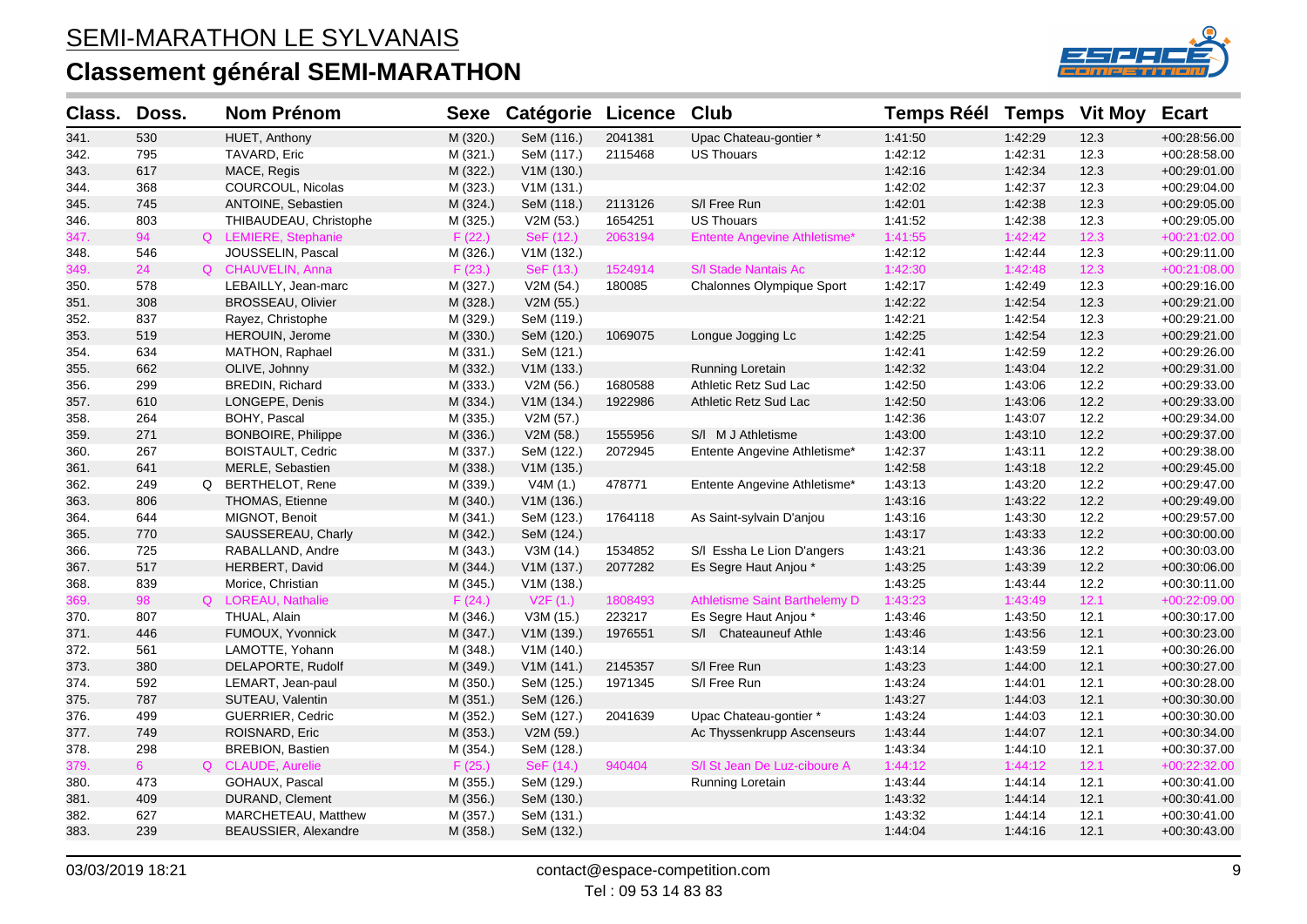

| Class. | Doss.          | <b>Nom Prénom</b>        | <b>Sexe</b> | Catégorie  | <b>Licence</b> | <b>Club</b>                          | <b>Temps Réél</b> | <b>Temps</b> | <b>Vit Moy</b> | <b>Ecart</b>   |
|--------|----------------|--------------------------|-------------|------------|----------------|--------------------------------------|-------------------|--------------|----------------|----------------|
| 341.   | 530            | HUET, Anthony            | M (320.)    | SeM (116.) | 2041381        | Upac Chateau-gontier *               | 1:41:50           | 1:42:29      | 12.3           | +00:28:56.00   |
| 342.   | 795            | TAVARD, Eric             | M (321.)    | SeM (117.) | 2115468        | <b>US Thouars</b>                    | 1:42:12           | 1:42:31      | 12.3           | +00:28:58.00   |
| 343.   | 617            | MACE, Regis              | M (322.)    | V1M (130.) |                |                                      | 1:42:16           | 1:42:34      | 12.3           | +00:29:01.00   |
| 344.   | 368            | COURCOUL, Nicolas        | M (323.)    | V1M(131.)  |                |                                      | 1:42:02           | 1:42:37      | 12.3           | +00:29:04.00   |
| 345.   | 745            | ANTOINE, Sebastien       | M (324.)    | SeM (118.) | 2113126        | S/I Free Run                         | 1:42:01           | 1:42:38      | 12.3           | +00:29:05.00   |
| 346.   | 803            | THIBAUDEAU, Christophe   | M (325.)    | V2M (53.)  | 1654251        | <b>US Thouars</b>                    | 1:41:52           | 1:42:38      | 12.3           | $+00.29.05.00$ |
| 347.   | 94             | Q LEMIERE, Stephanie     | F(22.)      | SeF (12.)  | 2063194        | <b>Entente Angevine Athletisme*</b>  | 1:41:55           | 1:42:42      | 12.3           | +00:21:02.00   |
| 348.   | 546            | JOUSSELIN, Pascal        | M (326.)    | V1M (132.) |                |                                      | 1:42:12           | 1:42:44      | 12.3           | +00:29:11.00   |
| 349.   | 24             | Q CHAUVELIN, Anna        | F(23.)      | SeF (13.)  | 1524914        | S/I Stade Nantais Ac                 | 1:42:30           | 1:42:48      | 12.3           | +00:21:08.00   |
| 350.   | 578            | LEBAILLY, Jean-marc      | M (327.)    | V2M (54.)  | 180085         | Chalonnes Olympique Sport            | 1:42:17           | 1:42:49      | 12.3           | +00:29:16.00   |
| 351.   | 308            | <b>BROSSEAU, Olivier</b> | M (328.)    | V2M (55.)  |                |                                      | 1:42:22           | 1:42:54      | 12.3           | +00:29:21.00   |
| 352.   | 837            | Rayez, Christophe        | M (329.)    | SeM (119.) |                |                                      | 1:42:21           | 1:42:54      | 12.3           | $+00:29:21.00$ |
| 353.   | 519            | HEROUIN, Jerome          | M (330.)    | SeM (120.) | 1069075        | Longue Jogging Lc                    | 1:42:25           | 1:42:54      | 12.3           | +00:29:21.00   |
| 354.   | 634            | MATHON, Raphael          | M (331.)    | SeM (121.) |                |                                      | 1:42:41           | 1:42:59      | 12.2           | +00:29:26.00   |
| 355.   | 662            | OLIVE, Johnny            | M (332.)    | V1M (133.) |                | Running Loretain                     | 1:42:32           | 1:43:04      | 12.2           | $+00:29:31.00$ |
| 356.   | 299            | BREDIN, Richard          | M (333.)    | V2M (56.)  | 1680588        | Athletic Retz Sud Lac                | 1:42:50           | 1:43:06      | 12.2           | +00:29:33.00   |
| 357.   | 610            | LONGEPE, Denis           | M (334.)    | V1M (134.) | 1922986        | Athletic Retz Sud Lac                | 1:42:50           | 1:43:06      | 12.2           | +00:29:33.00   |
| 358.   | 264            | BOHY, Pascal             | M (335.)    | V2M (57.)  |                |                                      | 1:42:36           | 1:43:07      | 12.2           | +00:29:34.00   |
| 359.   | 271            | BONBOIRE, Philippe       | M (336.)    | V2M (58.)  | 1555956        | S/I M J Athletisme                   | 1:43:00           | 1:43:10      | 12.2           | +00:29:37.00   |
| 360.   | 267            | <b>BOISTAULT, Cedric</b> | M (337.)    | SeM (122.) | 2072945        | Entente Angevine Athletisme*         | 1:42:37           | 1:43:11      | 12.2           | +00:29:38.00   |
| 361.   | 641            | MERLE, Sebastien         | M (338.)    | V1M (135.) |                |                                      | 1:42:58           | 1:43:18      | 12.2           | +00:29:45.00   |
| 362.   | 249            | Q BERTHELOT, Rene        | M (339.)    | V4M (1.)   | 478771         | Entente Angevine Athletisme*         | 1:43:13           | 1:43:20      | 12.2           | +00:29:47.00   |
| 363.   | 806            | THOMAS, Etienne          | M (340.)    | V1M (136.) |                |                                      | 1:43:16           | 1:43:22      | 12.2           | +00:29:49.00   |
| 364.   | 644            | MIGNOT, Benoit           | M (341.)    | SeM (123.) | 1764118        | As Saint-sylvain D'anjou             | 1:43:16           | 1:43:30      | 12.2           | $+00:29:57.00$ |
| 365.   | 770            | SAUSSEREAU, Charly       | M (342.)    | SeM (124.) |                |                                      | 1:43:17           | 1:43:33      | 12.2           | +00:30:00.00   |
| 366.   | 725            | RABALLAND, Andre         | M (343.)    | V3M (14.)  | 1534852        | S/I Essha Le Lion D'angers           | 1:43:21           | 1:43:36      | 12.2           | +00:30:03.00   |
| 367.   | 517            | <b>HERBERT, David</b>    | M (344.)    | V1M (137.) | 2077282        | Es Segre Haut Anjou *                | 1:43:25           | 1:43:39      | 12.2           | $+00:30:06.00$ |
| 368.   | 839            | Morice, Christian        | M (345.)    | V1M(138.)  |                |                                      | 1:43:25           | 1:43:44      | 12.2           | +00:30:11.00   |
| 369.   | 98             | Q LOREAU, Nathalie       | F(24.)      | V2F(1.)    | 1808493        | <b>Athletisme Saint Barthelemy D</b> | 1:43:23           | 1:43:49      | 12.1           | +00:22:09.00   |
| 370.   | 807            | THUAL, Alain             | M (346.)    | V3M (15.)  | 223217         | Es Segre Haut Anjou *                | 1:43:46           | 1:43:50      | 12.1           | $+00:30:17.00$ |
| 371.   | 446            | FUMOUX, Yvonnick         | M (347.)    | V1M (139.) | 1976551        | S/I Chateauneuf Athle                | 1:43:46           | 1:43:56      | 12.1           | $+00:30:23.00$ |
| 372.   | 561            | LAMOTTE, Yohann          | M (348.)    | V1M(140.)  |                |                                      | 1:43:14           | 1:43:59      | 12.1           | +00:30:26.00   |
| 373.   | 380            | DELAPORTE, Rudolf        | M (349.)    | V1M(141.)  | 2145357        | S/I Free Run                         | 1:43:23           | 1:44:00      | 12.1           | +00:30:27.00   |
| 374.   | 592            | LEMART, Jean-paul        | M (350.)    | SeM (125.) | 1971345        | S/I Free Run                         | 1:43:24           | 1:44:01      | 12.1           | +00:30:28.00   |
| 375.   | 787            | SUTEAU, Valentin         | M (351.)    | SeM (126.) |                |                                      | 1:43:27           | 1:44:03      | 12.1           | $+00:30:30.00$ |
| 376.   | 499            | <b>GUERRIER, Cedric</b>  | M (352.)    | SeM (127.) | 2041639        | Upac Chateau-gontier *               | 1:43:24           | 1:44:03      | 12.1           | $+00:30:30.00$ |
| 377.   | 749            | ROISNARD, Eric           | M (353.)    | V2M (59.)  |                | Ac Thyssenkrupp Ascenseurs           | 1:43:44           | 1:44:07      | 12.1           | +00:30:34.00   |
| 378.   | 298            | <b>BREBION, Bastien</b>  | M (354.)    | SeM (128.) |                |                                      | 1:43:34           | 1:44:10      | 12.1           | +00:30:37.00   |
| 379.   | 6 <sup>1</sup> | Q CLAUDE, Aurelie        | F(25.)      | SeF (14.)  | 940404         | S/I St Jean De Luz-ciboure A         | 1:44:12           | 1:44:12      | 12.1           | $+00:22:32.00$ |
| 380.   | 473            | GOHAUX, Pascal           | M (355.)    | SeM (129.) |                | Running Loretain                     | 1:43:44           | 1:44:14      | 12.1           | $+00:30:41.00$ |
| 381.   | 409            | DURAND, Clement          | M (356.)    | SeM (130.) |                |                                      | 1:43:32           | 1:44:14      | 12.1           | +00:30:41.00   |
| 382.   | 627            | MARCHETEAU, Matthew      | M (357.)    | SeM (131.) |                |                                      | 1:43:32           | 1:44:14      | 12.1           | $+00.30.41.00$ |
| 383.   | 239            | BEAUSSIER, Alexandre     | M (358.)    | SeM (132.) |                |                                      | 1:44:04           | 1:44:16      | 12.1           | +00:30:43.00   |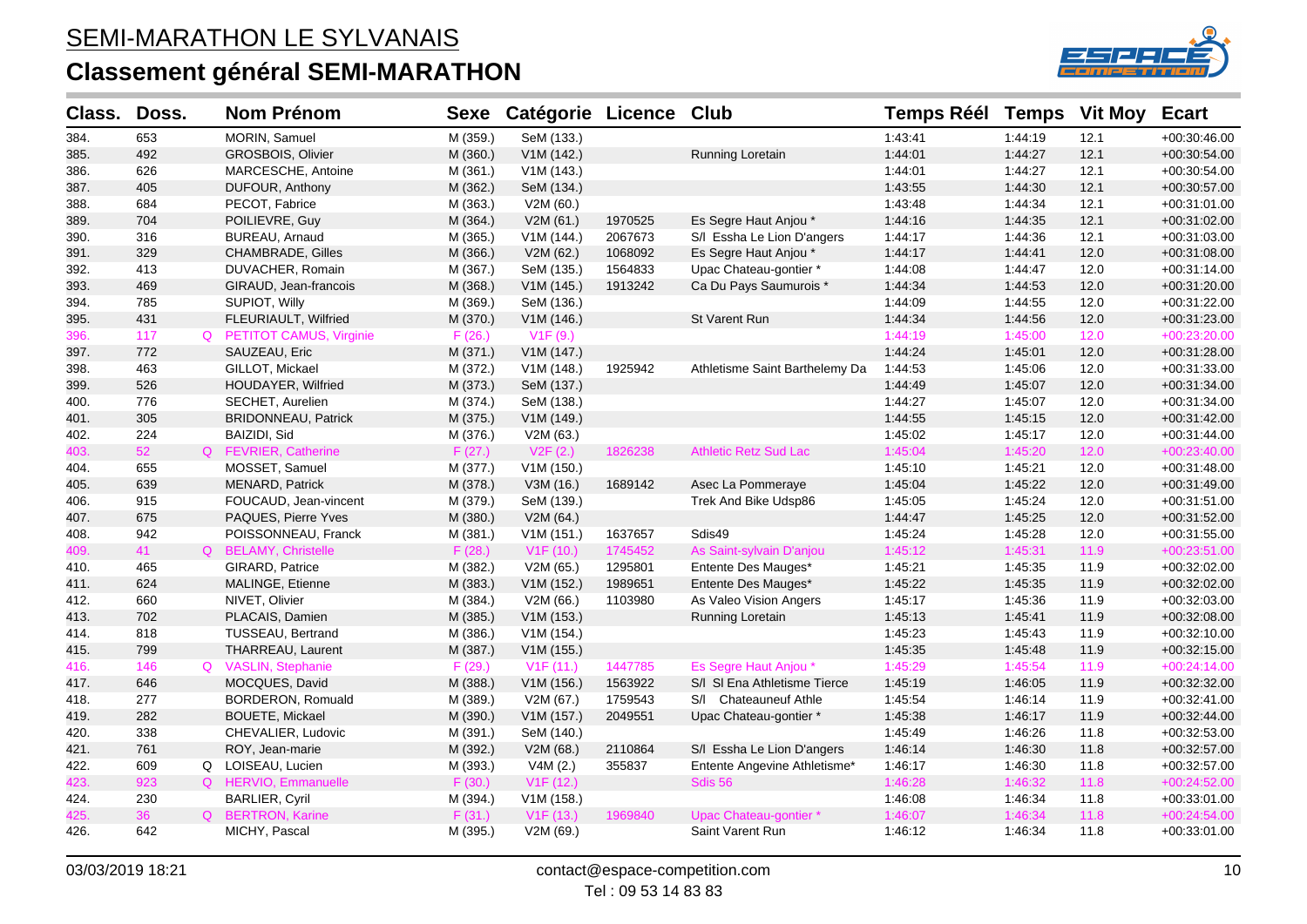

| Class. | Doss. | <b>Nom Prénom</b>          | <b>Sexe</b> | Catégorie Licence Club |         |                                | <b>Temps Réél Temps</b> |         | <b>Vit Moy</b> | <b>Ecart</b>   |
|--------|-------|----------------------------|-------------|------------------------|---------|--------------------------------|-------------------------|---------|----------------|----------------|
| 384.   | 653   | MORIN, Samuel              | M (359.)    | SeM (133.)             |         |                                | 1:43:41                 | 1:44:19 | 12.1           | $+00:30:46.00$ |
| 385.   | 492   | GROSBOIS, Olivier          | M (360.)    | V1M (142.)             |         | <b>Running Loretain</b>        | 1:44:01                 | 1:44:27 | 12.1           | $+00:30:54.00$ |
| 386.   | 626   | MARCESCHE, Antoine         | M (361.)    | V1M(143.)              |         |                                | 1:44:01                 | 1:44:27 | 12.1           | $+00:30:54.00$ |
| 387.   | 405   | DUFOUR, Anthony            | M (362.)    | SeM (134.)             |         |                                | 1:43:55                 | 1:44:30 | 12.1           | +00:30:57.00   |
| 388.   | 684   | PECOT, Fabrice             | M (363.)    | V2M (60.)              |         |                                | 1:43:48                 | 1:44:34 | 12.1           | +00:31:01.00   |
| 389.   | 704   | POILIEVRE, Guy             | M (364.)    | V2M (61.)              | 1970525 | Es Segre Haut Anjou *          | 1:44:16                 | 1:44:35 | 12.1           | $+00:31:02.00$ |
| 390.   | 316   | BUREAU, Arnaud             | M (365.)    | V1M (144.)             | 2067673 | S/I Essha Le Lion D'angers     | 1:44:17                 | 1:44:36 | 12.1           | +00:31:03.00   |
| 391.   | 329   | <b>CHAMBRADE, Gilles</b>   | M (366.)    | V2M (62.)              | 1068092 | Es Segre Haut Anjou *          | 1:44:17                 | 1.44.41 | 12.0           | +00:31:08.00   |
| 392.   | 413   | DUVACHER, Romain           | M (367.)    | SeM (135.)             | 1564833 | Upac Chateau-gontier *         | 1:44:08                 | 1:44:47 | 12.0           | $+00:31:14.00$ |
| 393.   | 469   | GIRAUD, Jean-francois      | M (368.)    | V1M (145.)             | 1913242 | Ca Du Pays Saumurois *         | 1:44:34                 | 1:44:53 | 12.0           | +00:31:20.00   |
| 394.   | 785   | SUPIOT, Willy              | M (369.)    | SeM (136.)             |         |                                | 1:44:09                 | 1:44:55 | 12.0           | +00:31:22.00   |
| 395.   | 431   | FLEURIAULT, Wilfried       | M (370.)    | V1M (146.)             |         | St Varent Run                  | 1:44:34                 | 1:44:56 | 12.0           | $+00:31:23.00$ |
| 396.   | 117   | Q PETITOT CAMUS, Virginie  | F(26.)      | V1F(9.)                |         |                                | 1:44:19                 | 1:45:00 | 12.0           | $+00:23:20.00$ |
| 397.   | 772   | SAUZEAU, Eric              | M (371.)    | V1M (147.)             |         |                                | 1:44:24                 | 1:45:01 | 12.0           | +00:31:28.00   |
| 398.   | 463   | GILLOT, Mickael            | M (372.)    | V1M (148.)             | 1925942 | Athletisme Saint Barthelemy Da | 1:44:53                 | 1:45:06 | 12.0           | $+00:31:33.00$ |
| 399.   | 526   | <b>HOUDAYER, Wilfried</b>  | M (373.)    | SeM (137.)             |         |                                | 1:44:49                 | 1:45:07 | 12.0           | +00:31:34.00   |
| 400.   | 776   | SECHET, Aurelien           | M (374.)    | SeM (138.)             |         |                                | 1:44:27                 | 1:45:07 | 12.0           | +00:31:34.00   |
| 401.   | 305   | <b>BRIDONNEAU, Patrick</b> | M (375.)    | V1M (149.)             |         |                                | 1:44:55                 | 1:45:15 | 12.0           | $+00:31:42.00$ |
| 402.   | 224   | BAIZIDI, Sid               | M (376.)    | V2M (63.)              |         |                                | 1:45:02                 | 1:45:17 | 12.0           | +00:31:44.00   |
| 403.   | 52    | Q FEVRIER, Catherine       | F(27.)      | V2F(2.)                | 1826238 | <b>Athletic Retz Sud Lac</b>   | 1:45:04                 | 1:45:20 | 12.0           | $+00:23:40.00$ |
| 404.   | 655   | MOSSET, Samuel             | M (377.)    | V1M (150.)             |         |                                | 1:45:10                 | 1:45:21 | 12.0           | +00:31:48.00   |
| 405.   | 639   | <b>MENARD, Patrick</b>     | M (378.)    | V3M (16.)              | 1689142 | Asec La Pommeraye              | 1:45:04                 | 1:45:22 | 12.0           | +00:31:49.00   |
| 406.   | 915   | FOUCAUD, Jean-vincent      | M (379.)    | SeM (139.)             |         | Trek And Bike Udsp86           | 1:45:05                 | 1:45:24 | 12.0           | +00:31:51.00   |
| 407.   | 675   | PAQUES, Pierre Yves        | M (380.)    | V2M (64.)              |         |                                | 1:44:47                 | 1:45:25 | 12.0           | $+00:31:52.00$ |
| 408.   | 942   | POISSONNEAU, Franck        | M (381.)    | V1M (151.)             | 1637657 | Sdis49                         | 1:45:24                 | 1:45:28 | 12.0           | +00:31:55.00   |
| 409.   | 41    | Q BELAMY, Christelle       | F(28.)      | V1F(10.)               | 1745452 | As Saint-sylvain D'anjou       | 1:45:12                 | 1:45:31 | 11.9           | +00:23:51.00   |
| 410.   | 465   | GIRARD, Patrice            | M (382.)    | V2M (65.)              | 1295801 | Entente Des Mauges*            | 1:45:21                 | 1:45:35 | 11.9           | $+00:32:02.00$ |
| 411.   | 624   | MALINGE, Etienne           | M (383.)    | V1M (152.)             | 1989651 | Entente Des Mauges*            | 1:45:22                 | 1:45:35 | 11.9           | $+00:32:02.00$ |
| 412.   | 660   | NIVET, Olivier             | M (384.)    | V2M (66.)              | 1103980 | As Valeo Vision Angers         | 1:45:17                 | 1:45:36 | 11.9           | +00:32:03.00   |
| 413.   | 702   | PLACAIS, Damien            | M (385.)    | V1M (153.)             |         | Running Loretain               | 1:45:13                 | 1.45.41 | 11.9           | $+00:32:08.00$ |
| 414.   | 818   | TUSSEAU, Bertrand          | M (386.)    | V1M (154.)             |         |                                | 1:45:23                 | 1:45:43 | 11.9           | $+00:32:10.00$ |
| 415.   | 799   | THARREAU, Laurent          | M (387.)    | V1M (155.)             |         |                                | 1:45:35                 | 1:45:48 | 11.9           | $+00:32:15.00$ |
| 416.   | 146   | Q VASLIN, Stephanie        | F(29.)      | V1F(11.)               | 1447785 | Es Segre Haut Anjou *          | 1:45:29                 | 1:45:54 | 11.9           | $+00:24:14.00$ |
| 417.   | 646   | MOCQUES, David             | M (388.)    | V1M (156.)             | 1563922 | S/I SI Ena Athletisme Tierce   | 1:45:19                 | 1:46:05 | 11.9           | +00:32:32.00   |
| 418.   | 277   | BORDERON, Romuald          | M (389.)    | V2M (67.)              | 1759543 | S/I Chateauneuf Athle          | 1:45:54                 | 1:46:14 | 11.9           | +00:32:41.00   |
| 419.   | 282   | <b>BOUETE, Mickael</b>     | M (390.)    | V1M (157.)             | 2049551 | Upac Chateau-gontier *         | 1:45:38                 | 1:46:17 | 11.9           | $+00:32:44.00$ |
| 420.   | 338   | CHEVALIER, Ludovic         | M (391.)    | SeM (140.)             |         |                                | 1:45:49                 | 1:46:26 | 11.8           | $+00:32:53.00$ |
| 421.   | 761   | ROY, Jean-marie            | M (392.)    | V2M(68.)               | 2110864 | S/I Essha Le Lion D'angers     | 1:46:14                 | 1:46:30 | 11.8           | +00:32:57.00   |
| 422.   | 609   | Q LOISEAU, Lucien          | M (393.)    | V4M(2.)                | 355837  | Entente Angevine Athletisme*   | 1:46:17                 | 1:46:30 | 11.8           | +00:32:57.00   |
| 423.   | 923   | Q HERVIO, Emmanuelle       | F(30.)      | V1F(12.)               |         | Sdis 56                        | 1:46:28                 | 1:46:32 | 11.8           | $+00:24:52.00$ |
| 424.   | 230   | <b>BARLIER, Cyril</b>      | M (394.)    | V1M (158.)             |         |                                | 1:46:08                 | 1:46:34 | 11.8           | +00:33:01.00   |
| 425.   | 36    | Q BERTRON, Karine          | F(31.)      | V1F(13.)               | 1969840 | Upac Chateau-gontier*          | 1:46:07                 | 1:46:34 | 11.8           | $+00:24:54.00$ |
| 426.   | 642   | MICHY, Pascal              | M (395.)    | V2M (69.)              |         | Saint Varent Run               | 1:46:12                 | 1:46:34 | 11.8           | $+00:33:01.00$ |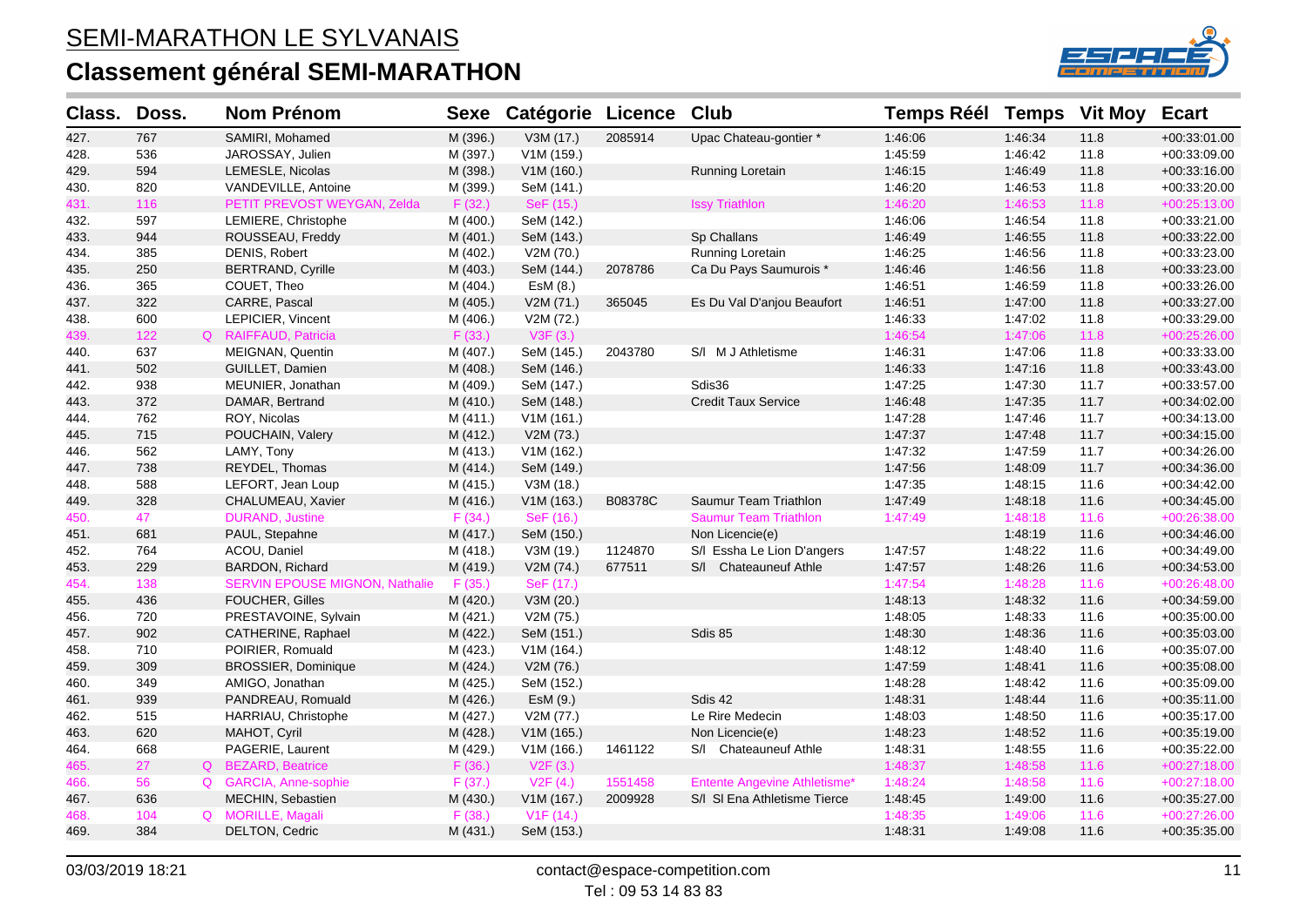

| Class. | Doss. | <b>Nom Prénom</b>                     | <b>Sexe</b> | <b>Catégorie Licence</b> |         | Club                                | <b>Temps Réél Temps</b> |         | <b>Vit Moy</b> | <b>Ecart</b>   |
|--------|-------|---------------------------------------|-------------|--------------------------|---------|-------------------------------------|-------------------------|---------|----------------|----------------|
| 427.   | 767   | SAMIRI, Mohamed                       | M (396.)    | V3M (17.)                | 2085914 | Upac Chateau-gontier *              | 1:46:06                 | 1:46:34 | 11.8           | +00:33:01.00   |
| 428.   | 536   | JAROSSAY, Julien                      | M (397.)    | V1M (159.)               |         |                                     | 1:45:59                 | 1:46:42 | 11.8           | +00:33:09.00   |
| 429.   | 594   | LEMESLE, Nicolas                      | M (398.)    | V1M (160.)               |         | Running Loretain                    | 1:46:15                 | 1:46:49 | 11.8           | +00:33:16.00   |
| 430.   | 820   | VANDEVILLE, Antoine                   | M (399.)    | SeM (141.)               |         |                                     | 1:46:20                 | 1:46:53 | 11.8           | $+00:33:20.00$ |
| 431.   | 116   | PETIT PREVOST WEYGAN, Zelda           | F(32.)      | SeF (15.)                |         | <b>Issy Triathlon</b>               | 1:46:20                 | 1:46:53 | 11.8           | +00:25:13.00   |
| 432.   | 597   | LEMIERE, Christophe                   | M (400.)    | SeM (142.)               |         |                                     | 1:46:06                 | 1:46:54 | 11.8           | +00:33:21.00   |
| 433.   | 944   | ROUSSEAU, Freddy                      | M (401.)    | SeM (143.)               |         | Sp Challans                         | 1:46:49                 | 1:46:55 | 11.8           | +00:33:22.00   |
| 434.   | 385   | DENIS, Robert                         | M (402.)    | V2M (70.)                |         | Running Loretain                    | 1:46:25                 | 1:46:56 | 11.8           | +00:33:23.00   |
| 435.   | 250   | <b>BERTRAND, Cyrille</b>              | M (403.)    | SeM (144.)               | 2078786 | Ca Du Pays Saumurois *              | 1:46:46                 | 1:46:56 | 11.8           | +00:33:23.00   |
| 436.   | 365   | COUET, Theo                           | M (404.)    | EsM (8.)                 |         |                                     | 1:46:51                 | 1:46:59 | 11.8           | +00:33:26.00   |
| 437.   | 322   | CARRE, Pascal                         | M (405.)    | V2M (71.)                | 365045  | Es Du Val D'anjou Beaufort          | 1:46:51                 | 1:47:00 | 11.8           | +00:33:27.00   |
| 438.   | 600   | LEPICIER, Vincent                     | M (406.)    | V2M (72.)                |         |                                     | 1:46:33                 | 1:47:02 | 11.8           | $+00:33:29.00$ |
| 439.   | 122   | Q RAIFFAUD, Patricia                  | F(33.)      | V3F (3.)                 |         |                                     | 1:46:54                 | 1:47:06 | 11.8           | $+00:25:26.00$ |
| 440.   | 637   | MEIGNAN, Quentin                      | M (407.)    | SeM (145.)               | 2043780 | S/I M J Athletisme                  | 1.46.31                 | 1:47:06 | 11.8           | +00:33:33.00   |
| 441.   | 502   | GUILLET, Damien                       | M (408.)    | SeM (146.)               |         |                                     | 1:46:33                 | 1:47:16 | 11.8           | +00:33:43.00   |
| 442.   | 938   | MEUNIER, Jonathan                     | M (409.)    | SeM (147.)               |         | Sdis36                              | 1:47:25                 | 1:47:30 | 11.7           | +00:33:57.00   |
| 443.   | 372   | DAMAR, Bertrand                       | M (410.)    | SeM (148.)               |         | <b>Credit Taux Service</b>          | 1:46:48                 | 1:47:35 | 11.7           | +00:34:02.00   |
| 444.   | 762   | ROY, Nicolas                          | M (411.)    | V1M(161.)                |         |                                     | 1:47:28                 | 1:47:46 | 11.7           | +00:34:13.00   |
| 445.   | 715   | POUCHAIN, Valery                      | M (412.)    | V2M (73.)                |         |                                     | 1:47:37                 | 1:47:48 | 11.7           | +00:34:15.00   |
| 446.   | 562   | LAMY, Tony                            | M (413.)    | V1M(162.)                |         |                                     | 1:47:32                 | 1:47:59 | 11.7           | +00:34:26.00   |
| 447.   | 738   | REYDEL, Thomas                        | M (414.)    | SeM (149.)               |         |                                     | 1:47:56                 | 1:48:09 | 11.7           | +00:34:36.00   |
| 448.   | 588   | LEFORT, Jean Loup                     | M (415.)    | V3M (18.)                |         |                                     | 1:47:35                 | 1:48:15 | 11.6           | +00:34:42.00   |
| 449.   | 328   | CHALUMEAU, Xavier                     | M (416.)    | V1M (163.)               | B08378C | Saumur Team Triathlon               | 1:47:49                 | 1:48:18 | 11.6           | +00:34:45.00   |
| 450.   | 47    | <b>DURAND, Justine</b>                | F(34.)      | SeF (16.)                |         | <b>Saumur Team Triathlon</b>        | 1:47:49                 | 1:48:18 | 11.6           | +00:26:38.00   |
| 451.   | 681   | PAUL, Stepahne                        | M (417.)    | SeM (150.)               |         | Non Licencie(e)                     |                         | 1:48:19 | 11.6           | $+00:34:46.00$ |
| 452.   | 764   | ACOU, Daniel                          | M (418.)    | V3M (19.)                | 1124870 | S/I Essha Le Lion D'angers          | 1:47:57                 | 1:48:22 | 11.6           | +00:34:49.00   |
| 453.   | 229   | BARDON, Richard                       | M (419.)    | V2M (74.)                | 677511  | S/I Chateauneuf Athle               | 1:47:57                 | 1:48:26 | 11.6           | +00:34:53.00   |
| 454.   | 138   | <b>SERVIN EPOUSE MIGNON, Nathalie</b> | F(35.)      | SeF (17.)                |         |                                     | 1:47:54                 | 1:48:28 | 11.6           | $+00:26:48.00$ |
| 455.   | 436   | <b>FOUCHER, Gilles</b>                | M (420.)    | V3M (20.)                |         |                                     | 1:48:13                 | 1:48:32 | 11.6           | +00:34:59.00   |
| 456.   | 720   | PRESTAVOINE, Sylvain                  | M (421.)    | V2M (75.)                |         |                                     | 1:48:05                 | 1:48:33 | 11.6           | +00:35:00.00   |
| 457.   | 902   | CATHERINE, Raphael                    | M (422.)    | SeM (151.)               |         | Sdis 85                             | 1:48:30                 | 1:48:36 | 11.6           | $+00.35.03.00$ |
| 458.   | 710   | POIRIER, Romuald                      | M (423.)    | V1M(164.)                |         |                                     | 1:48:12                 | 1:48:40 | 11.6           | +00:35:07.00   |
| 459.   | 309   | <b>BROSSIER, Dominique</b>            | M (424.)    | V2M (76.)                |         |                                     | 1:47:59                 | 1:48:41 | 11.6           | +00:35:08.00   |
| 460.   | 349   | AMIGO, Jonathan                       | M (425.)    | SeM (152.)               |         |                                     | 1:48:28                 | 1:48:42 | 11.6           | +00:35:09.00   |
| 461.   | 939   | PANDREAU, Romuald                     | M (426.)    | EsM (9.)                 |         | Sdis 42                             | 1:48:31                 | 1:48:44 | 11.6           | $+00:35:11.00$ |
| 462.   | 515   | HARRIAU, Christophe                   | M (427.)    | V2M (77.)                |         | Le Rire Medecin                     | 1:48:03                 | 1:48:50 | 11.6           | +00:35:17.00   |
| 463.   | 620   | MAHOT, Cyril                          | M (428.)    | V1M(165.)                |         | Non Licencie(e)                     | 1:48:23                 | 1:48:52 | 11.6           | +00:35:19.00   |
| 464.   | 668   | PAGERIE, Laurent                      | M (429.)    | V1M(166.)                | 1461122 | S/I Chateauneuf Athle               | 1:48:31                 | 1:48:55 | 11.6           | $+00:35:22.00$ |
| 465.   | 27    | Q BEZARD, Beatrice                    | F(36.)      | V2F(3.)                  |         |                                     | 1:48:37                 | 1:48:58 | 11.6           | +00:27:18.00   |
| 466.   | 56    | Q GARCIA, Anne-sophie                 | F(37.)      | V2F(4.)                  | 1551458 | <b>Entente Angevine Athletisme*</b> | 1:48:24                 | 1:48:58 | 11.6           | +00:27:18.00   |
| 467.   | 636   | MECHIN, Sebastien                     | M (430.)    | V1M (167.)               | 2009928 | S/I SI Ena Athletisme Tierce        | 1:48:45                 | 1:49:00 | 11.6           | +00:35:27.00   |
| 468.   | 104   | Q MORILLE, Magali                     | F(38.)      | V1F(14.)                 |         |                                     | 1:48:35                 | 1:49:06 | 11.6           | +00:27:26.00   |
| 469.   | 384   | DELTON, Cedric                        | M (431.)    | SeM (153.)               |         |                                     | 1:48:31                 | 1:49:08 | 11.6           | +00:35:35.00   |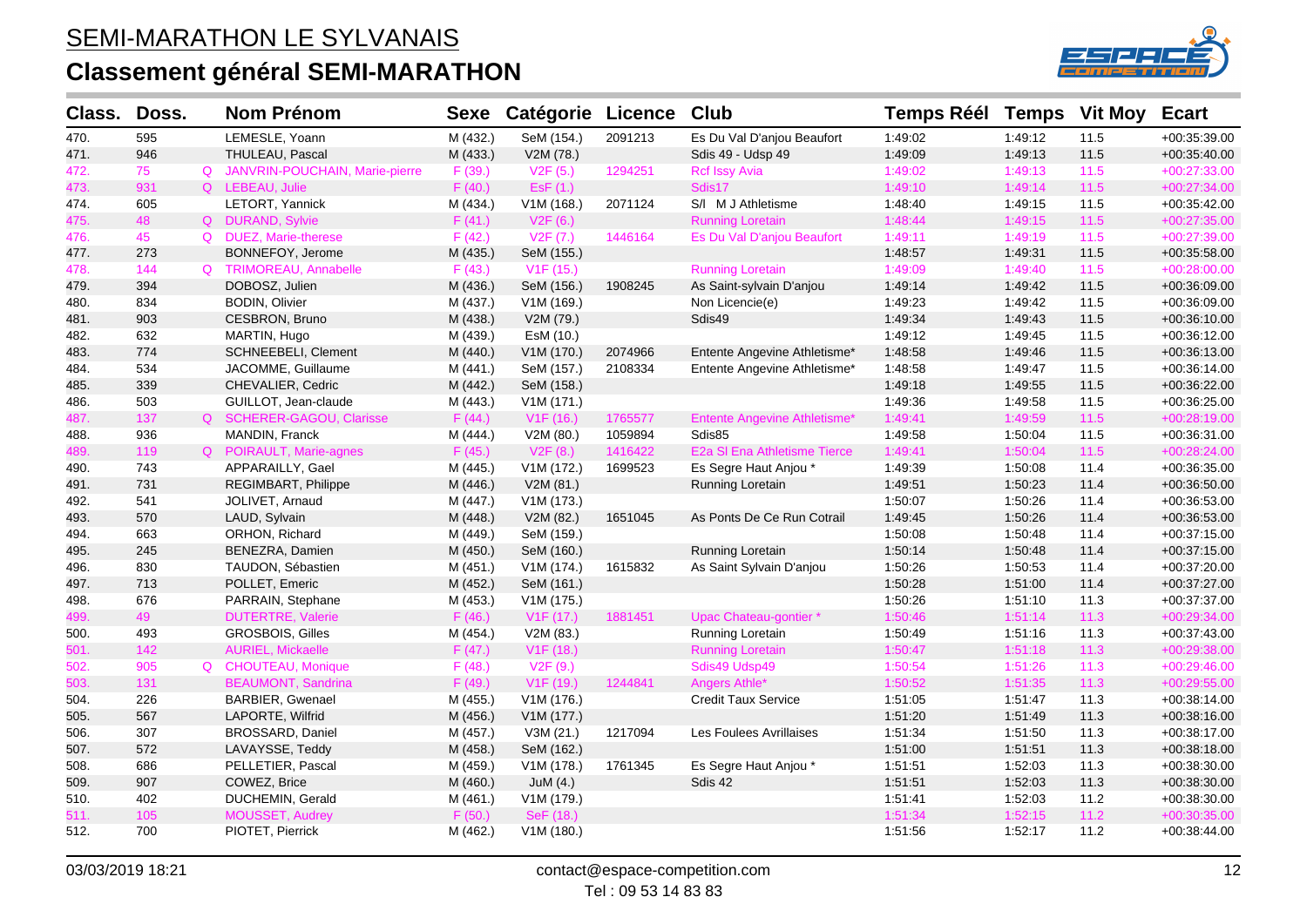# **Classement général SEMI-MARATHON**



| Class. | Doss. | <b>Nom Prénom</b>                | Sexe     | <b>Catégorie Licence</b> |         | <b>Club</b>                         | <b>Temps Réél</b> |         | <b>Temps</b> Vit Moy | <b>Ecart</b>   |
|--------|-------|----------------------------------|----------|--------------------------|---------|-------------------------------------|-------------------|---------|----------------------|----------------|
| 470.   | 595   | LEMESLE, Yoann                   | M (432.) | SeM (154.)               | 2091213 | Es Du Val D'anjou Beaufort          | 1:49:02           | 1:49:12 | 11.5                 | +00:35:39.00   |
| 471.   | 946   | THULEAU, Pascal                  | M (433.) | V2M (78.)                |         | Sdis 49 - Udsp 49                   | 1:49:09           | 1:49:13 | 11.5                 | $+00:35:40.00$ |
| 472.   | 75    | Q JANVRIN-POUCHAIN, Marie-pierre | F (39.)  | V2F(5.)                  | 1294251 | <b>Rcf Issy Avia</b>                | 1:49:02           | 1:49:13 | 11.5                 | +00:27:33.00   |
| 473.   | 931   | Q LEBEAU, Julie                  | F(40.)   | ESF(1.)                  |         | Sdis17                              | 1:49:10           | 1:49:14 | 11.5                 | +00:27:34.00   |
| 474.   | 605   | LETORT, Yannick                  | M (434.) | V1M (168.)               | 2071124 | S/I M J Athletisme                  | 1:48:40           | 1:49:15 | 11.5                 | +00:35:42.00   |
| 475.   | 48    | Q DURAND, Sylvie                 | F(41.)   | V2F(6.)                  |         | <b>Running Loretain</b>             | 1:48:44           | 1:49:15 | $11.5$               | +00:27:35.00   |
| 476.   | 45    | Q DUEZ, Marie-therese            | F(42.)   | V2F(7.)                  | 1446164 | Es Du Val D'anjou Beaufort          | 1:49:11           | 1:49:19 | $11.5$               | $+00:27:39.00$ |
| 477.   | 273   | BONNEFOY, Jerome                 | M (435.) | SeM (155.)               |         |                                     | 1:48:57           | 1:49:31 | 11.5                 | +00:35:58.00   |
| 478.   | 144   | Q TRIMOREAU, Annabelle           | F(43.)   | V <sub>1</sub> F (15.)   |         | <b>Running Loretain</b>             | 1:49:09           | 1:49:40 | $11.5$               | $+00:28:00.00$ |
| 479.   | 394   | DOBOSZ, Julien                   | M (436.) | SeM (156.)               | 1908245 | As Saint-sylvain D'anjou            | 1:49:14           | 1:49:42 | 11.5                 | +00:36:09.00   |
| 480.   | 834   | <b>BODIN, Olivier</b>            | M (437.) | V1M (169.)               |         | Non Licencie(e)                     | 1:49:23           | 1:49:42 | 11.5                 | +00:36:09.00   |
| 481.   | 903   | CESBRON, Bruno                   | M (438.) | V2M (79.)                |         | Sdis49                              | 1:49:34           | 1:49:43 | 11.5                 | +00:36:10.00   |
| 482.   | 632   | MARTIN, Hugo                     | M (439.) | EsM (10.)                |         |                                     | 1:49:12           | 1:49:45 | 11.5                 | +00:36:12.00   |
| 483.   | 774   | SCHNEEBELI, Clement              | M (440.) | V1M (170.)               | 2074966 | Entente Angevine Athletisme*        | 1:48:58           | 1:49:46 | 11.5                 | $+00:36:13.00$ |
| 484.   | 534   | JACOMME, Guillaume               | M (441.) | SeM (157.)               | 2108334 | Entente Angevine Athletisme*        | 1:48:58           | 1.49.47 | 11.5                 | +00:36:14.00   |
| 485.   | 339   | CHEVALIER, Cedric                | M (442.) | SeM (158.)               |         |                                     | 1:49:18           | 1:49:55 | 11.5                 | +00:36:22.00   |
| 486.   | 503   | GUILLOT, Jean-claude             | M (443.) | V1M (171.)               |         |                                     | 1:49:36           | 1:49:58 | 11.5                 | +00:36:25.00   |
| 487.   | 137   | Q SCHERER-GAGOU, Clarisse        | F(44.)   | V1F(16.)                 | 1765577 | <b>Entente Angevine Athletisme*</b> | 1:49:41           | 1:49:59 | $11.5$               | +00:28:19.00   |
| 488.   | 936   | MANDIN, Franck                   | M (444.) | V2M (80.)                | 1059894 | Sdis85                              | 1:49:58           | 1:50:04 | 11.5                 | +00:36:31.00   |
| 489.   | 119   | Q POIRAULT, Marie-agnes          | F(45.)   | V2F(8.)                  | 1416422 | E2a SI Ena Athletisme Tierce        | 1:49:41           | 1:50:04 | 11.5                 | +00:28:24.00   |
| 490.   | 743   | APPARAILLY, Gael                 | M (445.) | V1M (172.)               | 1699523 | Es Segre Haut Anjou *               | 1:49:39           | 1:50:08 | 11.4                 | +00:36:35.00   |
| 491.   | 731   | REGIMBART, Philippe              | M (446.) | V2M (81.)                |         | Running Loretain                    | 1:49:51           | 1:50:23 | 11.4                 | +00:36:50.00   |
| 492.   | 541   | JOLIVET, Arnaud                  | M (447.) | V1M (173.)               |         |                                     | 1:50:07           | 1:50:26 | 11.4                 | +00:36:53.00   |
| 493.   | 570   | LAUD, Sylvain                    | M (448.) | V2M (82.)                | 1651045 | As Ponts De Ce Run Cotrail          | 1:49:45           | 1:50:26 | 11.4                 | +00:36:53.00   |
| 494.   | 663   | ORHON, Richard                   | M (449.) | SeM (159.)               |         |                                     | 1:50:08           | 1:50:48 | 11.4                 | +00:37:15.00   |
| 495.   | 245   | BENEZRA, Damien                  | M (450.) | SeM (160.)               |         | Running Loretain                    | 1:50:14           | 1:50:48 | 11.4                 | +00:37:15.00   |
| 496.   | 830   | TAUDON, Sébastien                | M (451.) | V1M (174.)               | 1615832 | As Saint Sylvain D'anjou            | 1:50:26           | 1:50:53 | 11.4                 | +00:37:20.00   |
| 497.   | 713   | POLLET, Emeric                   | M (452.) | SeM (161.)               |         |                                     | 1:50:28           | 1:51:00 | 11.4                 | +00:37:27.00   |
| 498.   | 676   | PARRAIN, Stephane                | M (453.) | V1M (175.)               |         |                                     | 1:50:26           | 1:51:10 | 11.3                 | +00:37:37.00   |
| 499.   | 49    | <b>DUTERTRE, Valerie</b>         | F(46.)   | V1F(17.)                 | 1881451 | Upac Chateau-gontier*               | 1:50:46           | 1:51:14 | 11.3                 | $+00:29:34.00$ |
| 500.   | 493   | GROSBOIS, Gilles                 | M (454.) | V2M (83.)                |         | Running Loretain                    | 1:50:49           | 1:51:16 | 11.3                 | +00:37:43.00   |
| 501.   | 142   | <b>AURIEL, Mickaelle</b>         | F(47.)   | V <sub>1</sub> F (18.)   |         | <b>Running Loretain</b>             | 1:50:47           | 1:51:18 | 11.3                 | +00:29:38.00   |
| 502.   | 905   | Q CHOUTEAU, Monique              | F(48.)   | V2F(9.)                  |         | Sdis49 Udsp49                       | 1:50:54           | 1:51:26 | 11.3                 | +00:29:46.00   |
| 503.   | 131   | <b>BEAUMONT, Sandrina</b>        | F(49.)   | V <sub>1</sub> F (19.)   | 1244841 | Angers Athle*                       | 1:50:52           | 1:51:35 | 11.3                 | +00:29:55.00   |
| 504.   | 226   | BARBIER, Gwenael                 | M (455.) | V1M (176.)               |         | <b>Credit Taux Service</b>          | 1:51:05           | 1:51:47 | 11.3                 | $+00:38:14.00$ |
| 505.   | 567   | LAPORTE, Wilfrid                 | M (456.) | V1M (177.)               |         |                                     | 1:51:20           | 1:51:49 | 11.3                 | +00:38:16.00   |
| 506.   | 307   | BROSSARD, Daniel                 | M (457.) | V3M (21.)                | 1217094 | Les Foulees Avrillaises             | 1:51:34           | 1:51:50 | 11.3                 | +00:38:17.00   |
| 507.   | 572   | LAVAYSSE, Teddy                  | M (458.) | SeM (162.)               |         |                                     | 1:51:00           | 1:51:51 | 11.3                 | +00:38:18.00   |
| 508.   | 686   | PELLETIER, Pascal                | M (459.) | V1M (178.)               | 1761345 | Es Segre Haut Anjou *               | 1:51:51           | 1:52:03 | 11.3                 | +00:38:30.00   |
| 509.   | 907   | COWEZ, Brice                     | M (460.) | JuM $(4.)$               |         | Sdis 42                             | 1.51.51           | 1:52:03 | 11.3                 | +00:38:30.00   |
| 510.   | 402   | DUCHEMIN, Gerald                 | M (461.) | V1M (179.)               |         |                                     | 1:51:41           | 1:52:03 | 11.2                 | +00:38:30.00   |
| 511.   | 105   | MOUSSET, Audrey                  | F(50.)   | SeF (18.)                |         |                                     | 1:51:34           | 1:52:15 | 11.2                 | +00:30:35.00   |
| 512.   | 700   | PIOTET, Pierrick                 | M (462.) | V1M (180.)               |         |                                     | 1:51:56           | 1:52:17 | 11.2                 | $+00:38:44.00$ |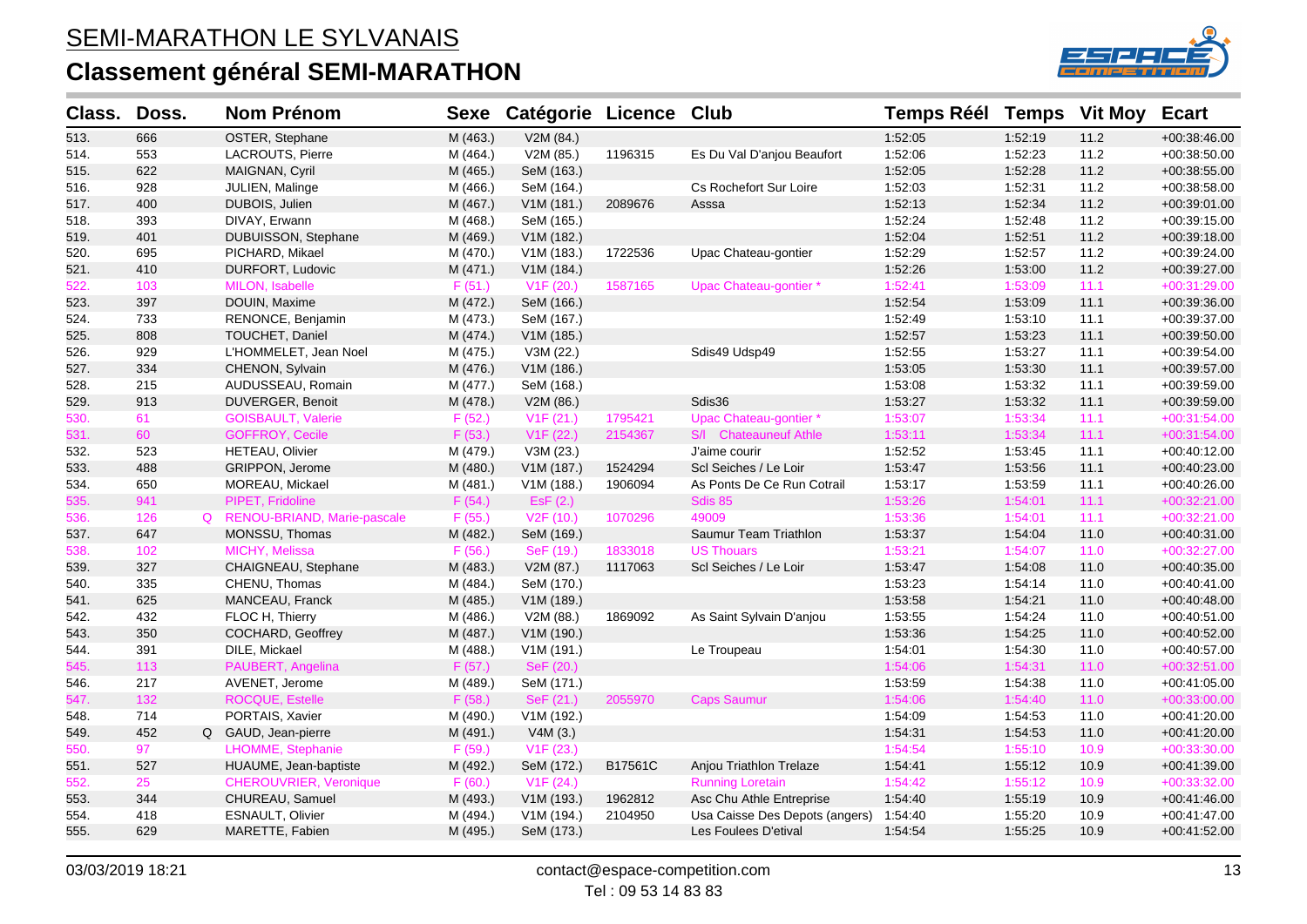# **Classement général SEMI-MARATHON**



| Class. | Doss. | <b>Nom Prénom</b>             | <b>Sexe</b> | Catégorie Licence Club |         |                                | <b>Temps Réél Temps</b> |         | <b>Vit Moy</b> | <b>Ecart</b>   |
|--------|-------|-------------------------------|-------------|------------------------|---------|--------------------------------|-------------------------|---------|----------------|----------------|
| 513.   | 666   | OSTER, Stephane               | M (463.)    | V2M (84.)              |         |                                | 1:52:05                 | 1:52:19 | 11.2           | $+00:38:46.00$ |
| 514.   | 553   | LACROUTS, Pierre              | M (464.)    | V2M (85.)              | 1196315 | Es Du Val D'anjou Beaufort     | 1:52:06                 | 1:52:23 | 11.2           | $+00:38:50.00$ |
| 515.   | 622   | MAIGNAN, Cyril                | M (465.)    | SeM (163.)             |         |                                | 1:52:05                 | 1:52:28 | 11.2           | $+00:38:55.00$ |
| 516.   | 928   | JULIEN, Malinge               | M (466.)    | SeM (164.)             |         | Cs Rochefort Sur Loire         | 1:52:03                 | 1:52:31 | 11.2           | +00:38:58.00   |
| 517.   | 400   | DUBOIS, Julien                | M (467.)    | V1M (181.)             | 2089676 | Asssa                          | 1:52:13                 | 1:52:34 | 11.2           | $+00:39:01.00$ |
| 518.   | 393   | DIVAY, Erwann                 | M (468.)    | SeM (165.)             |         |                                | 1:52:24                 | 1:52:48 | 11.2           | $+00:39:15.00$ |
| 519.   | 401   | DUBUISSON, Stephane           | M (469.)    | V1M (182.)             |         |                                | 1:52:04                 | 1:52:51 | 11.2           | +00:39:18.00   |
| 520.   | 695   | PICHARD, Mikael               | M (470.)    | V1M (183.)             | 1722536 | Upac Chateau-gontier           | 1:52:29                 | 1:52:57 | 11.2           | +00:39:24.00   |
| 521.   | 410   | DURFORT, Ludovic              | M (471.)    | V1M (184.)             |         |                                | 1:52:26                 | 1:53:00 | 11.2           | +00:39:27.00   |
| 522.   | 103   | MILON, Isabelle               | F(51.)      | V1F(20.)               | 1587165 | Upac Chateau-gontier *         | 1:52:41                 | 1:53:09 | 11.1           | $+00:31:29.00$ |
| 523.   | 397   | DOUIN, Maxime                 | M (472.)    | SeM (166.)             |         |                                | 1:52:54                 | 1:53:09 | 11.1           | +00:39:36.00   |
| 524.   | 733   | RENONCE, Benjamin             | M (473.)    | SeM (167.)             |         |                                | 1:52:49                 | 1:53:10 | 11.1           | +00:39:37.00   |
| 525.   | 808   | TOUCHET, Daniel               | M (474.)    | V1M (185.)             |         |                                | 1:52:57                 | 1:53:23 | 11.1           | +00:39:50.00   |
| 526.   | 929   | L'HOMMELET, Jean Noel         | M (475.)    | V3M (22.)              |         | Sdis49 Udsp49                  | 1:52:55                 | 1:53:27 | 11.1           | +00:39:54.00   |
| 527.   | 334   | CHENON, Sylvain               | M (476.)    | V1M (186.)             |         |                                | 1:53:05                 | 1:53:30 | 11.1           | +00:39:57.00   |
| 528.   | 215   | AUDUSSEAU, Romain             | M (477.)    | SeM (168.)             |         |                                | 1:53:08                 | 1:53:32 | 11.1           | +00:39:59.00   |
| 529.   | 913   | DUVERGER, Benoit              | M (478.)    | V2M (86.)              |         | Sdis36                         | 1:53:27                 | 1:53:32 | 11.1           | $+00:39:59.00$ |
| 530.   | 61    | <b>GOISBAULT, Valerie</b>     | F(52.)      | V1F(21.)               | 1795421 | Upac Chateau-gontier *         | 1:53:07                 | 1:53:34 | 11.1           | $+00:31:54.00$ |
| 531.   | 60    | <b>GOFFROY, Cecile</b>        | F(53.)      | V1F(22.)               | 2154367 | S/I Chateauneuf Athle          | 1:53:11                 | 1:53:34 | 11.1           | +00:31:54.00   |
| 532.   | 523   | HETEAU, Olivier               | M (479.)    | V3M (23.)              |         | J'aime courir                  | 1:52:52                 | 1:53:45 | 11.1           | +00:40:12.00   |
| 533.   | 488   | GRIPPON, Jerome               | M (480.)    | V1M (187.)             | 1524294 | Scl Seiches / Le Loir          | 1:53:47                 | 1:53:56 | 11.1           | $+00:40:23.00$ |
| 534.   | 650   | MOREAU, Mickael               | M (481.)    | V1M (188.)             | 1906094 | As Ponts De Ce Run Cotrail     | 1:53:17                 | 1:53:59 | 11.1           | +00:40:26.00   |
| 535.   | 941   | PIPET, Fridoline              | F(54.)      | ESF(2.)                |         | Sdis 85                        | 1:53:26                 | 1:54:01 | 11.1           | $+00:32:21.00$ |
| 536.   | 126   | Q RENOU-BRIAND, Marie-pascale | F(55.)      | V <sub>2</sub> F (10.) | 1070296 | 49009                          | 1:53:36                 | 1:54:01 | 11.1           | +00:32:21.00   |
| 537.   | 647   | MONSSU, Thomas                | M (482.)    | SeM (169.)             |         | Saumur Team Triathlon          | 1:53:37                 | 1:54:04 | 11.0           | +00:40:31.00   |
| 538.   | 102   | MICHY, Melissa                | F(56.)      | SeF (19.)              | 1833018 | <b>US Thouars</b>              | 1:53:21                 | 1:54:07 | 11.0           | $+00:32:27.00$ |
| 539.   | 327   | CHAIGNEAU, Stephane           | M (483.)    | V2M (87.)              | 1117063 | Scl Seiches / Le Loir          | 1:53:47                 | 1:54:08 | 11.0           | $+00:40:35.00$ |
| 540.   | 335   | CHENU, Thomas                 | M (484.)    | SeM (170.)             |         |                                | 1:53:23                 | 1:54:14 | 11.0           | +00:40:41.00   |
| 541.   | 625   | MANCEAU, Franck               | M (485.)    | V1M (189.)             |         |                                | 1:53:58                 | 1:54:21 | 11.0           | +00:40:48.00   |
| 542.   | 432   | FLOC H, Thierry               | M (486.)    | V2M (88.)              | 1869092 | As Saint Sylvain D'anjou       | 1:53:55                 | 1:54:24 | 11.0           | $+00:40:51.00$ |
| 543.   | 350   | COCHARD, Geoffrey             | M (487.)    | V1M (190.)             |         |                                | 1:53:36                 | 1:54:25 | 11.0           | $+00:40:52.00$ |
| 544.   | 391   | DILE, Mickael                 | M (488.)    | V1M(191.)              |         | Le Troupeau                    | 1:54:01                 | 1:54:30 | 11.0           | +00:40:57.00   |
| 545.   | 113   | PAUBERT, Angelina             | F(57.)      | SeF (20.)              |         |                                | 1:54:06                 | 1:54:31 | 11.0           | $+00:32:51.00$ |
| 546.   | 217   | AVENET, Jerome                | M (489.)    | SeM (171.)             |         |                                | 1:53:59                 | 1:54:38 | 11.0           | +00:41:05.00   |
| 547.   | 132   | <b>ROCQUE, Estelle</b>        | F(58.)      | SeF (21.)              | 2055970 | <b>Caps Saumur</b>             | 1:54:06                 | 1:54:40 | 11.0           | $+00:33:00.00$ |
| 548.   | 714   | PORTAIS, Xavier               | M (490.)    | V1M (192.)             |         |                                | 1:54:09                 | 1:54:53 | 11.0           | +00:41:20.00   |
| 549.   | 452   | Q GAUD, Jean-pierre           | M (491.)    | V4M(3.)                |         |                                | 1:54:31                 | 1:54:53 | 11.0           | $+00:41:20.00$ |
| 550.   | 97    | LHOMME, Stephanie             | F(59.)      | V1F(23.)               |         |                                | 1:54:54                 | 1:55:10 | 10.9           | +00:33:30.00   |
| 551.   | 527   | HUAUME, Jean-baptiste         | M (492.)    | SeM (172.)             | B17561C | Anjou Triathlon Trelaze        | 1:54:41                 | 1:55:12 | 10.9           | +00:41:39.00   |
| 552.   | 25    | CHEROUVRIER, Veronique        | F(60.)      | V1F(24.)               |         | <b>Running Loretain</b>        | 1:54:42                 | 1:55:12 | 10.9           | +00:33:32.00   |
| 553.   | 344   | CHUREAU, Samuel               | M (493.)    | V1M (193.)             | 1962812 | Asc Chu Athle Entreprise       | 1:54:40                 | 1:55:19 | 10.9           | $+00:41:46.00$ |
| 554.   | 418   | ESNAULT, Olivier              | M (494.)    | V1M (194.)             | 2104950 | Usa Caisse Des Depots (angers) | 1.54.40                 | 1:55:20 | 10.9           | $+00:41:47.00$ |
| 555.   | 629   | MARETTE, Fabien               | M (495.)    | SeM (173.)             |         | Les Foulees D'etival           | 1:54:54                 | 1:55:25 | 10.9           | $+00:41:52.00$ |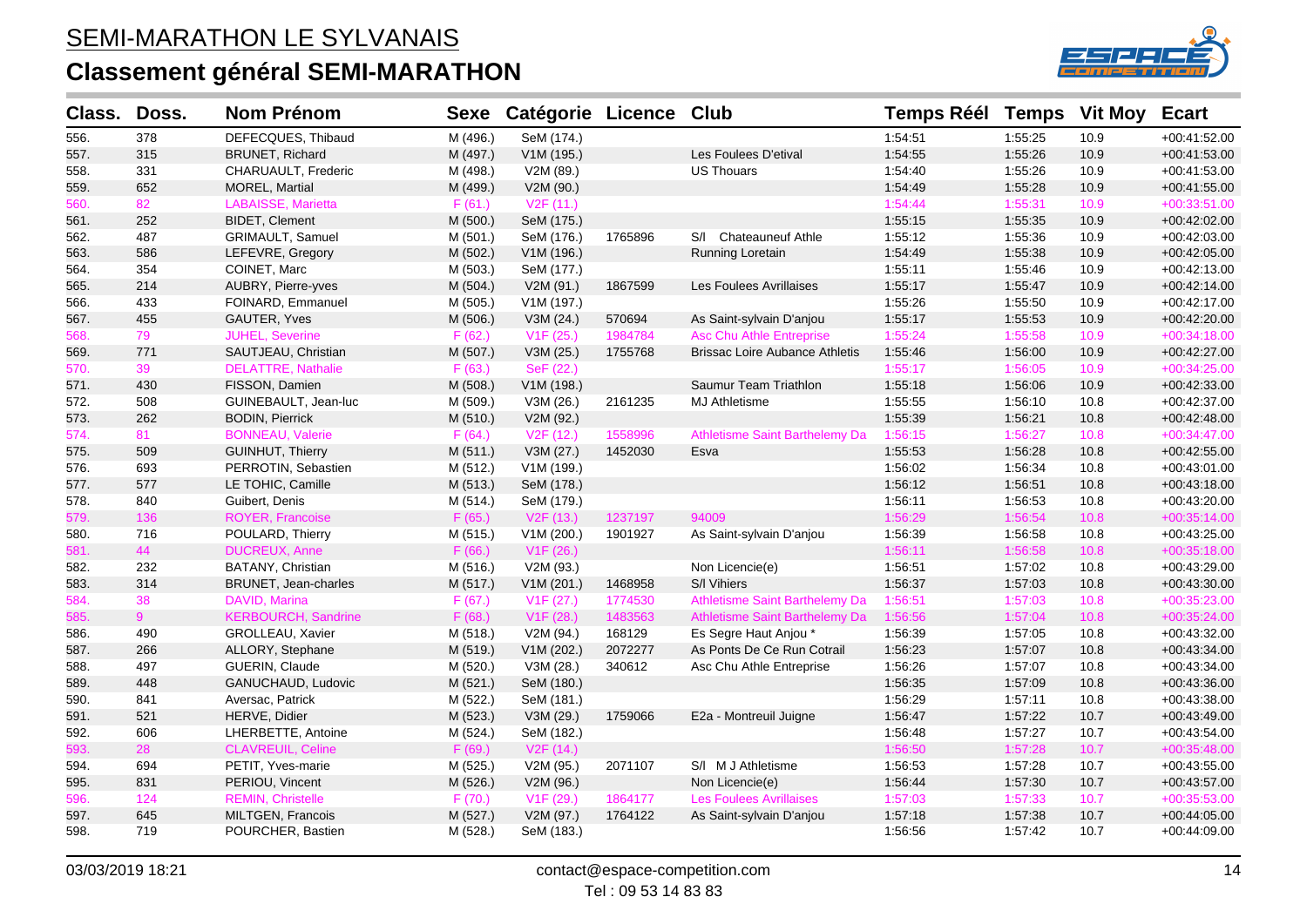

| Class. | Doss.          | <b>Nom Prénom</b>          | <b>Sexe</b> | Catégorie Licence      |         | <b>Club</b>                           | <b>Temps Réél Temps</b> |         | <b>Vit Moy</b> | <b>Ecart</b>   |
|--------|----------------|----------------------------|-------------|------------------------|---------|---------------------------------------|-------------------------|---------|----------------|----------------|
| 556.   | 378            | DEFECQUES, Thibaud         | M (496.)    | SeM (174.)             |         |                                       | 1:54:51                 | 1:55:25 | 10.9           | +00:41:52.00   |
| 557.   | 315            | <b>BRUNET, Richard</b>     | M (497.)    | V1M (195.)             |         | Les Foulees D'etival                  | 1:54:55                 | 1:55:26 | 10.9           | $+00:41:53.00$ |
| 558.   | 331            | CHARUAULT, Frederic        | M (498.)    | V2M (89.)              |         | <b>US Thouars</b>                     | 1:54:40                 | 1:55:26 | 10.9           | $+00.41.53.00$ |
| 559.   | 652            | MOREL, Martial             | M (499.)    | V2M (90.)              |         |                                       | 1:54:49                 | 1:55:28 | 10.9           | $+00:41:55.00$ |
| 560.   | 82             | <b>LABAISSE, Marietta</b>  | F(61.)      | V2F(11.)               |         |                                       | 1:54:44                 | 1:55:31 | 10.9           | +00:33:51.00   |
| 561.   | 252            | <b>BIDET, Clement</b>      | M (500.)    | SeM (175.)             |         |                                       | 1:55:15                 | 1:55:35 | 10.9           | +00:42:02.00   |
| 562.   | 487            | <b>GRIMAULT, Samuel</b>    | M (501.)    | SeM (176.)             | 1765896 | S/I Chateauneuf Athle                 | 1:55:12                 | 1:55:36 | 10.9           | +00:42:03.00   |
| 563.   | 586            | LEFEVRE, Gregory           | M (502.)    | V1M (196.)             |         | Running Loretain                      | 1:54:49                 | 1:55:38 | 10.9           | $+00:42:05.00$ |
| 564.   | 354            | COINET, Marc               | M (503.)    | SeM (177.)             |         |                                       | 1:55:11                 | 1:55:46 | 10.9           | +00:42:13.00   |
| 565.   | 214            | AUBRY, Pierre-yves         | M (504.)    | V2M (91.)              | 1867599 | Les Foulees Avrillaises               | 1:55:17                 | 1:55:47 | 10.9           | +00:42:14.00   |
| 566.   | 433            | FOINARD, Emmanuel          | M (505.)    | V1M (197.)             |         |                                       | 1:55:26                 | 1:55:50 | 10.9           | +00:42:17.00   |
| 567.   | 455            | GAUTER, Yves               | M (506.)    | V3M (24.)              | 570694  | As Saint-sylvain D'anjou              | 1:55:17                 | 1:55:53 | 10.9           | $+00:42:20.00$ |
| 568.   | 79             | <b>JUHEL, Severine</b>     | F(62.)      | V1F(25.)               | 1984784 | <b>Asc Chu Athle Entreprise</b>       | 1:55:24                 | 1:55:58 | 10.9           | +00:34:18.00   |
| 569.   | 771            | SAUTJEAU, Christian        | M (507.)    | V3M (25.)              | 1755768 | <b>Brissac Loire Aubance Athletis</b> | 1:55:46                 | 1:56:00 | 10.9           | +00:42:27.00   |
| 570.   | 39             | <b>DELATTRE, Nathalie</b>  | F(63.)      | SeF (22.)              |         |                                       | 1:55:17                 | 1:56:05 | 10.9           | $+00:34:25.00$ |
| 571.   | 430            | FISSON, Damien             | M (508.)    | V1M (198.)             |         | Saumur Team Triathlon                 | 1:55:18                 | 1:56:06 | 10.9           | $+00:42:33.00$ |
| 572.   | 508            | GUINEBAULT, Jean-luc       | M (509.)    | V3M (26.)              | 2161235 | <b>MJ Athletisme</b>                  | 1:55:55                 | 1:56:10 | 10.8           | $+00:42:37.00$ |
| 573.   | 262            | <b>BODIN, Pierrick</b>     | M (510.)    | V2M (92.)              |         |                                       | 1:55:39                 | 1:56:21 | 10.8           | +00:42:48.00   |
| 574.   | 81             | <b>BONNEAU, Valerie</b>    | F(64.)      | V <sub>2</sub> F (12.) | 1558996 | Athletisme Saint Barthelemy Da        | 1:56:15                 | 1:56:27 | 10.8           | +00:34:47.00   |
| 575.   | 509            | <b>GUINHUT, Thierry</b>    | M(511.)     | V3M (27.)              | 1452030 | Esva                                  | 1:55:53                 | 1:56:28 | 10.8           | $+00:42:55.00$ |
| 576.   | 693            | PERROTIN, Sebastien        | M (512.)    | V1M (199.)             |         |                                       | 1:56:02                 | 1:56:34 | 10.8           | $+00:43:01.00$ |
| 577.   | 577            | LE TOHIC, Camille          | M (513.)    | SeM (178.)             |         |                                       | 1:56:12                 | 1:56:51 | 10.8           | $+00:43:18.00$ |
| 578.   | 840            | Guibert, Denis             | M (514.)    | SeM (179.)             |         |                                       | 1:56:11                 | 1:56:53 | 10.8           | +00:43:20.00   |
| 579.   | 136            | ROYER, Francoise           | F(65.)      | V2F(13.)               | 1237197 | 94009                                 | 1:56:29                 | 1:56:54 | 10.8           | $+00:35:14.00$ |
| 580.   | 716            | POULARD, Thierry           | M (515.)    | V1M(200.)              | 1901927 | As Saint-sylvain D'anjou              | 1:56:39                 | 1:56:58 | 10.8           | $+00:43:25.00$ |
| 581.   | 44             | <b>DUCREUX, Anne</b>       | F(66.)      | V <sub>1</sub> F (26.) |         |                                       | 1:56:11                 | 1:56:58 | 10.8           | $+00:35:18.00$ |
| 582.   | 232            | BATANY, Christian          | M (516.)    | V2M (93.)              |         | Non Licencie(e)                       | 1:56:51                 | 1:57:02 | 10.8           | +00:43:29.00   |
| 583.   | 314            | BRUNET, Jean-charles       | M (517.)    | V1M (201.)             | 1468958 | S/I Vihiers                           | 1:56:37                 | 1:57:03 | 10.8           | +00:43:30.00   |
| 584.   | 38             | DAVID, Marina              | F(67.)      | V1F(27.)               | 1774530 | Athletisme Saint Barthelemy Da        | 1:56:51                 | 1:57:03 | 10.8           | +00:35:23.00   |
| 585.   | 9 <sup>1</sup> | <b>KERBOURCH, Sandrine</b> | F(68.)      | V <sub>1</sub> F (28.) | 1483563 | Athletisme Saint Barthelemy Da        | 1:56:56                 | 1:57:04 | 10.8           | $+00:35:24.00$ |
| 586.   | 490            | <b>GROLLEAU, Xavier</b>    | M (518.)    | V2M (94.)              | 168129  | Es Segre Haut Anjou *                 | 1.56.39                 | 1:57:05 | 10.8           | +00:43:32.00   |
| 587.   | 266            | ALLORY, Stephane           | M (519.)    | V1M (202.)             | 2072277 | As Ponts De Ce Run Cotrail            | 1:56:23                 | 1:57:07 | 10.8           | +00:43:34.00   |
| 588.   | 497            | GUERIN, Claude             | M (520.)    | V3M (28.)              | 340612  | Asc Chu Athle Entreprise              | 1:56:26                 | 1:57:07 | 10.8           | +00:43:34.00   |
| 589.   | 448            | GANUCHAUD, Ludovic         | M (521.)    | SeM (180.)             |         |                                       | 1:56:35                 | 1:57:09 | 10.8           | +00:43:36.00   |
| 590.   | 841            | Aversac, Patrick           | M (522.)    | SeM (181.)             |         |                                       | 1:56:29                 | 1:57:11 | 10.8           | +00:43:38.00   |
| 591.   | 521            | HERVE, Didier              | M (523.)    | V3M (29.)              | 1759066 | E2a - Montreuil Juigne                | 1:56:47                 | 1:57:22 | 10.7           | +00:43:49.00   |
| 592.   | 606            | LHERBETTE, Antoine         | M (524.)    | SeM (182.)             |         |                                       | 1:56:48                 | 1:57:27 | 10.7           | +00:43:54.00   |
| 593.   | 28             | <b>CLAVREUIL, Celine</b>   | F(69.)      | V <sub>2</sub> F (14.) |         |                                       | 1:56:50                 | 1:57:28 | 10.7           | +00:35:48.00   |
| 594.   | 694            | PETIT, Yves-marie          | M (525.)    | V2M (95.)              | 2071107 | S/I M J Athletisme                    | 1:56:53                 | 1:57:28 | 10.7           | $+00:43:55.00$ |
| 595.   | 831            | PERIOU, Vincent            | M (526.)    | V2M(96.)               |         | Non Licencie(e)                       | 1:56:44                 | 1:57:30 | 10.7           | +00:43:57.00   |
| 596.   | 124            | <b>REMIN, Christelle</b>   | F(70.)      | V1F(29.)               | 1864177 | <b>Les Foulees Avrillaises</b>        | 1:57:03                 | 1:57:33 | 10.7           | +00:35:53.00   |
| 597.   | 645            | MILTGEN, Francois          | M (527.)    | V2M (97.)              | 1764122 | As Saint-sylvain D'anjou              | 1:57:18                 | 1:57:38 | 10.7           | $+00.44.05.00$ |
| 598.   | 719            | POURCHER, Bastien          | M (528.)    | SeM (183.)             |         |                                       | 1:56:56                 | 1.57:42 | 10.7           | $+00.44.09.00$ |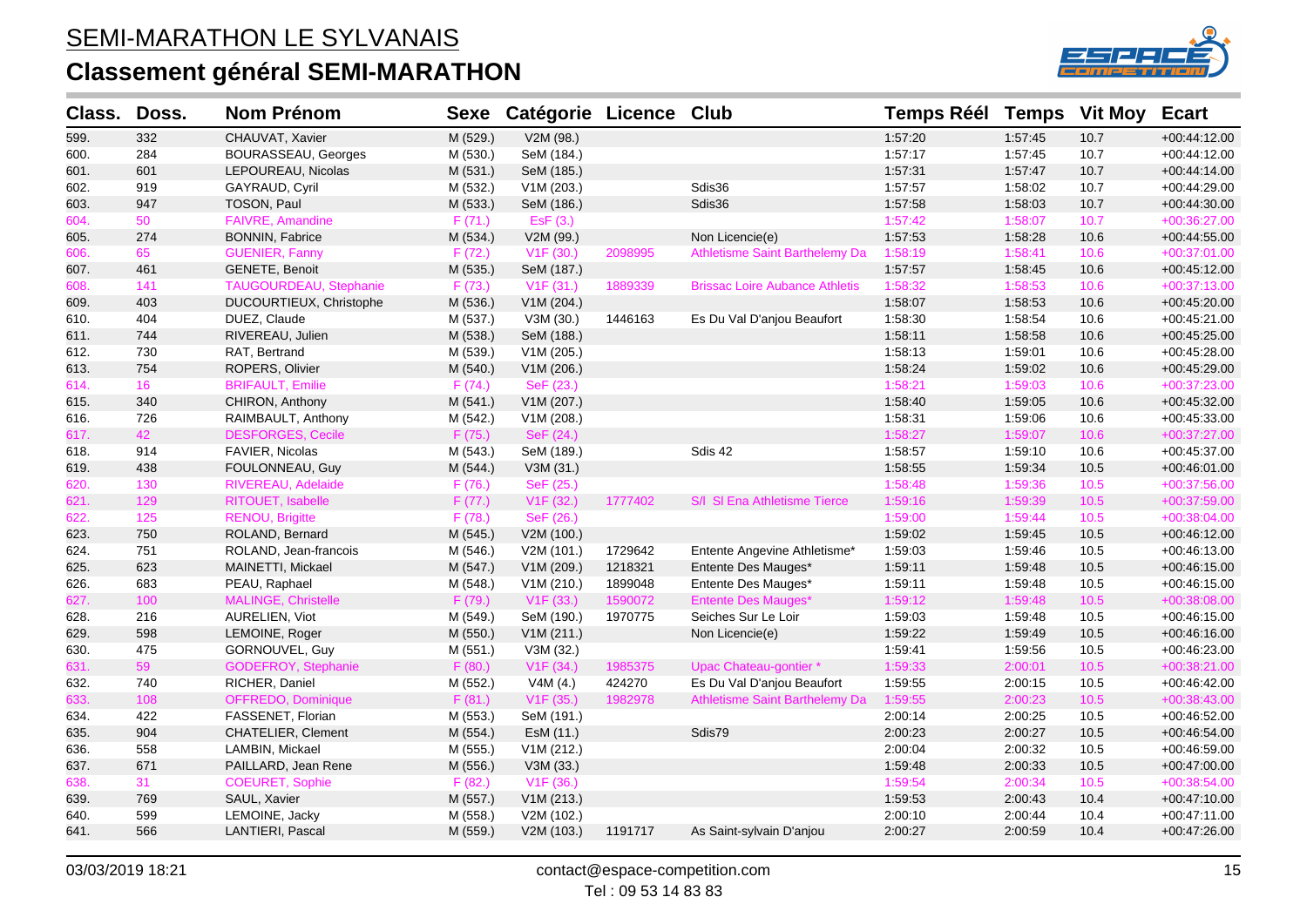# **Classement général SEMI-MARATHON**



| Class. | Doss. | <b>Nom Prénom</b>             | <b>Sexe</b> | Catégorie Licence Club |         |                                       | <b>Temps Réél</b> | <b>Temps</b> | <b>Vit Moy</b> | <b>Ecart</b>   |
|--------|-------|-------------------------------|-------------|------------------------|---------|---------------------------------------|-------------------|--------------|----------------|----------------|
| 599.   | 332   | CHAUVAT, Xavier               | M (529.)    | V2M (98.)              |         |                                       | 1:57:20           | 1:57:45      | 10.7           | +00:44:12.00   |
| 600.   | 284   | <b>BOURASSEAU, Georges</b>    | M (530.)    | SeM (184.)             |         |                                       | 1:57:17           | 1:57:45      | 10.7           | $+00.44:12.00$ |
| 601.   | 601   | LEPOUREAU, Nicolas            | M (531.)    | SeM (185.)             |         |                                       | 1:57:31           | 1:57:47      | 10.7           | $+00.44.14.00$ |
| 602.   | 919   | GAYRAUD, Cyril                | M (532.)    | V1M (203.)             |         | Sdis36                                | 1:57:57           | 1:58:02      | 10.7           | +00:44:29.00   |
| 603.   | 947   | TOSON, Paul                   | M (533.)    | SeM (186.)             |         | Sdis36                                | 1:57:58           | 1:58:03      | 10.7           | +00:44:30.00   |
| 604.   | 50    | <b>FAIVRE, Amandine</b>       | F(71.)      | Esf(3.)                |         |                                       | 1:57:42           | 1:58:07      | 10.7           | +00:36:27.00   |
| 605.   | 274   | <b>BONNIN, Fabrice</b>        | M (534.)    | V2M (99.)              |         | Non Licencie(e)                       | 1:57:53           | 1:58:28      | 10.6           | $+00:44:55.00$ |
| 606.   | 65    | <b>GUENIER, Fanny</b>         | F(72.)      | V1F(30.)               | 2098995 | Athletisme Saint Barthelemy Da        | 1:58:19           | 1:58:41      | 10.6           | +00:37:01.00   |
| 607.   | 461   | <b>GENETE, Benoit</b>         | M (535.)    | SeM (187.)             |         |                                       | 1:57:57           | 1:58:45      | 10.6           | $+00:45:12.00$ |
| 608.   | 141   | <b>TAUGOURDEAU, Stephanie</b> | F(73.)      | V1F(31.)               | 1889339 | <b>Brissac Loire Aubance Athletis</b> | 1:58:32           | 1:58:53      | 10.6           | $+00:37:13.00$ |
| 609.   | 403   | DUCOURTIEUX, Christophe       | M (536.)    | V1M (204.)             |         |                                       | 1:58:07           | 1:58:53      | 10.6           | $+00:45:20.00$ |
| 610.   | 404   | DUEZ, Claude                  | M (537.)    | V3M (30.)              | 1446163 | Es Du Val D'anjou Beaufort            | 1:58:30           | 1:58:54      | 10.6           | $+00:45:21.00$ |
| 611.   | 744   | RIVEREAU, Julien              | M (538.)    | SeM (188.)             |         |                                       | 1:58:11           | 1:58:58      | 10.6           | +00:45:25.00   |
| 612.   | 730   | RAT, Bertrand                 | M (539.)    | V1M (205.)             |         |                                       | 1:58:13           | 1:59:01      | 10.6           | +00:45:28.00   |
| 613.   | 754   | ROPERS, Olivier               | M (540.)    | V1M (206.)             |         |                                       | 1:58:24           | 1:59:02      | 10.6           | $+00.45.29.00$ |
| 614.   | 16    | <b>BRIFAULT, Emilie</b>       | F(74.)      | SeF (23.)              |         |                                       | 1:58:21           | 1:59:03      | 10.6           | +00:37:23.00   |
| 615.   | 340   | CHIRON, Anthony               | M (541.)    | V1M (207.)             |         |                                       | 1:58:40           | 1:59:05      | 10.6           | +00:45:32.00   |
| 616.   | 726   | RAIMBAULT, Anthony            | M (542.)    | V1M (208.)             |         |                                       | 1:58:31           | 1:59:06      | 10.6           | $+00.45.33.00$ |
| 617.   | 42    | <b>DESFORGES, Cecile</b>      | F(75.)      | SeF (24.)              |         |                                       | 1:58:27           | 1:59:07      | 10.6           | +00:37:27.00   |
| 618.   | 914   | FAVIER, Nicolas               | M (543.)    | SeM (189.)             |         | Sdis 42                               | 1:58:57           | 1:59:10      | 10.6           | +00:45:37.00   |
| 619.   | 438   | FOULONNEAU, Guy               | M (544.)    | V3M (31.)              |         |                                       | 1:58:55           | 1.59.34      | 10.5           | $+00:46:01.00$ |
| 620.   | 130   | RIVEREAU, Adelaide            | F(76.)      | SeF (25.)              |         |                                       | 1:58:48           | 1:59:36      | 10.5           | +00:37:56.00   |
| 621.   | 129   | RITOUET, Isabelle             | F(77.)      | V <sub>1</sub> F (32.) | 1777402 | S/I SI Ena Athletisme Tierce          | 1:59:16           | 1:59:39      | 10.5           | +00:37:59.00   |
| 622.   | 125   | <b>RENOU, Brigitte</b>        | F(78.)      | SeF (26.)              |         |                                       | 1:59:00           | 1:59:44      | 10.5           | +00:38:04.00   |
| 623.   | 750   | ROLAND, Bernard               | M (545.)    | V2M (100.)             |         |                                       | 1:59:02           | 1:59:45      | 10.5           | $+00:46:12.00$ |
| 624.   | 751   | ROLAND, Jean-francois         | M (546.)    | V2M (101.)             | 1729642 | Entente Angevine Athletisme*          | 1:59:03           | 1:59:46      | 10.5           | +00:46:13.00   |
| 625.   | 623   | MAINETTI, Mickael             | M (547.)    | V1M (209.)             | 1218321 | Entente Des Mauges*                   | 1:59:11           | 1:59:48      | 10.5           | +00:46:15.00   |
| 626.   | 683   | PEAU, Raphael                 | M (548.)    | V1M (210.)             | 1899048 | Entente Des Mauges*                   | 1:59:11           | 1:59:48      | 10.5           | $+00:46:15.00$ |
| 627.   | 100   | MALINGE, Christelle           | F(79.)      | V1F(33.)               | 1590072 | <b>Entente Des Mauges*</b>            | 1:59:12           | 1:59:48      | 10.5           | +00:38:08.00   |
| 628.   | 216   | AURELIEN, Viot                | M (549.)    | SeM (190.)             | 1970775 | Seiches Sur Le Loir                   | 1:59:03           | 1:59:48      | 10.5           | +00:46:15.00   |
| 629.   | 598   | LEMOINE, Roger                | M (550.)    | V1M (211.)             |         | Non Licencie(e)                       | 1:59:22           | 1:59:49      | 10.5           | $+00.46.16.00$ |
| 630.   | 475   | GORNOUVEL, Guy                | M (551.)    | V3M (32.)              |         |                                       | 1:59:41           | 1:59:56      | 10.5           | $+00:46:23.00$ |
| 631.   | 59    | <b>GODEFROY, Stephanie</b>    | F(80.)      | V <sub>1</sub> F (34.) | 1985375 | Upac Chateau-gontier *                | 1:59:33           | 2:00:01      | 10.5           | +00:38:21.00   |
| 632.   | 740   | RICHER, Daniel                | M (552.)    | V4M (4.)               | 424270  | Es Du Val D'anjou Beaufort            | 1:59:55           | 2:00:15      | 10.5           | +00:46:42.00   |
| 633.   | 108   | OFFREDO, Dominique            | F(81.)      | V1F(35.)               | 1982978 | <b>Athletisme Saint Barthelemy Da</b> | 1:59:55           | 2:00:23      | 10.5           | +00:38:43.00   |
| 634.   | 422   | FASSENET, Florian             | M (553.)    | SeM (191.)             |         |                                       | 2:00:14           | 2:00:25      | 10.5           | +00:46:52.00   |
| 635.   | 904   | CHATELIER, Clement            | M (554.)    | EsM (11.)              |         | Sdis79                                | 2:00:23           | 2:00:27      | 10.5           | +00:46:54.00   |
| 636.   | 558   | LAMBIN, Mickael               | M (555.)    | V1M (212.)             |         |                                       | 2:00:04           | 2:00:32      | 10.5           | +00:46:59.00   |
| 637.   | 671   | PAILLARD, Jean Rene           | M (556.)    | V3M (33.)              |         |                                       | 1:59:48           | 2:00:33      | 10.5           | +00:47:00.00   |
| 638.   | 31    | <b>COEURET, Sophie</b>        | F(82.)      | V1F(36.)               |         |                                       | 1:59:54           | 2:00:34      | 10.5           | +00:38:54.00   |
| 639.   | 769   | SAUL, Xavier                  | M (557.)    | V1M (213.)             |         |                                       | 1:59:53           | 2:00:43      | 10.4           | $+00:47:10.00$ |
| 640.   | 599   | LEMOINE, Jacky                | M (558.)    | V2M (102.)             |         |                                       | 2:00:10           | 2:00:44      | 10.4           | +00:47:11.00   |
| 641.   | 566   | LANTIERI, Pascal              | M (559.)    | V2M (103.)             | 1191717 | As Saint-sylvain D'anjou              | 2:00:27           | 2:00:59      | 10.4           | +00:47:26.00   |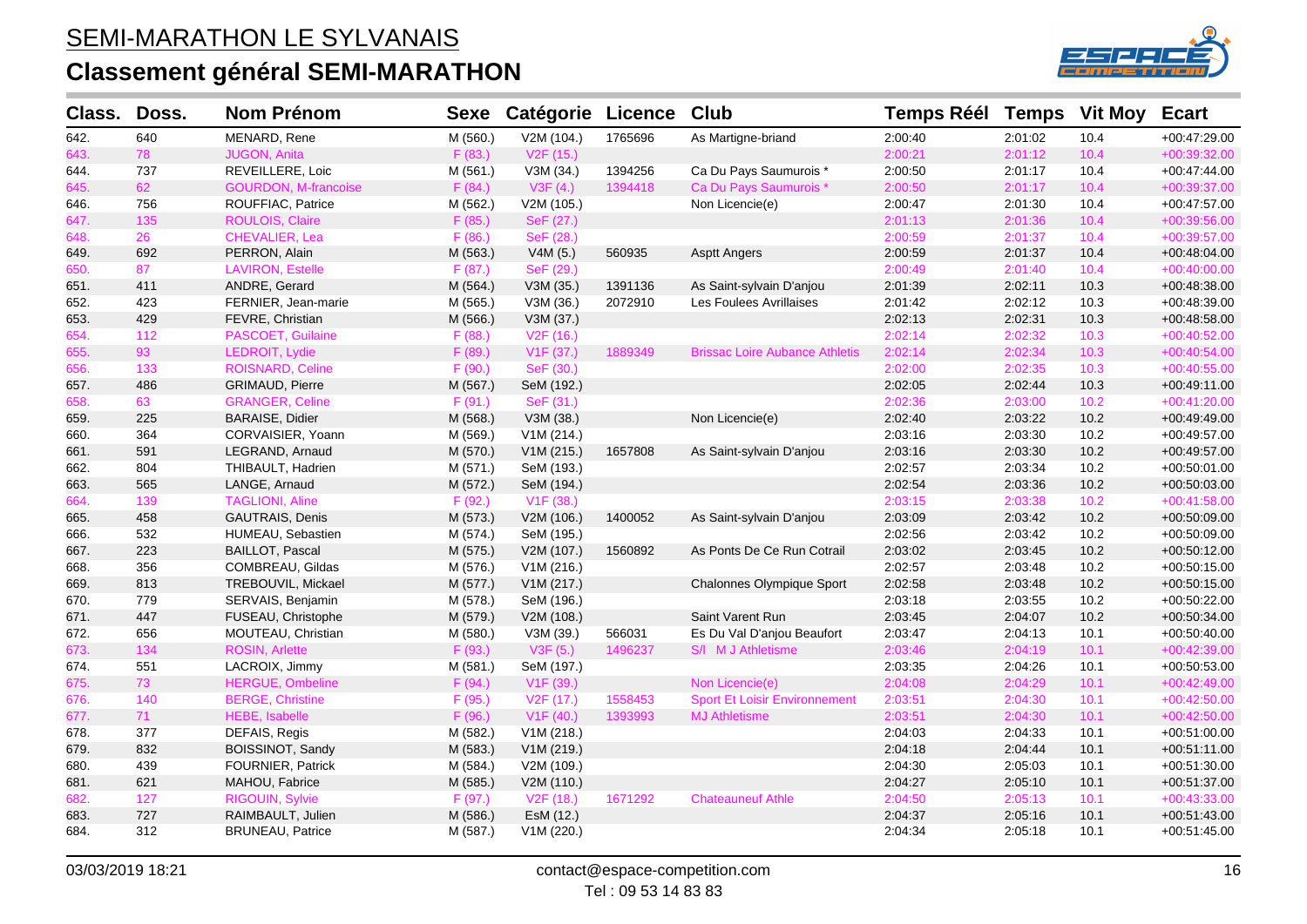

| Class. | Doss. | <b>Nom Prénom</b>           | <b>Sexe</b> | Catégorie Licence      |         | Club                                  | <b>Temps Réél Temps</b> |         | <b>Vit Moy</b> | <b>Ecart</b>   |
|--------|-------|-----------------------------|-------------|------------------------|---------|---------------------------------------|-------------------------|---------|----------------|----------------|
| 642.   | 640   | MENARD, Rene                | M (560.)    | V2M (104.)             | 1765696 | As Martigne-briand                    | 2:00:40                 | 2:01:02 | 10.4           | +00:47:29.00   |
| 643.   | 78    | <b>JUGON, Anita</b>         | F(83.)      | V <sub>2</sub> F (15.) |         |                                       | 2:00:21                 | 2:01:12 | 10.4           | +00:39:32.00   |
| 644.   | 737   | REVEILLERE, Loic            | M (561.)    | V3M (34.)              | 1394256 | Ca Du Pays Saumurois *                | 2:00:50                 | 2:01:17 | 10.4           | +00:47:44.00   |
| 645.   | 62    | <b>GOURDON, M-francoise</b> | F(84.)      | V3F(4.)                | 1394418 | Ca Du Pays Saumurois *                | 2:00:50                 | 2:01:17 | 10.4           | +00:39:37.00   |
| 646.   | 756   | ROUFFIAC, Patrice           | M (562.)    | V2M (105.)             |         | Non Licencie(e)                       | 2:00:47                 | 2:01:30 | 10.4           | +00:47:57.00   |
| 647.   | 135   | ROULOIS, Claire             | F(85.)      | SeF (27.)              |         |                                       | 2:01:13                 | 2:01:36 | 10.4           | +00:39:56.00   |
| 648.   | 26    | CHEVALIER, Lea              | F(86.)      | SeF (28.)              |         |                                       | 2:00:59                 | 2:01:37 | 10.4           | +00:39:57.00   |
| 649.   | 692   | PERRON, Alain               | M (563.)    | V4M(5.)                | 560935  | <b>Asptt Angers</b>                   | 2:00:59                 | 2:01:37 | 10.4           | $+00.48.04.00$ |
| 650.   | 87    | <b>LAVIRON, Estelle</b>     | F(87.)      | SeF (29.)              |         |                                       | 2:00:49                 | 2:01:40 | 10.4           | +00:40:00.00   |
| 651.   | 411   | ANDRE, Gerard               | M (564.)    | V3M (35.)              | 1391136 | As Saint-sylvain D'anjou              | 2:01:39                 | 2:02:11 | 10.3           | $+00:48:38.00$ |
| 652.   | 423   | FERNIER, Jean-marie         | M (565.)    | V3M (36.)              | 2072910 | Les Foulees Avrillaises               | 2:01:42                 | 2:02:12 | 10.3           | +00:48:39.00   |
| 653.   | 429   | FEVRE, Christian            | M (566.)    | V3M (37.)              |         |                                       | 2:02:13                 | 2:02:31 | 10.3           | +00:48:58.00   |
| 654.   | 112   | PASCOET, Guilaine           | F(88.)      | V <sub>2</sub> F (16.) |         |                                       | 2:02:14                 | 2:02:32 | 10.3           | $+00:40:52.00$ |
| 655.   | 93    | LEDROIT, Lydie              | F (89.)     | V <sub>1</sub> F (37.) | 1889349 | <b>Brissac Loire Aubance Athletis</b> | 2:02:14                 | 2:02:34 | 10.3           | $+00:40:54.00$ |
| 656.   | 133   | <b>ROISNARD, Celine</b>     | F (90.)     | SeF (30.)              |         |                                       | 2:02:00                 | 2:02:35 | 10.3           | $+00:40:55.00$ |
| 657.   | 486   | GRIMAUD, Pierre             | M (567.)    | SeM (192.)             |         |                                       | 2:02:05                 | 2:02:44 | 10.3           | +00:49:11.00   |
| 658.   | 63    | <b>GRANGER, Celine</b>      | F(91.)      | SeF (31.)              |         |                                       | 2:02:36                 | 2:03:00 | 10.2           | $+00:41:20.00$ |
| 659.   | 225   | <b>BARAISE, Didier</b>      | M (568.)    | V3M (38.)              |         | Non Licencie(e)                       | 2:02:40                 | 2:03:22 | 10.2           | +00:49:49.00   |
| 660.   | 364   | CORVAISIER, Yoann           | M (569.)    | V1M (214.)             |         |                                       | 2:03:16                 | 2:03:30 | 10.2           | +00:49:57.00   |
| 661.   | 591   | LEGRAND, Arnaud             | M (570.)    | V1M (215.)             | 1657808 | As Saint-sylvain D'anjou              | 2:03:16                 | 2:03:30 | 10.2           | +00:49:57.00   |
| 662.   | 804   | THIBAULT, Hadrien           | M (571.)    | SeM (193.)             |         |                                       | 2:02:57                 | 2:03:34 | 10.2           | +00:50:01.00   |
| 663.   | 565   | LANGE, Arnaud               | M (572.)    | SeM (194.)             |         |                                       | 2:02:54                 | 2:03:36 | 10.2           | +00:50:03.00   |
| 664.   | 139   | <b>TAGLIONI, Aline</b>      | F(92.)      | V1F(38.)               |         |                                       | 2:03:15                 | 2:03:38 | 10.2           | +00:41:58.00   |
| 665.   | 458   | <b>GAUTRAIS, Denis</b>      | M (573.)    | V2M (106.)             | 1400052 | As Saint-sylvain D'anjou              | 2:03:09                 | 2:03:42 | 10.2           | $+00.50.09.00$ |
| 666.   | 532   | HUMEAU, Sebastien           | M (574.)    | SeM (195.)             |         |                                       | 2:02:56                 | 2:03:42 | 10.2           | +00:50:09.00   |
| 667.   | 223   | <b>BAILLOT, Pascal</b>      | M (575.)    | V2M (107.)             | 1560892 | As Ponts De Ce Run Cotrail            | 2:03:02                 | 2:03:45 | 10.2           | $+00.50:12.00$ |
| 668.   | 356   | COMBREAU, Gildas            | M (576.)    | V1M (216.)             |         |                                       | 2:02:57                 | 2:03:48 | 10.2           | +00:50:15.00   |
| 669.   | 813   | TREBOUVIL, Mickael          | M (577.)    | V1M (217.)             |         | Chalonnes Olympique Sport             | 2:02:58                 | 2:03:48 | 10.2           | $+00:50:15.00$ |
| 670.   | 779   | SERVAIS, Benjamin           | M (578.)    | SeM (196.)             |         |                                       | 2:03:18                 | 2:03:55 | 10.2           | +00:50:22.00   |
| 671.   | 447   | FUSEAU, Christophe          | M (579.)    | V2M (108.)             |         | Saint Varent Run                      | 2:03:45                 | 2:04:07 | 10.2           | +00:50:34.00   |
| 672.   | 656   | MOUTEAU, Christian          | M (580.)    | V3M (39.)              | 566031  | Es Du Val D'anjou Beaufort            | 2:03:47                 | 2:04:13 | 10.1           | +00:50:40.00   |
| 673.   | 134   | <b>ROSIN, Arlette</b>       | F (93.)     | V3F(5.)                | 1496237 | S/I M J Athletisme                    | 2:03:46                 | 2:04:19 | 10.1           | $+00:42:39.00$ |
| 674.   | 551   | LACROIX, Jimmy              | M (581.)    | SeM (197.)             |         |                                       | 2:03:35                 | 2:04:26 | 10.1           | +00:50:53.00   |
| 675.   | 73    | <b>HERGUE, Ombeline</b>     | F(94.)      | V <sub>1</sub> F (39.) |         | Non Licencie(e)                       | 2:04:08                 | 2:04:29 | 10.1           | +00:42:49.00   |
| 676.   | 140   | <b>BERGE, Christine</b>     | F (95.)     | V <sub>2</sub> F (17.) | 1558453 | <b>Sport Et Loisir Environnement</b>  | 2:03:51                 | 2:04:30 | 10.1           | $+00:42:50.00$ |
| 677.   | 71    | HEBE, Isabelle              | F (96.)     | V1F(40.)               | 1393993 | <b>MJ Athletisme</b>                  | 2:03:51                 | 2:04:30 | 10.1           | $+00:42:50.00$ |
| 678.   | 377   | DEFAIS, Regis               | M (582.)    | V1M (218.)             |         |                                       | 2:04:03                 | 2:04:33 | 10.1           | +00:51:00.00   |
| 679.   | 832   | <b>BOISSINOT, Sandy</b>     | M (583.)    | V1M (219.)             |         |                                       | 2:04:18                 | 2:04:44 | 10.1           | $+00.51:11.00$ |
| 680.   | 439   | FOURNIER, Patrick           | M (584.)    | V2M (109.)             |         |                                       | 2:04:30                 | 2:05:03 | 10.1           | $+00.51.30.00$ |
| 681.   | 621   | MAHOU, Fabrice              | M (585.)    | V2M (110.)             |         |                                       | 2:04:27                 | 2:05:10 | 10.1           | +00:51:37.00   |
| 682.   | 127   | RIGOUIN, Sylvie             | F(97.)      | V <sub>2</sub> F (18.) | 1671292 | <b>Chateauneuf Athle</b>              | 2:04:50                 | 2:05:13 | 10.1           | +00:43:33.00   |
| 683.   | 727   | RAIMBAULT, Julien           | M (586.)    | EsM (12.)              |         |                                       | 2:04:37                 | 2:05:16 | 10.1           | $+00.51.43.00$ |
| 684.   | 312   | <b>BRUNEAU, Patrice</b>     | M (587.)    | V1M (220.)             |         |                                       | 2:04:34                 | 2:05:18 | 10.1           | $+00:51:45.00$ |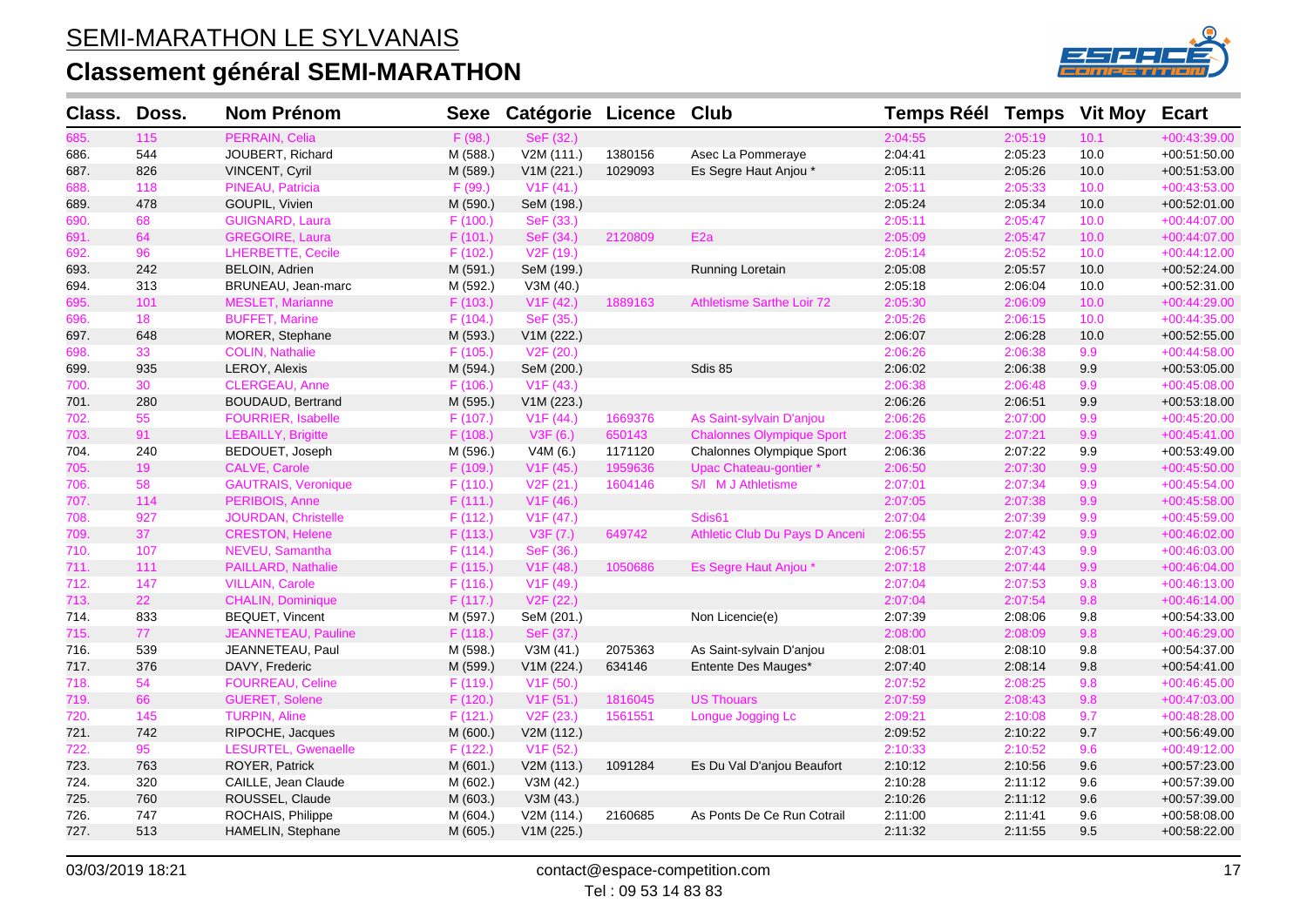

| Class. | Doss. | <b>Nom Prénom</b>          | <b>Sexe</b> | Catégorie Licence Club |         |                                  | Temps Réél Temps Vit Moy |         |         | <b>Ecart</b>   |
|--------|-------|----------------------------|-------------|------------------------|---------|----------------------------------|--------------------------|---------|---------|----------------|
| 685.   | 115   | PERRAIN, Celia             | F (98.)     | SeF (32.)              |         |                                  | 2:04:55                  | 2:05:19 | 10.1    | $+00:43:39.00$ |
| 686.   | 544   | JOUBERT, Richard           | M (588.)    | V2M (111.)             | 1380156 | Asec La Pommeraye                | 2:04:41                  | 2:05:23 | 10.0    | +00:51:50.00   |
| 687.   | 826   | VINCENT, Cyril             | M (589.)    | V1M (221.)             | 1029093 | Es Segre Haut Anjou *            | 2:05:11                  | 2:05:26 | 10.0    | +00:51:53.00   |
| 688.   | 118   | PINEAU, Patricia           | F (99.)     | V1F(41.)               |         |                                  | 2:05:11                  | 2:05:33 | 10.0    | $+00:43:53.00$ |
| 689.   | 478   | GOUPIL, Vivien             | M (590.)    | SeM (198.)             |         |                                  | 2:05:24                  | 2:05:34 | 10.0    | $+00:52:01.00$ |
| 690.   | 68    | <b>GUIGNARD, Laura</b>     | F(100.)     | SeF (33.)              |         |                                  | 2:05:11                  | 2:05:47 | 10.0    | +00:44:07.00   |
| 691.   | 64    | <b>GREGOIRE, Laura</b>     | F(101.)     | SeF (34.)              | 2120809 | E <sub>2a</sub>                  | 2:05:09                  | 2:05:47 | 10.0    | +00:44:07.00   |
| 692.   | 96    | <b>LHERBETTE, Cecile</b>   | F (102.)    | V <sub>2</sub> F (19.) |         |                                  | 2:05:14                  | 2:05:52 | 10.0    | $+00:44:12.00$ |
| 693.   | 242   | <b>BELOIN, Adrien</b>      | M (591.)    | SeM (199.)             |         | Running Loretain                 | 2:05:08                  | 2:05:57 | 10.0    | +00:52:24.00   |
| 694.   | 313   | BRUNEAU, Jean-marc         | M (592.)    | V3M (40.)              |         |                                  | 2:05:18                  | 2:06:04 | 10.0    | +00:52:31.00   |
| 695.   | 101   | <b>MESLET, Marianne</b>    | F (103.)    | V1F(42.)               | 1889163 | <b>Athletisme Sarthe Loir 72</b> | 2:05:30                  | 2:06:09 | 10.0    | $+00:44:29.00$ |
| 696.   | 18    | <b>BUFFET, Marine</b>      | F(104.)     | SeF (35.)              |         |                                  | 2:05:26                  | 2:06:15 | 10.0    | $+00:44:35.00$ |
| 697.   | 648   | MORER, Stephane            | M (593.)    | V1M (222.)             |         |                                  | 2:06:07                  | 2:06:28 | 10.0    | $+00:52:55.00$ |
| 698.   | 33    | <b>COLIN, Nathalie</b>     | F(105.)     | V <sub>2</sub> F (20.) |         |                                  | 2:06:26                  | 2:06:38 | 9.9     | $+00:44:58.00$ |
| 699.   | 935   | LEROY, Alexis              | M (594.)    | SeM (200.)             |         | Sdis 85                          | 2:06:02                  | 2:06:38 | 9.9     | +00:53:05.00   |
| 700.   | 30    | CLERGEAU, Anne             | F(106.)     | V1F(43.)               |         |                                  | 2:06:38                  | 2:06:48 | 9.9     | $+00:45:08.00$ |
| 701.   | 280   | <b>BOUDAUD, Bertrand</b>   | M (595.)    | V1M (223.)             |         |                                  | 2:06:26                  | 2:06:51 | $9.9\,$ | +00:53:18.00   |
| 702.   | 55    | <b>FOURRIER, Isabelle</b>  | F(107.)     | V1F(44.)               | 1669376 | As Saint-sylvain D'anjou         | 2:06:26                  | 2:07:00 | 9.9     | $+00:45:20.00$ |
| 703.   | 91    | <b>LEBAILLY, Brigitte</b>  | F(108.)     | V3F(6.)                | 650143  | <b>Chalonnes Olympique Sport</b> | 2:06:35                  | 2:07:21 | 9.9     | $+00:45:41.00$ |
| 704.   | 240   | BEDOUET, Joseph            | M (596.)    | V4M (6.)               | 1171120 | Chalonnes Olympique Sport        | 2:06:36                  | 2:07:22 | 9.9     | +00:53:49.00   |
| 705.   | 19    | CALVE, Carole              | F (109.)    | V <sub>1</sub> F (45.) | 1959636 | Upac Chateau-gontier*            | 2:06:50                  | 2:07:30 | 9.9     | $+00:45:50.00$ |
| 706.   | 58    | <b>GAUTRAIS, Veronique</b> | F(110.)     | V <sub>2</sub> F (21.) | 1604146 | S/I M J Athletisme               | 2:07:01                  | 2:07:34 | 9.9     | $+00:45:54.00$ |
| 707.   | 114   | PERIBOIS, Anne             | F(111.)     | V <sub>1</sub> F (46.) |         |                                  | 2:07:05                  | 2:07:38 | 9.9     | $+00:45:58.00$ |
| 708.   | 927   | JOURDAN, Christelle        | F(112.)     | V <sub>1</sub> F (47.) |         | Sdis61                           | 2:07:04                  | 2:07:39 | 9.9     | $+00:45:59.00$ |
| 709.   | 37    | <b>CRESTON, Helene</b>     | F(113.)     | V3F(7.)                | 649742  | Athletic Club Du Pays D Anceni   | 2:06:55                  | 2:07:42 | 9.9     | +00:46:02.00   |
| 710.   | 107   | NEVEU, Samantha            | F(114.)     | SeF (36.)              |         |                                  | 2:06:57                  | 2:07:43 | 9.9     | +00:46:03.00   |
| 711.   | 111   | PAILLARD, Nathalie         | F (115.)    | V <sub>1</sub> F (48.) | 1050686 | Es Segre Haut Anjou *            | 2:07:18                  | 2:07:44 | 9.9     | +00:46:04.00   |
| 712.   | 147   | <b>VILLAIN, Carole</b>     | F(116.)     | V1F(49.)               |         |                                  | 2:07:04                  | 2:07:53 | 9.8     | $+00:46:13.00$ |
| 713.   | 22    | <b>CHALIN, Dominique</b>   | F (117.)    | V <sub>2</sub> F (22.) |         |                                  | 2:07:04                  | 2:07:54 | 9.8     | $+00:46:14.00$ |
| 714.   | 833   | <b>BEQUET, Vincent</b>     | M (597.)    | SeM (201.)             |         | Non Licencie(e)                  | 2:07:39                  | 2:08:06 | 9.8     | $+00.54.33.00$ |
| 715.   | 77    | JEANNETEAU, Pauline        | F(118.)     | SeF (37.)              |         |                                  | 2:08:00                  | 2:08:09 | 9.8     | +00:46:29.00   |
| 716.   | 539   | JEANNETEAU, Paul           | M (598.)    | V3M (41.)              | 2075363 | As Saint-sylvain D'anjou         | 2:08:01                  | 2:08:10 | 9.8     | +00:54:37.00   |
| 717.   | 376   | DAVY, Frederic             | M (599.)    | V1M (224.)             | 634146  | Entente Des Mauges*              | 2:07:40                  | 2:08:14 | 9.8     | $+00:54:41.00$ |
| 718.   | 54    | <b>FOURREAU, Celine</b>    | F(119.)     | V1F(50.)               |         |                                  | 2:07:52                  | 2:08:25 | 9.8     | $+00:46:45.00$ |
| 719.   | 66    | <b>GUERET, Solene</b>      | F (120.)    | V1F(51.)               | 1816045 | <b>US Thouars</b>                | 2:07:59                  | 2:08:43 | 9.8     | +00:47:03.00   |
| 720.   | 145   | <b>TURPIN, Aline</b>       | F(121.)     | V <sub>2</sub> F (23.) | 1561551 | Longue Jogging Lc                | 2:09:21                  | 2:10:08 | 9.7     | +00:48:28.00   |
| 721.   | 742   | RIPOCHE, Jacques           | M (600.)    | V2M (112.)             |         |                                  | 2:09:52                  | 2:10:22 | 9.7     | $+00.56.49.00$ |
| 722.   | 95    | LESURTEL, Gwenaelle        | F (122.)    | V <sub>1</sub> F (52.) |         |                                  | 2:10:33                  | 2:10:52 | 9.6     | $+00:49:12.00$ |
| 723.   | 763   | ROYER, Patrick             | M (601.)    | V2M (113.)             | 1091284 | Es Du Val D'anjou Beaufort       | 2:10:12                  | 2:10:56 | 9.6     | +00:57:23.00   |
| 724.   | 320   | CAILLE, Jean Claude        | M (602.)    | V3M (42.)              |         |                                  | 2:10:28                  | 2:11:12 | 9.6     | +00:57:39.00   |
| 725.   | 760   | ROUSSEL, Claude            | M (603.)    | V3M (43.)              |         |                                  | 2:10:26                  | 2:11:12 | 9.6     | +00:57:39.00   |
| 726.   | 747   | ROCHAIS, Philippe          | M (604.)    | V2M (114.)             | 2160685 | As Ponts De Ce Run Cotrail       | 2:11:00                  | 2:11:41 | 9.6     | +00:58:08.00   |
| 727.   | 513   | HAMELIN, Stephane          | M (605.)    | V1M (225.)             |         |                                  | 2:11:32                  | 2:11:55 | 9.5     | +00:58:22.00   |
|        |       |                            |             |                        |         |                                  |                          |         |         |                |